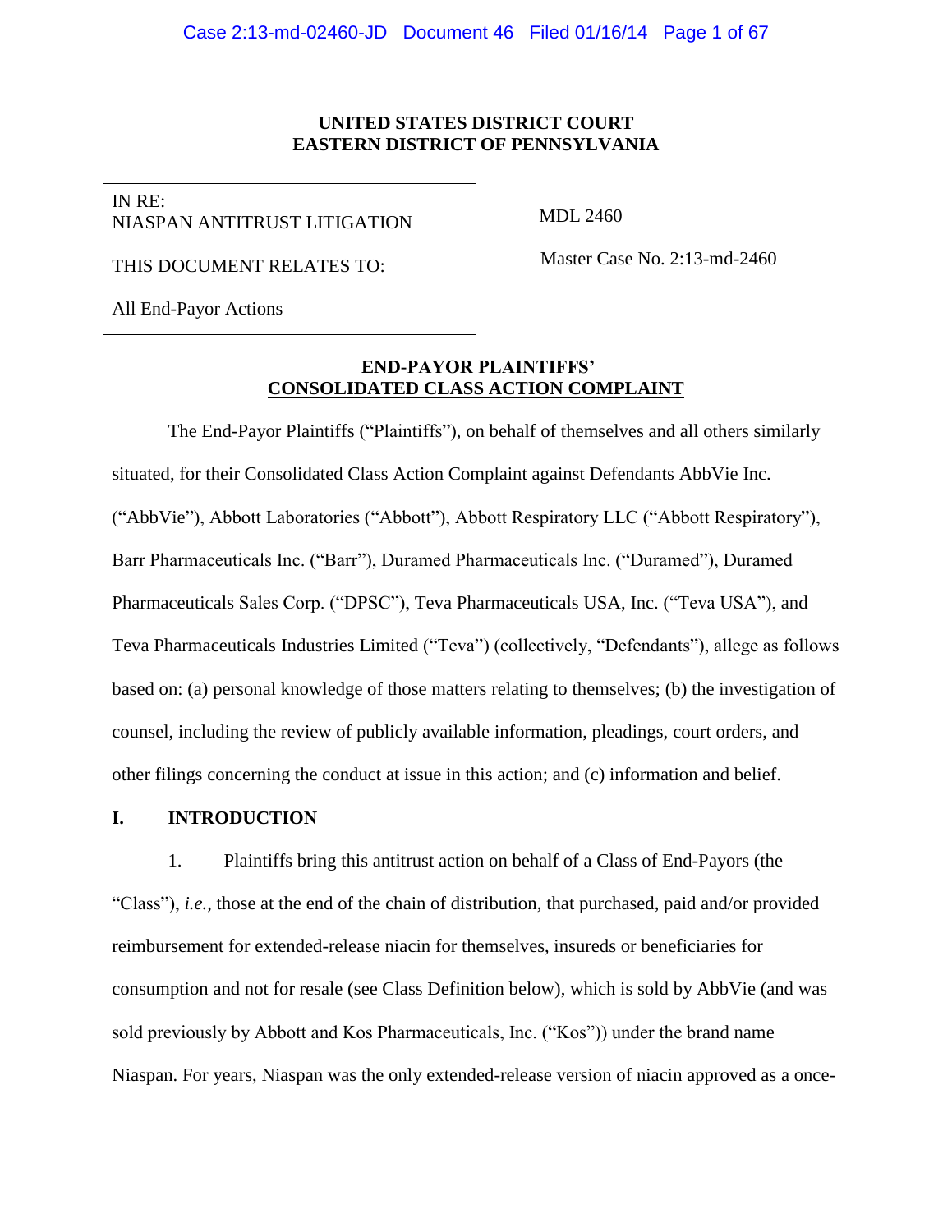### **UNITED STATES DISTRICT COURT EASTERN DISTRICT OF PENNSYLVANIA**

IN RE: NIASPAN ANTITRUST LITIGATION

MDL 2460

THIS DOCUMENT RELATES TO:

All End-Payor Actions

Master Case No. 2:13-md-2460

## **END-PAYOR PLAINTIFFS' CONSOLIDATED CLASS ACTION COMPLAINT**

The End-Payor Plaintiffs ("Plaintiffs"), on behalf of themselves and all others similarly situated, for their Consolidated Class Action Complaint against Defendants AbbVie Inc. ("AbbVie"), Abbott Laboratories ("Abbott"), Abbott Respiratory LLC ("Abbott Respiratory"), Barr Pharmaceuticals Inc. ("Barr"), Duramed Pharmaceuticals Inc. ("Duramed"), Duramed Pharmaceuticals Sales Corp. ("DPSC"), Teva Pharmaceuticals USA, Inc. ("Teva USA"), and Teva Pharmaceuticals Industries Limited ("Teva") (collectively, "Defendants"), allege as follows based on: (a) personal knowledge of those matters relating to themselves; (b) the investigation of counsel, including the review of publicly available information, pleadings, court orders, and other filings concerning the conduct at issue in this action; and (c) information and belief.

## **I. INTRODUCTION**

1. Plaintiffs bring this antitrust action on behalf of a Class of End-Payors (the "Class"), *i.e.*, those at the end of the chain of distribution, that purchased, paid and/or provided reimbursement for extended-release niacin for themselves, insureds or beneficiaries for consumption and not for resale (see Class Definition below), which is sold by AbbVie (and was sold previously by Abbott and Kos Pharmaceuticals, Inc. ("Kos")) under the brand name Niaspan. For years, Niaspan was the only extended-release version of niacin approved as a once-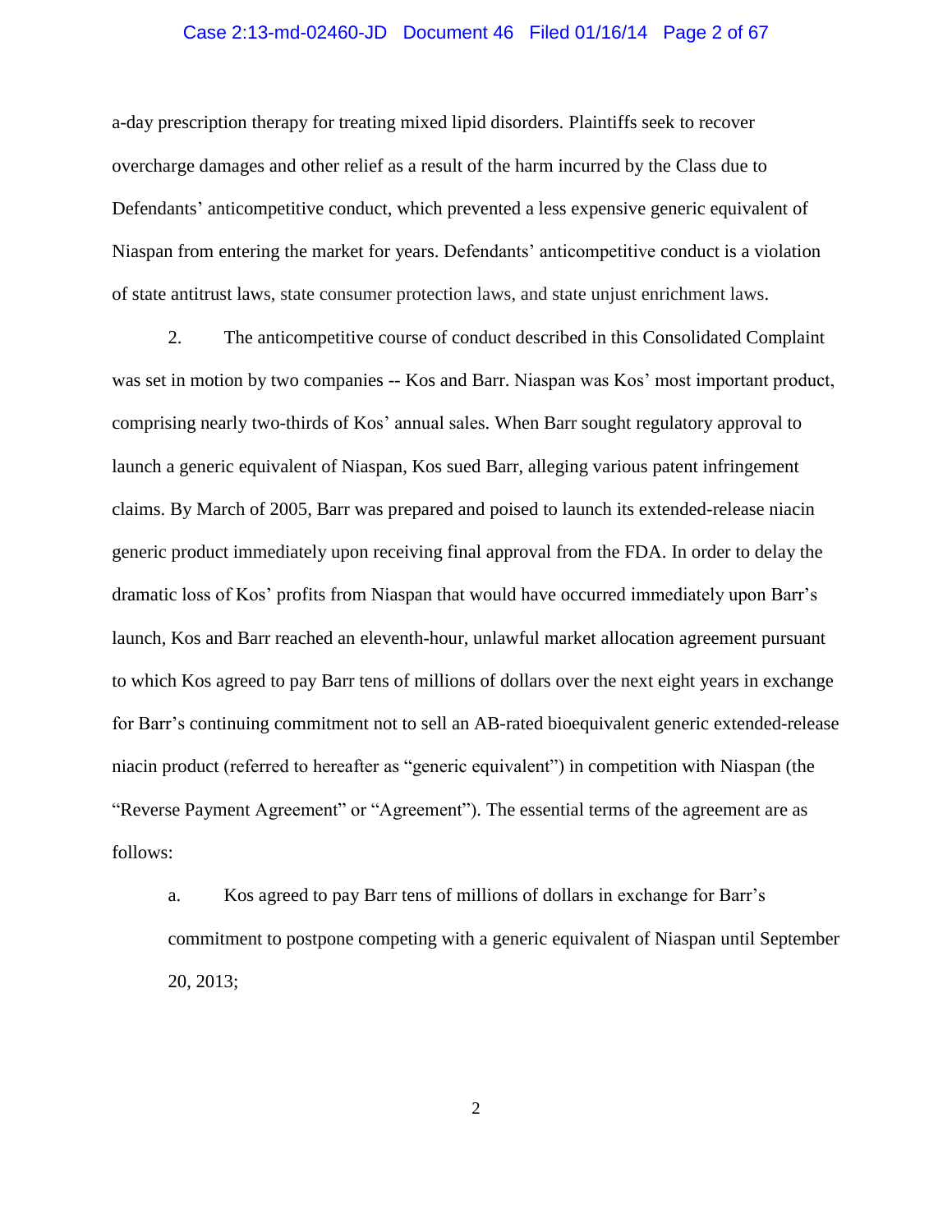#### Case 2:13-md-02460-JD Document 46 Filed 01/16/14 Page 2 of 67

a-day prescription therapy for treating mixed lipid disorders. Plaintiffs seek to recover overcharge damages and other relief as a result of the harm incurred by the Class due to Defendants' anticompetitive conduct, which prevented a less expensive generic equivalent of Niaspan from entering the market for years. Defendants' anticompetitive conduct is a violation of state antitrust laws, state consumer protection laws, and state unjust enrichment laws.

2. The anticompetitive course of conduct described in this Consolidated Complaint was set in motion by two companies -- Kos and Barr. Niaspan was Kos' most important product, comprising nearly two-thirds of Kos' annual sales. When Barr sought regulatory approval to launch a generic equivalent of Niaspan, Kos sued Barr, alleging various patent infringement claims. By March of 2005, Barr was prepared and poised to launch its extended-release niacin generic product immediately upon receiving final approval from the FDA. In order to delay the dramatic loss of Kos' profits from Niaspan that would have occurred immediately upon Barr's launch, Kos and Barr reached an eleventh-hour, unlawful market allocation agreement pursuant to which Kos agreed to pay Barr tens of millions of dollars over the next eight years in exchange for Barr's continuing commitment not to sell an AB-rated bioequivalent generic extended-release niacin product (referred to hereafter as "generic equivalent") in competition with Niaspan (the "Reverse Payment Agreement" or "Agreement"). The essential terms of the agreement are as follows:

a. Kos agreed to pay Barr tens of millions of dollars in exchange for Barr's commitment to postpone competing with a generic equivalent of Niaspan until September 20, 2013;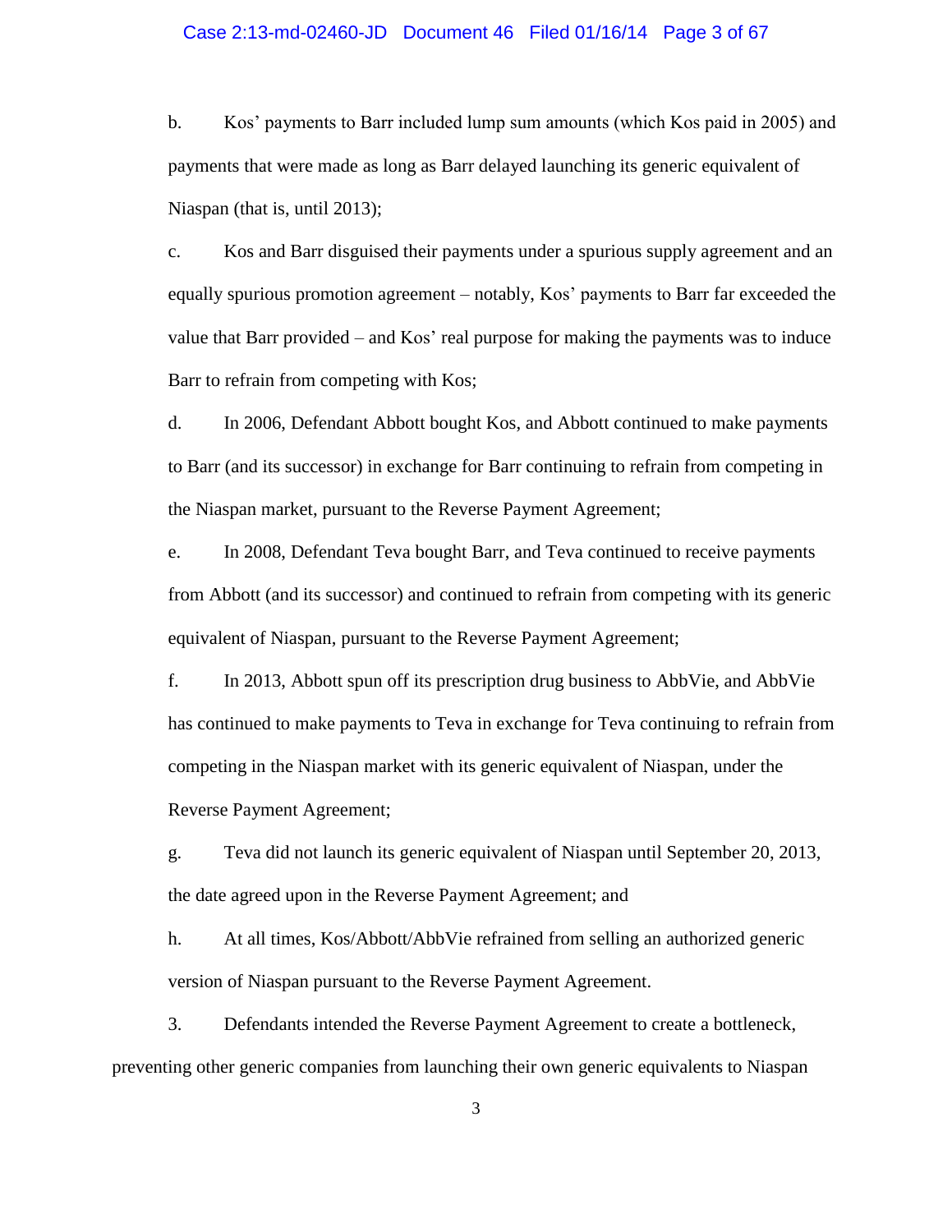#### Case 2:13-md-02460-JD Document 46 Filed 01/16/14 Page 3 of 67

b. Kos' payments to Barr included lump sum amounts (which Kos paid in 2005) and payments that were made as long as Barr delayed launching its generic equivalent of Niaspan (that is, until 2013);

c. Kos and Barr disguised their payments under a spurious supply agreement and an equally spurious promotion agreement – notably, Kos' payments to Barr far exceeded the value that Barr provided – and Kos' real purpose for making the payments was to induce Barr to refrain from competing with Kos;

d. In 2006, Defendant Abbott bought Kos, and Abbott continued to make payments to Barr (and its successor) in exchange for Barr continuing to refrain from competing in the Niaspan market, pursuant to the Reverse Payment Agreement;

e. In 2008, Defendant Teva bought Barr, and Teva continued to receive payments from Abbott (and its successor) and continued to refrain from competing with its generic equivalent of Niaspan, pursuant to the Reverse Payment Agreement;

f. In 2013, Abbott spun off its prescription drug business to AbbVie, and AbbVie has continued to make payments to Teva in exchange for Teva continuing to refrain from competing in the Niaspan market with its generic equivalent of Niaspan, under the Reverse Payment Agreement;

g. Teva did not launch its generic equivalent of Niaspan until September 20, 2013, the date agreed upon in the Reverse Payment Agreement; and

h. At all times, Kos/Abbott/AbbVie refrained from selling an authorized generic version of Niaspan pursuant to the Reverse Payment Agreement.

3. Defendants intended the Reverse Payment Agreement to create a bottleneck, preventing other generic companies from launching their own generic equivalents to Niaspan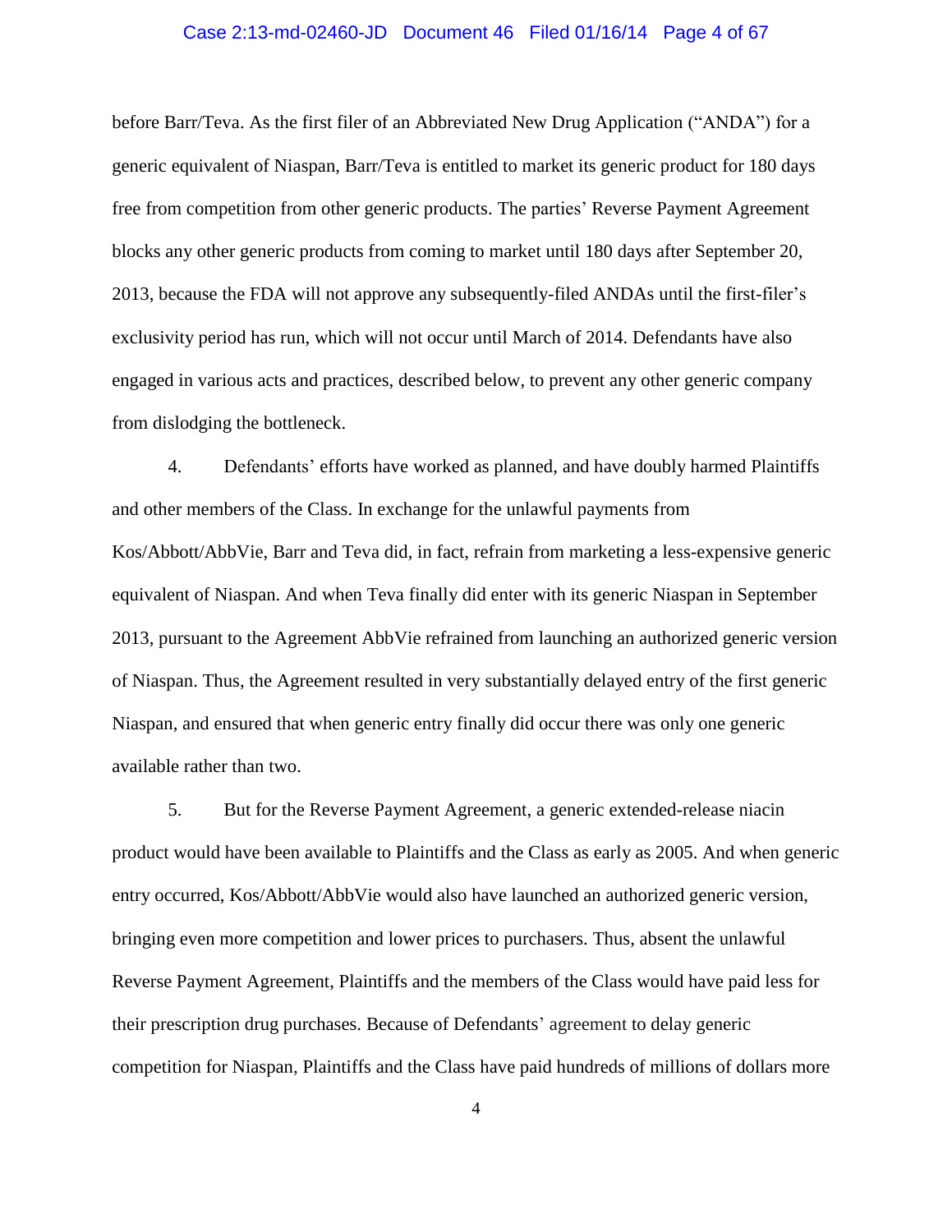#### Case 2:13-md-02460-JD Document 46 Filed 01/16/14 Page 4 of 67

before Barr/Teva. As the first filer of an Abbreviated New Drug Application ("ANDA") for a generic equivalent of Niaspan, Barr/Teva is entitled to market its generic product for 180 days free from competition from other generic products. The parties' Reverse Payment Agreement blocks any other generic products from coming to market until 180 days after September 20, 2013, because the FDA will not approve any subsequently-filed ANDAs until the first-filer's exclusivity period has run, which will not occur until March of 2014. Defendants have also engaged in various acts and practices, described below, to prevent any other generic company from dislodging the bottleneck.

4. Defendants' efforts have worked as planned, and have doubly harmed Plaintiffs and other members of the Class. In exchange for the unlawful payments from Kos/Abbott/AbbVie, Barr and Teva did, in fact, refrain from marketing a less-expensive generic equivalent of Niaspan. And when Teva finally did enter with its generic Niaspan in September 2013, pursuant to the Agreement AbbVie refrained from launching an authorized generic version of Niaspan. Thus, the Agreement resulted in very substantially delayed entry of the first generic Niaspan, and ensured that when generic entry finally did occur there was only one generic available rather than two.

5. But for the Reverse Payment Agreement, a generic extended-release niacin product would have been available to Plaintiffs and the Class as early as 2005. And when generic entry occurred, Kos/Abbott/AbbVie would also have launched an authorized generic version, bringing even more competition and lower prices to purchasers. Thus, absent the unlawful Reverse Payment Agreement, Plaintiffs and the members of the Class would have paid less for their prescription drug purchases. Because of Defendants' agreement to delay generic competition for Niaspan, Plaintiffs and the Class have paid hundreds of millions of dollars more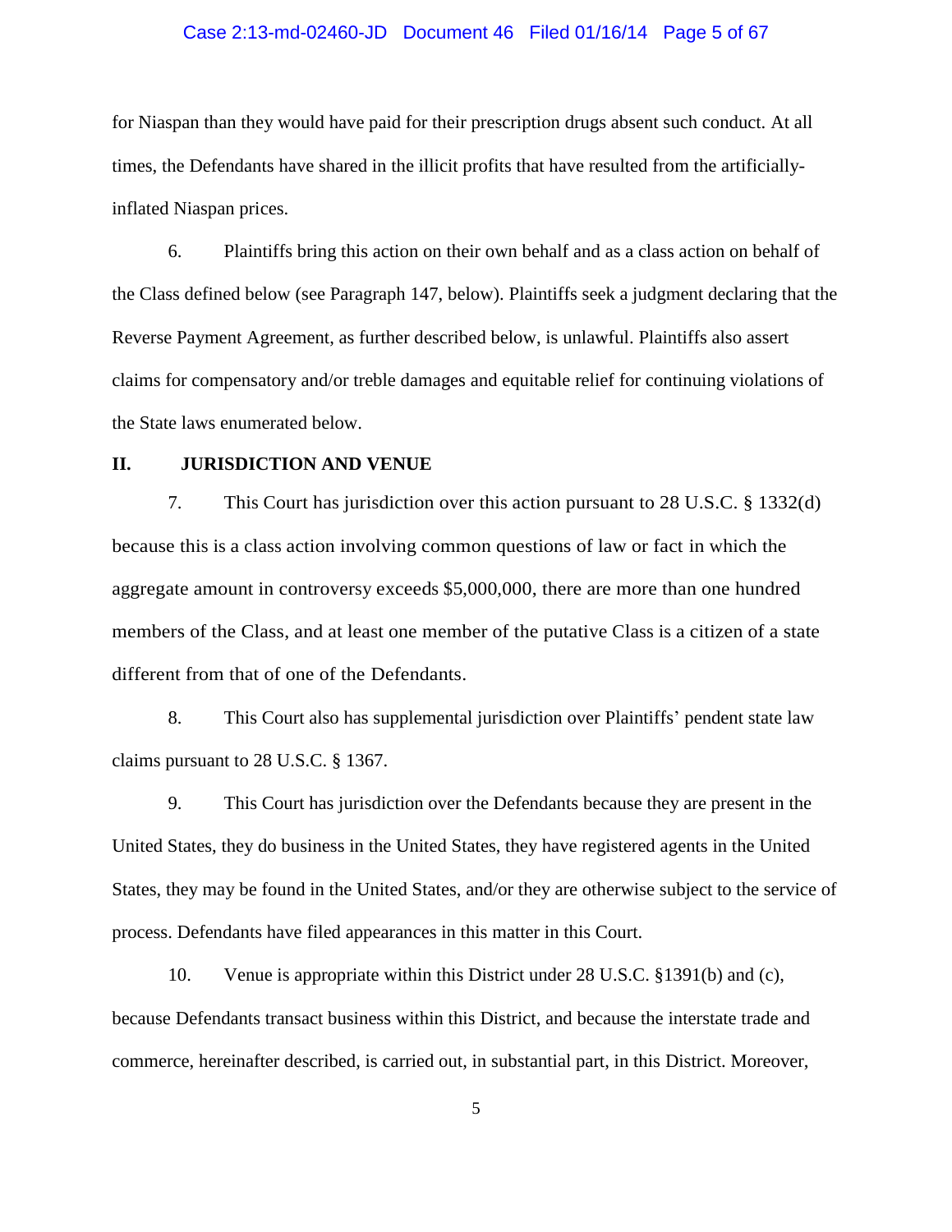#### Case 2:13-md-02460-JD Document 46 Filed 01/16/14 Page 5 of 67

for Niaspan than they would have paid for their prescription drugs absent such conduct. At all times, the Defendants have shared in the illicit profits that have resulted from the artificiallyinflated Niaspan prices.

6. Plaintiffs bring this action on their own behalf and as a class action on behalf of the Class defined below (see Paragraph [147,](#page-46-0) below). Plaintiffs seek a judgment declaring that the Reverse Payment Agreement, as further described below, is unlawful. Plaintiffs also assert claims for compensatory and/or treble damages and equitable relief for continuing violations of the State laws enumerated below.

#### **II. JURISDICTION AND VENUE**

7. This Court has jurisdiction over this action pursuant to 28 U.S.C. § 1332(d) because this is a class action involving common questions of law or fact in which the aggregate amount in controversy exceeds \$5,000,000, there are more than one hundred members of the Class, and at least one member of the putative Class is a citizen of a state different from that of one of the Defendants.

8. This Court also has supplemental jurisdiction over Plaintiffs' pendent state law claims pursuant to 28 U.S.C. § 1367.

9. This Court has jurisdiction over the Defendants because they are present in the United States, they do business in the United States, they have registered agents in the United States, they may be found in the United States, and/or they are otherwise subject to the service of process. Defendants have filed appearances in this matter in this Court.

10. Venue is appropriate within this District under 28 U.S.C. §1391(b) and (c), because Defendants transact business within this District, and because the interstate trade and commerce, hereinafter described, is carried out, in substantial part, in this District. Moreover,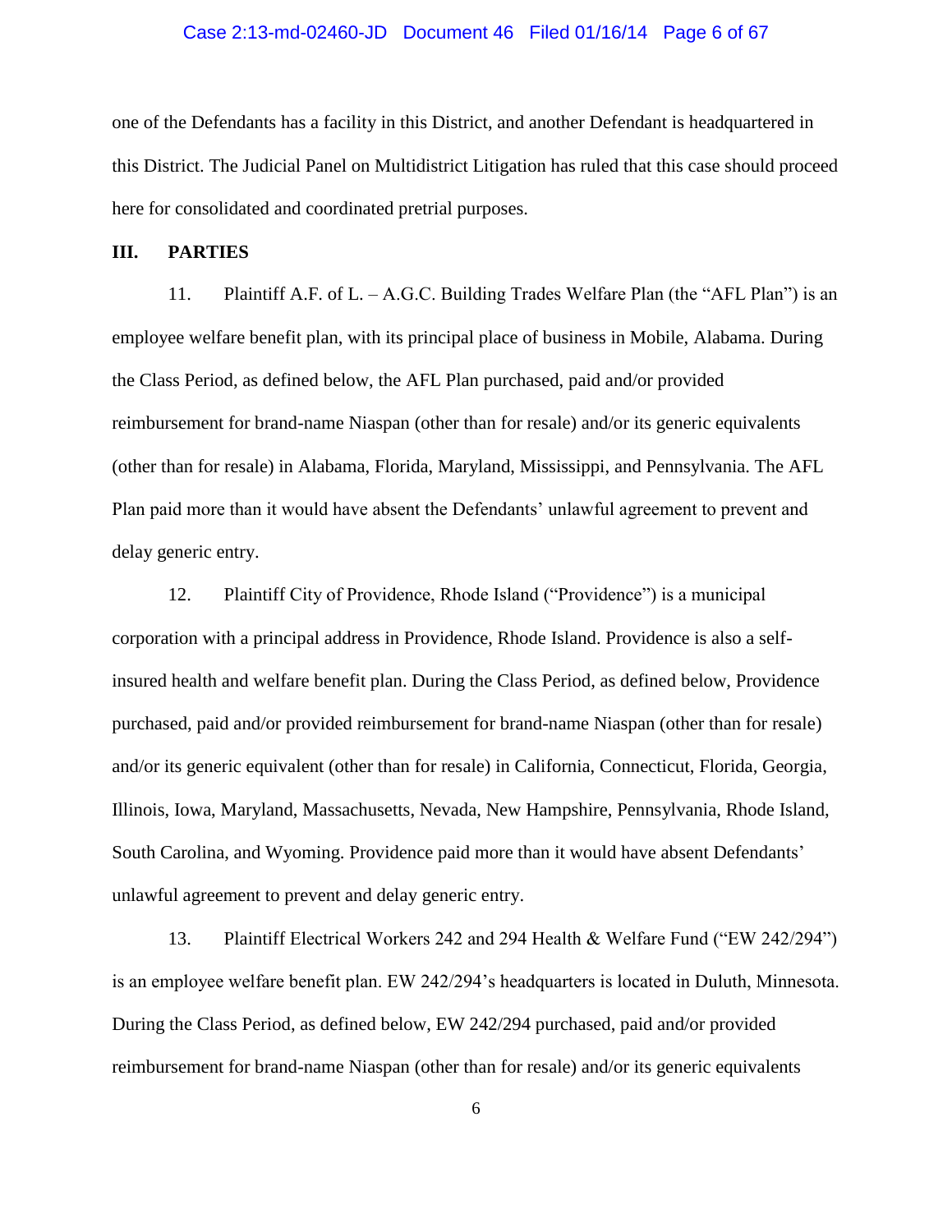#### Case 2:13-md-02460-JD Document 46 Filed 01/16/14 Page 6 of 67

one of the Defendants has a facility in this District, and another Defendant is headquartered in this District. The Judicial Panel on Multidistrict Litigation has ruled that this case should proceed here for consolidated and coordinated pretrial purposes.

### **III. PARTIES**

11. Plaintiff A.F. of L. – A.G.C. Building Trades Welfare Plan (the "AFL Plan") is an employee welfare benefit plan, with its principal place of business in Mobile, Alabama. During the Class Period, as defined below, the AFL Plan purchased, paid and/or provided reimbursement for brand-name Niaspan (other than for resale) and/or its generic equivalents (other than for resale) in Alabama, Florida, Maryland, Mississippi, and Pennsylvania. The AFL Plan paid more than it would have absent the Defendants' unlawful agreement to prevent and delay generic entry.

12. Plaintiff City of Providence, Rhode Island ("Providence") is a municipal corporation with a principal address in Providence, Rhode Island. Providence is also a selfinsured health and welfare benefit plan. During the Class Period, as defined below, Providence purchased, paid and/or provided reimbursement for brand-name Niaspan (other than for resale) and/or its generic equivalent (other than for resale) in California, Connecticut, Florida, Georgia, Illinois, Iowa, Maryland, Massachusetts, Nevada, New Hampshire, Pennsylvania, Rhode Island, South Carolina, and Wyoming. Providence paid more than it would have absent Defendants' unlawful agreement to prevent and delay generic entry.

13. Plaintiff Electrical Workers 242 and 294 Health & Welfare Fund ("EW 242/294") is an employee welfare benefit plan. EW 242/294's headquarters is located in Duluth, Minnesota. During the Class Period, as defined below, EW 242/294 purchased, paid and/or provided reimbursement for brand-name Niaspan (other than for resale) and/or its generic equivalents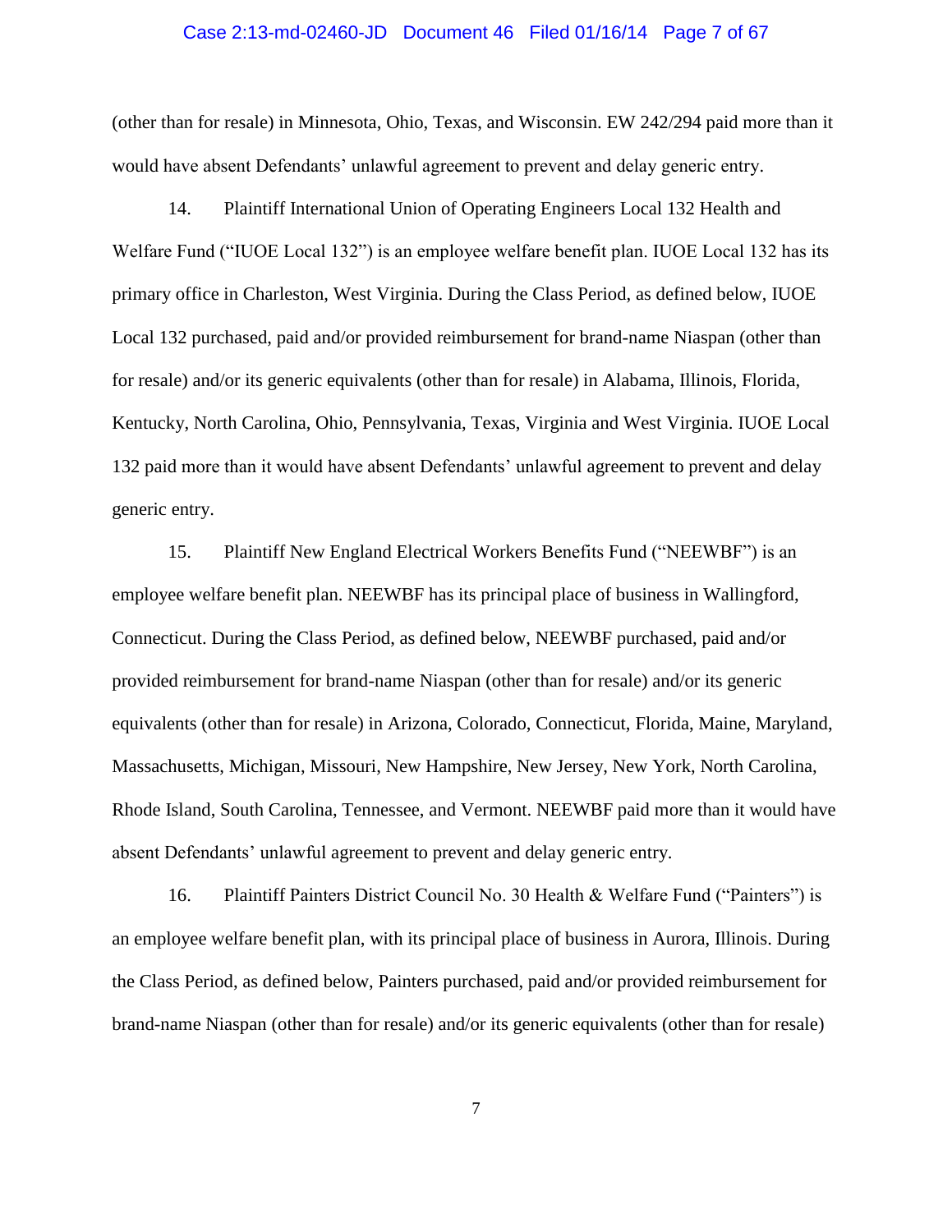#### Case 2:13-md-02460-JD Document 46 Filed 01/16/14 Page 7 of 67

(other than for resale) in Minnesota, Ohio, Texas, and Wisconsin. EW 242/294 paid more than it would have absent Defendants' unlawful agreement to prevent and delay generic entry.

14. Plaintiff International Union of Operating Engineers Local 132 Health and Welfare Fund ("IUOE Local 132") is an employee welfare benefit plan. IUOE Local 132 has its primary office in Charleston, West Virginia. During the Class Period, as defined below, IUOE Local 132 purchased, paid and/or provided reimbursement for brand-name Niaspan (other than for resale) and/or its generic equivalents (other than for resale) in Alabama, Illinois, Florida, Kentucky, North Carolina, Ohio, Pennsylvania, Texas, Virginia and West Virginia. IUOE Local 132 paid more than it would have absent Defendants' unlawful agreement to prevent and delay generic entry.

15. Plaintiff New England Electrical Workers Benefits Fund ("NEEWBF") is an employee welfare benefit plan. NEEWBF has its principal place of business in Wallingford, Connecticut. During the Class Period, as defined below, NEEWBF purchased, paid and/or provided reimbursement for brand-name Niaspan (other than for resale) and/or its generic equivalents (other than for resale) in Arizona, Colorado, Connecticut, Florida, Maine, Maryland, Massachusetts, Michigan, Missouri, New Hampshire, New Jersey, New York, North Carolina, Rhode Island, South Carolina, Tennessee, and Vermont. NEEWBF paid more than it would have absent Defendants' unlawful agreement to prevent and delay generic entry.

16. Plaintiff Painters District Council No. 30 Health & Welfare Fund ("Painters") is an employee welfare benefit plan, with its principal place of business in Aurora, Illinois. During the Class Period, as defined below, Painters purchased, paid and/or provided reimbursement for brand-name Niaspan (other than for resale) and/or its generic equivalents (other than for resale)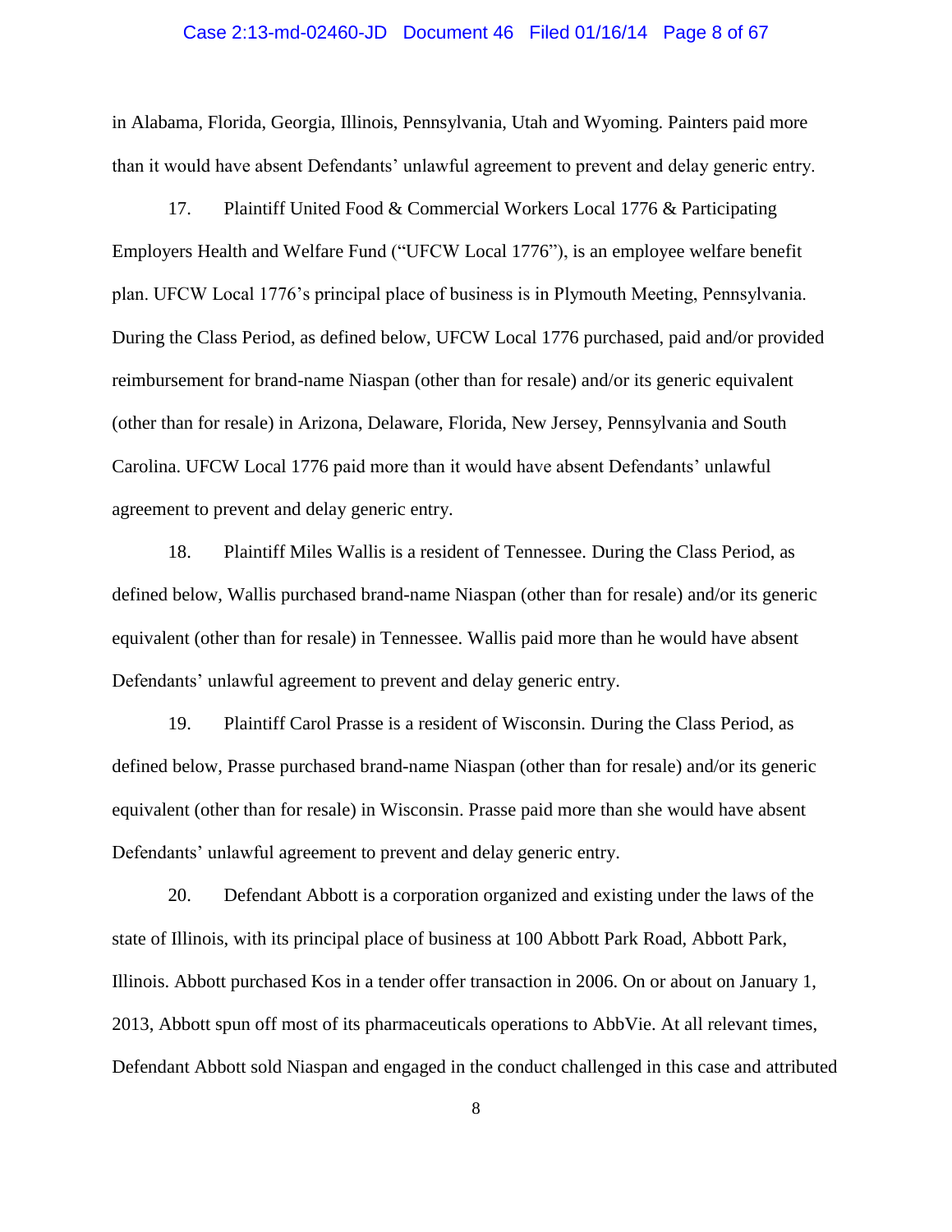#### Case 2:13-md-02460-JD Document 46 Filed 01/16/14 Page 8 of 67

in Alabama, Florida, Georgia, Illinois, Pennsylvania, Utah and Wyoming. Painters paid more than it would have absent Defendants' unlawful agreement to prevent and delay generic entry.

17. Plaintiff United Food & Commercial Workers Local 1776 & Participating Employers Health and Welfare Fund ("UFCW Local 1776"), is an employee welfare benefit plan. UFCW Local 1776's principal place of business is in Plymouth Meeting, Pennsylvania. During the Class Period, as defined below, UFCW Local 1776 purchased, paid and/or provided reimbursement for brand-name Niaspan (other than for resale) and/or its generic equivalent (other than for resale) in Arizona, Delaware, Florida, New Jersey, Pennsylvania and South Carolina. UFCW Local 1776 paid more than it would have absent Defendants' unlawful agreement to prevent and delay generic entry.

18. Plaintiff Miles Wallis is a resident of Tennessee. During the Class Period, as defined below, Wallis purchased brand-name Niaspan (other than for resale) and/or its generic equivalent (other than for resale) in Tennessee. Wallis paid more than he would have absent Defendants' unlawful agreement to prevent and delay generic entry.

19. Plaintiff Carol Prasse is a resident of Wisconsin. During the Class Period, as defined below, Prasse purchased brand-name Niaspan (other than for resale) and/or its generic equivalent (other than for resale) in Wisconsin. Prasse paid more than she would have absent Defendants' unlawful agreement to prevent and delay generic entry.

20. Defendant Abbott is a corporation organized and existing under the laws of the state of Illinois, with its principal place of business at 100 Abbott Park Road, Abbott Park, Illinois. Abbott purchased Kos in a tender offer transaction in 2006. On or about on January 1, 2013, Abbott spun off most of its pharmaceuticals operations to AbbVie. At all relevant times, Defendant Abbott sold Niaspan and engaged in the conduct challenged in this case and attributed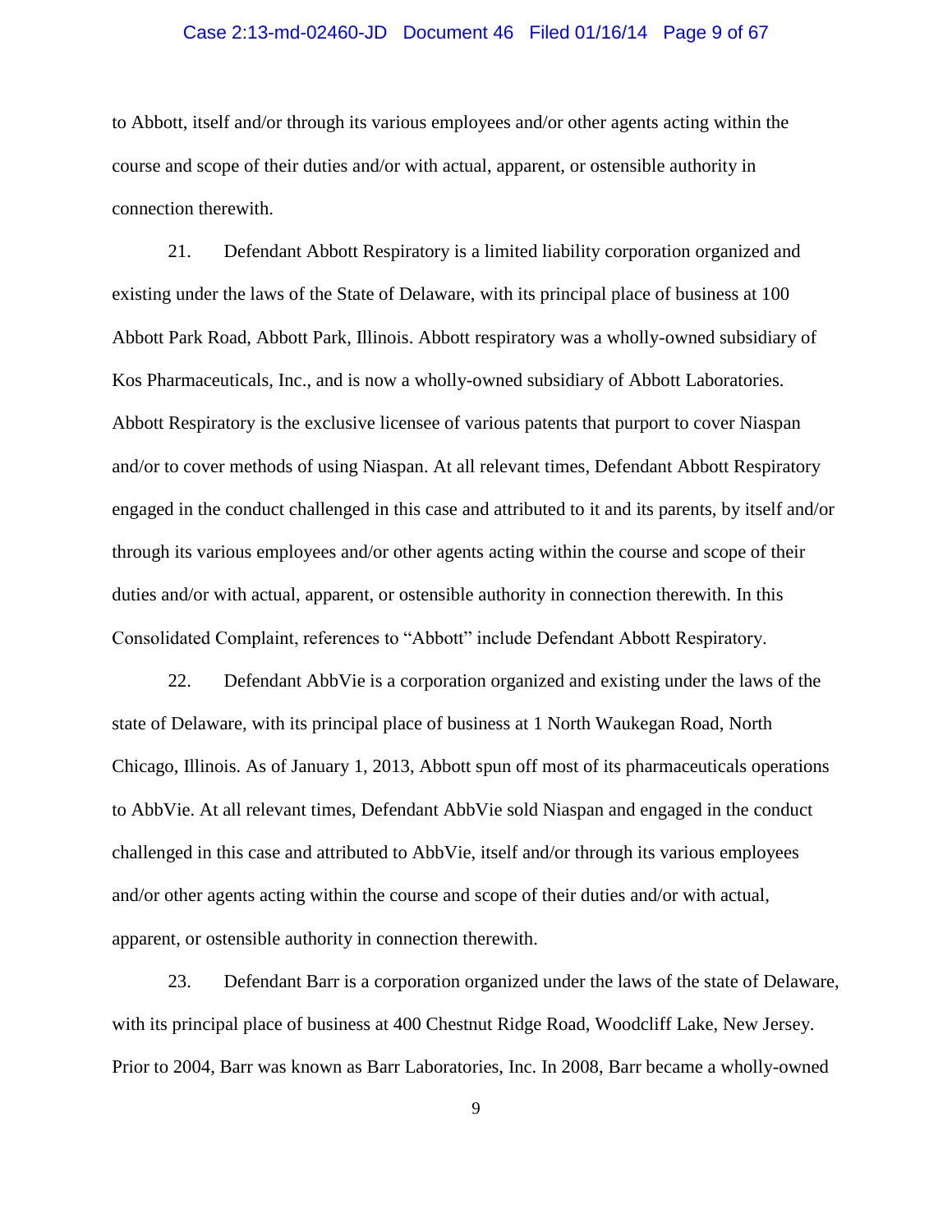#### Case 2:13-md-02460-JD Document 46 Filed 01/16/14 Page 9 of 67

to Abbott, itself and/or through its various employees and/or other agents acting within the course and scope of their duties and/or with actual, apparent, or ostensible authority in connection therewith.

21. Defendant Abbott Respiratory is a limited liability corporation organized and existing under the laws of the State of Delaware, with its principal place of business at 100 Abbott Park Road, Abbott Park, Illinois. Abbott respiratory was a wholly-owned subsidiary of Kos Pharmaceuticals, Inc., and is now a wholly-owned subsidiary of Abbott Laboratories. Abbott Respiratory is the exclusive licensee of various patents that purport to cover Niaspan and/or to cover methods of using Niaspan. At all relevant times, Defendant Abbott Respiratory engaged in the conduct challenged in this case and attributed to it and its parents, by itself and/or through its various employees and/or other agents acting within the course and scope of their duties and/or with actual, apparent, or ostensible authority in connection therewith. In this Consolidated Complaint, references to "Abbott" include Defendant Abbott Respiratory.

22. Defendant AbbVie is a corporation organized and existing under the laws of the state of Delaware, with its principal place of business at 1 North Waukegan Road, North Chicago, Illinois. As of January 1, 2013, Abbott spun off most of its pharmaceuticals operations to AbbVie. At all relevant times, Defendant AbbVie sold Niaspan and engaged in the conduct challenged in this case and attributed to AbbVie, itself and/or through its various employees and/or other agents acting within the course and scope of their duties and/or with actual, apparent, or ostensible authority in connection therewith.

23. Defendant Barr is a corporation organized under the laws of the state of Delaware, with its principal place of business at 400 Chestnut Ridge Road, Woodcliff Lake, New Jersey. Prior to 2004, Barr was known as Barr Laboratories, Inc. In 2008, Barr became a wholly-owned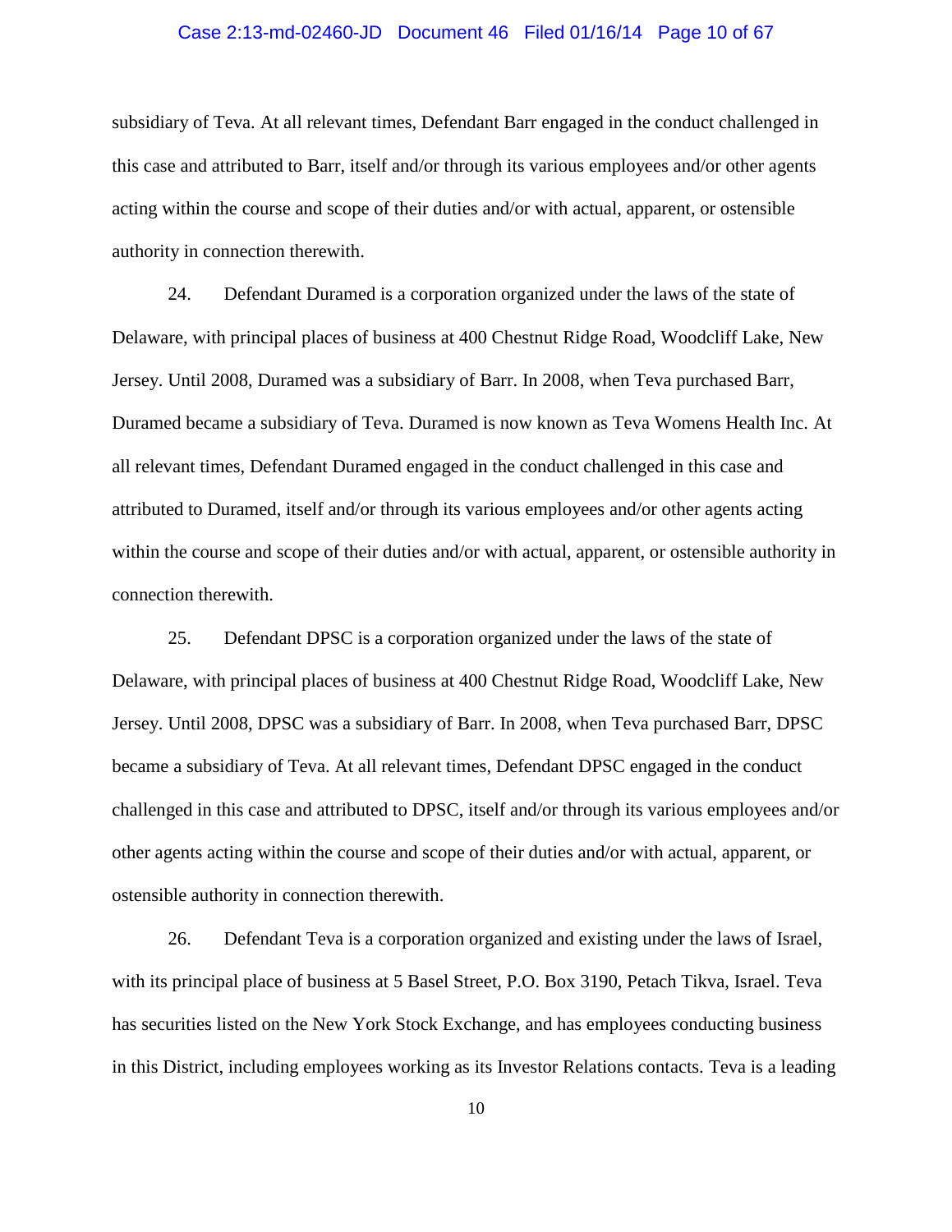#### Case 2:13-md-02460-JD Document 46 Filed 01/16/14 Page 10 of 67

subsidiary of Teva. At all relevant times, Defendant Barr engaged in the conduct challenged in this case and attributed to Barr, itself and/or through its various employees and/or other agents acting within the course and scope of their duties and/or with actual, apparent, or ostensible authority in connection therewith.

24. Defendant Duramed is a corporation organized under the laws of the state of Delaware, with principal places of business at 400 Chestnut Ridge Road, Woodcliff Lake, New Jersey. Until 2008, Duramed was a subsidiary of Barr. In 2008, when Teva purchased Barr, Duramed became a subsidiary of Teva. Duramed is now known as Teva Womens Health Inc. At all relevant times, Defendant Duramed engaged in the conduct challenged in this case and attributed to Duramed, itself and/or through its various employees and/or other agents acting within the course and scope of their duties and/or with actual, apparent, or ostensible authority in connection therewith.

25. Defendant DPSC is a corporation organized under the laws of the state of Delaware, with principal places of business at 400 Chestnut Ridge Road, Woodcliff Lake, New Jersey. Until 2008, DPSC was a subsidiary of Barr. In 2008, when Teva purchased Barr, DPSC became a subsidiary of Teva. At all relevant times, Defendant DPSC engaged in the conduct challenged in this case and attributed to DPSC, itself and/or through its various employees and/or other agents acting within the course and scope of their duties and/or with actual, apparent, or ostensible authority in connection therewith.

26. Defendant Teva is a corporation organized and existing under the laws of Israel, with its principal place of business at 5 Basel Street, P.O. Box 3190, Petach Tikva, Israel. Teva has securities listed on the New York Stock Exchange, and has employees conducting business in this District, including employees working as its Investor Relations contacts. Teva is a leading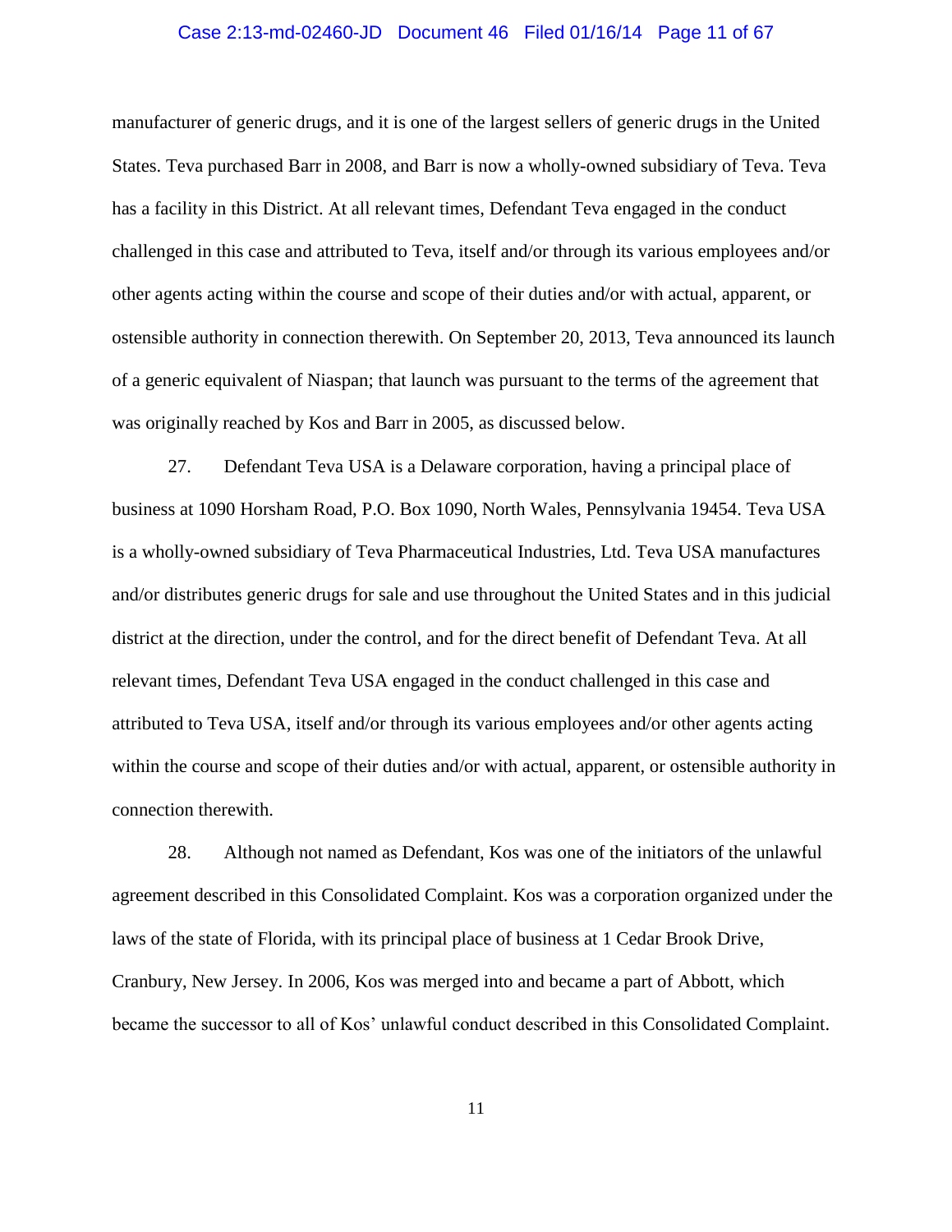#### Case 2:13-md-02460-JD Document 46 Filed 01/16/14 Page 11 of 67

manufacturer of generic drugs, and it is one of the largest sellers of generic drugs in the United States. Teva purchased Barr in 2008, and Barr is now a wholly-owned subsidiary of Teva. Teva has a facility in this District. At all relevant times, Defendant Teva engaged in the conduct challenged in this case and attributed to Teva, itself and/or through its various employees and/or other agents acting within the course and scope of their duties and/or with actual, apparent, or ostensible authority in connection therewith. On September 20, 2013, Teva announced its launch of a generic equivalent of Niaspan; that launch was pursuant to the terms of the agreement that was originally reached by Kos and Barr in 2005, as discussed below.

27. Defendant Teva USA is a Delaware corporation, having a principal place of business at 1090 Horsham Road, P.O. Box 1090, North Wales, Pennsylvania 19454. Teva USA is a wholly-owned subsidiary of Teva Pharmaceutical Industries, Ltd. Teva USA manufactures and/or distributes generic drugs for sale and use throughout the United States and in this judicial district at the direction, under the control, and for the direct benefit of Defendant Teva. At all relevant times, Defendant Teva USA engaged in the conduct challenged in this case and attributed to Teva USA, itself and/or through its various employees and/or other agents acting within the course and scope of their duties and/or with actual, apparent, or ostensible authority in connection therewith.

28. Although not named as Defendant, Kos was one of the initiators of the unlawful agreement described in this Consolidated Complaint. Kos was a corporation organized under the laws of the state of Florida, with its principal place of business at 1 Cedar Brook Drive, Cranbury, New Jersey. In 2006, Kos was merged into and became a part of Abbott, which became the successor to all of Kos' unlawful conduct described in this Consolidated Complaint.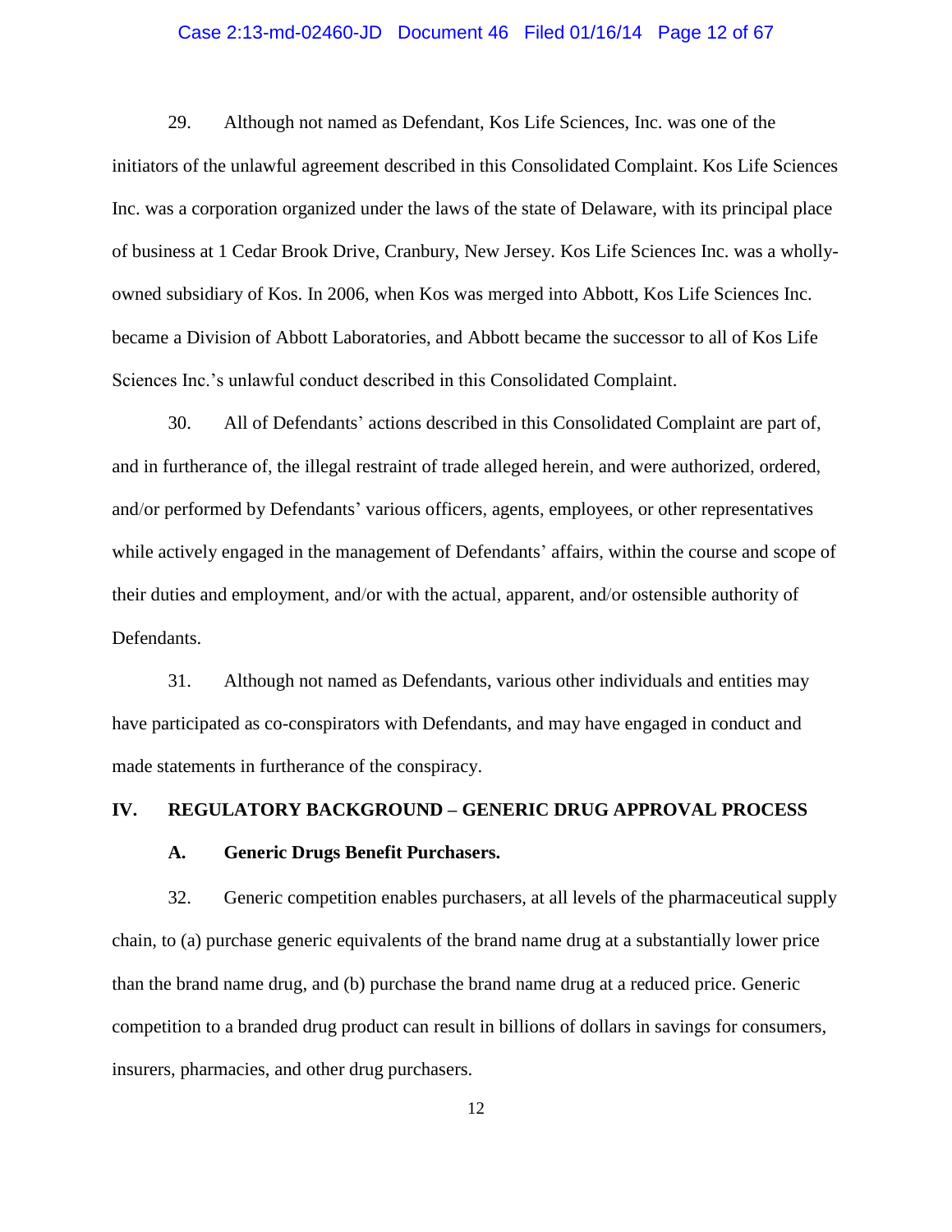#### Case 2:13-md-02460-JD Document 46 Filed 01/16/14 Page 12 of 67

29. Although not named as Defendant, Kos Life Sciences, Inc. was one of the initiators of the unlawful agreement described in this Consolidated Complaint. Kos Life Sciences Inc. was a corporation organized under the laws of the state of Delaware, with its principal place of business at 1 Cedar Brook Drive, Cranbury, New Jersey. Kos Life Sciences Inc. was a whollyowned subsidiary of Kos. In 2006, when Kos was merged into Abbott, Kos Life Sciences Inc. became a Division of Abbott Laboratories, and Abbott became the successor to all of Kos Life Sciences Inc.'s unlawful conduct described in this Consolidated Complaint.

30. All of Defendants' actions described in this Consolidated Complaint are part of, and in furtherance of, the illegal restraint of trade alleged herein, and were authorized, ordered, and/or performed by Defendants' various officers, agents, employees, or other representatives while actively engaged in the management of Defendants' affairs, within the course and scope of their duties and employment, and/or with the actual, apparent, and/or ostensible authority of Defendants.

31. Although not named as Defendants, various other individuals and entities may have participated as co-conspirators with Defendants, and may have engaged in conduct and made statements in furtherance of the conspiracy.

#### **IV. REGULATORY BACKGROUND – GENERIC DRUG APPROVAL PROCESS**

### **A. Generic Drugs Benefit Purchasers.**

32. Generic competition enables purchasers, at all levels of the pharmaceutical supply chain, to (a) purchase generic equivalents of the brand name drug at a substantially lower price than the brand name drug, and (b) purchase the brand name drug at a reduced price. Generic competition to a branded drug product can result in billions of dollars in savings for consumers, insurers, pharmacies, and other drug purchasers.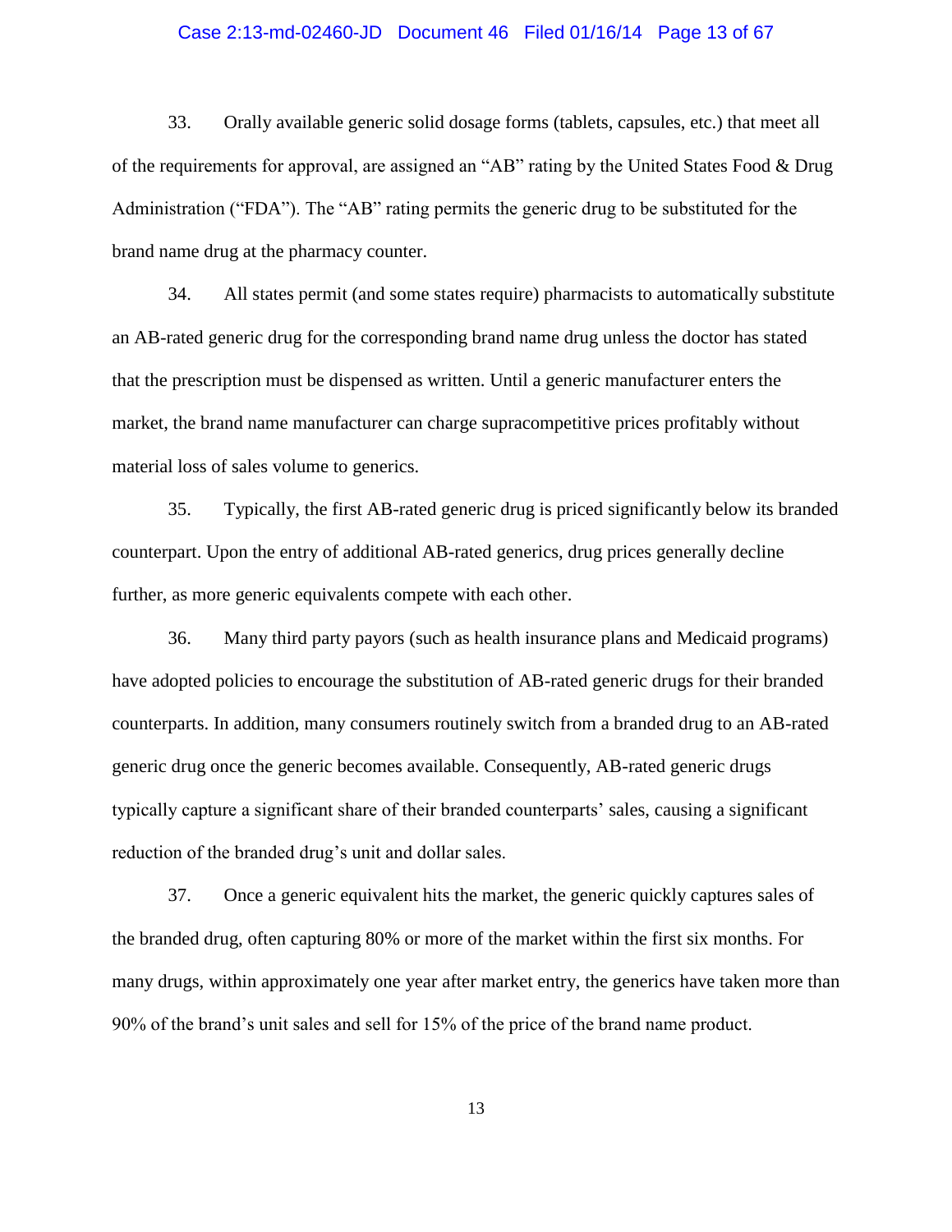#### Case 2:13-md-02460-JD Document 46 Filed 01/16/14 Page 13 of 67

33. Orally available generic solid dosage forms (tablets, capsules, etc.) that meet all of the requirements for approval, are assigned an "AB" rating by the United States Food & Drug Administration ("FDA"). The "AB" rating permits the generic drug to be substituted for the brand name drug at the pharmacy counter.

34. All states permit (and some states require) pharmacists to automatically substitute an AB-rated generic drug for the corresponding brand name drug unless the doctor has stated that the prescription must be dispensed as written. Until a generic manufacturer enters the market, the brand name manufacturer can charge supracompetitive prices profitably without material loss of sales volume to generics.

35. Typically, the first AB-rated generic drug is priced significantly below its branded counterpart. Upon the entry of additional AB-rated generics, drug prices generally decline further, as more generic equivalents compete with each other.

36. Many third party payors (such as health insurance plans and Medicaid programs) have adopted policies to encourage the substitution of AB-rated generic drugs for their branded counterparts. In addition, many consumers routinely switch from a branded drug to an AB-rated generic drug once the generic becomes available. Consequently, AB-rated generic drugs typically capture a significant share of their branded counterparts' sales, causing a significant reduction of the branded drug's unit and dollar sales.

37. Once a generic equivalent hits the market, the generic quickly captures sales of the branded drug, often capturing 80% or more of the market within the first six months. For many drugs, within approximately one year after market entry, the generics have taken more than 90% of the brand's unit sales and sell for 15% of the price of the brand name product.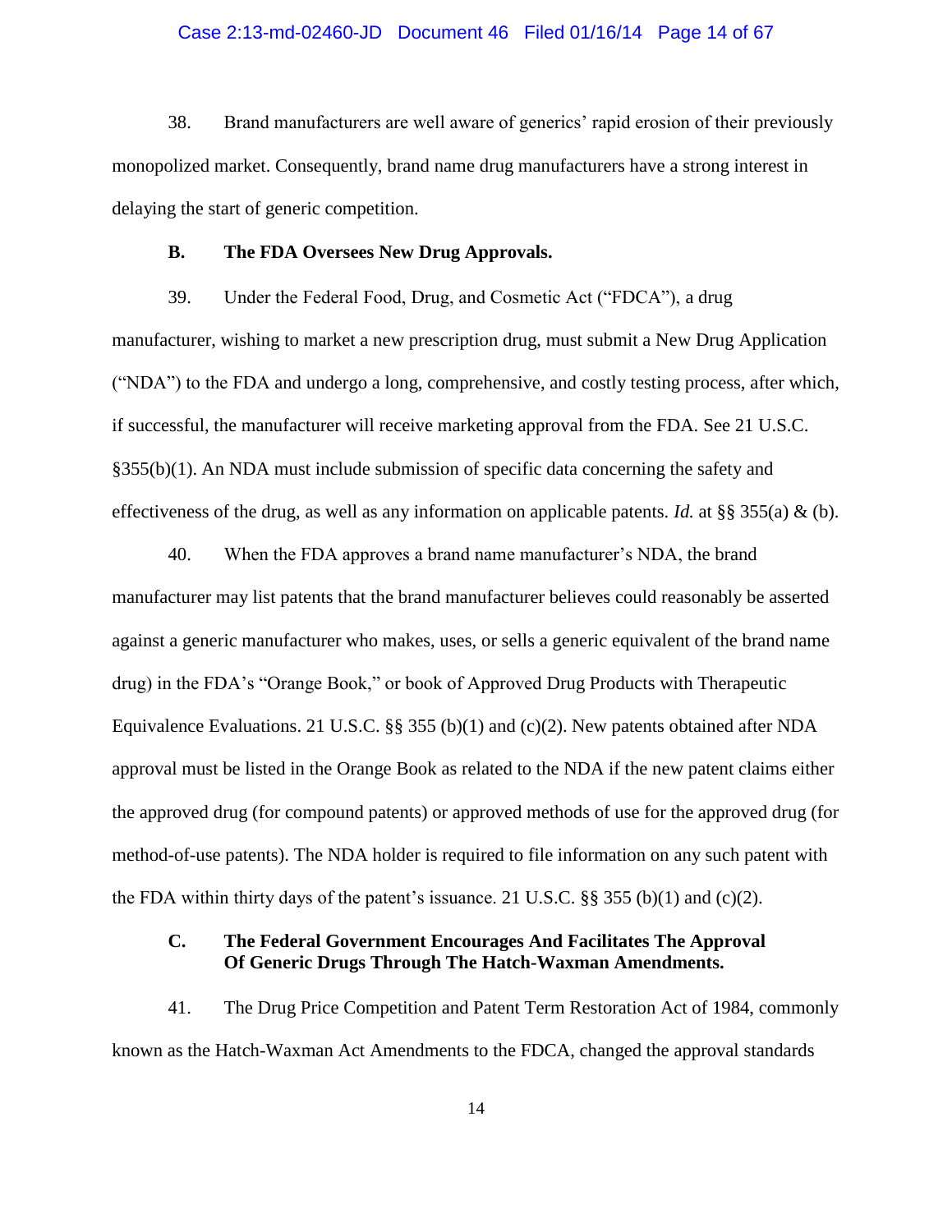#### Case 2:13-md-02460-JD Document 46 Filed 01/16/14 Page 14 of 67

38. Brand manufacturers are well aware of generics' rapid erosion of their previously monopolized market. Consequently, brand name drug manufacturers have a strong interest in delaying the start of generic competition.

### **B. The FDA Oversees New Drug Approvals.**

39. Under the Federal Food, Drug, and Cosmetic Act ("FDCA"), a drug manufacturer, wishing to market a new prescription drug, must submit a New Drug Application ("NDA") to the FDA and undergo a long, comprehensive, and costly testing process, after which, if successful, the manufacturer will receive marketing approval from the FDA. See 21 U.S.C. §355(b)(1). An NDA must include submission of specific data concerning the safety and effectiveness of the drug, as well as any information on applicable patents. *Id.* at §§ 355(a) & (b).

40. When the FDA approves a brand name manufacturer's NDA, the brand manufacturer may list patents that the brand manufacturer believes could reasonably be asserted against a generic manufacturer who makes, uses, or sells a generic equivalent of the brand name drug) in the FDA's "Orange Book," or book of Approved Drug Products with Therapeutic Equivalence Evaluations. 21 U.S.C. §§ 355 (b)(1) and (c)(2). New patents obtained after NDA approval must be listed in the Orange Book as related to the NDA if the new patent claims either the approved drug (for compound patents) or approved methods of use for the approved drug (for method-of-use patents). The NDA holder is required to file information on any such patent with the FDA within thirty days of the patent's issuance. 21 U.S.C.  $\S$ § 355 (b)(1) and (c)(2).

## **C. The Federal Government Encourages And Facilitates The Approval Of Generic Drugs Through The Hatch-Waxman Amendments.**

41. The Drug Price Competition and Patent Term Restoration Act of 1984, commonly known as the Hatch-Waxman Act Amendments to the FDCA, changed the approval standards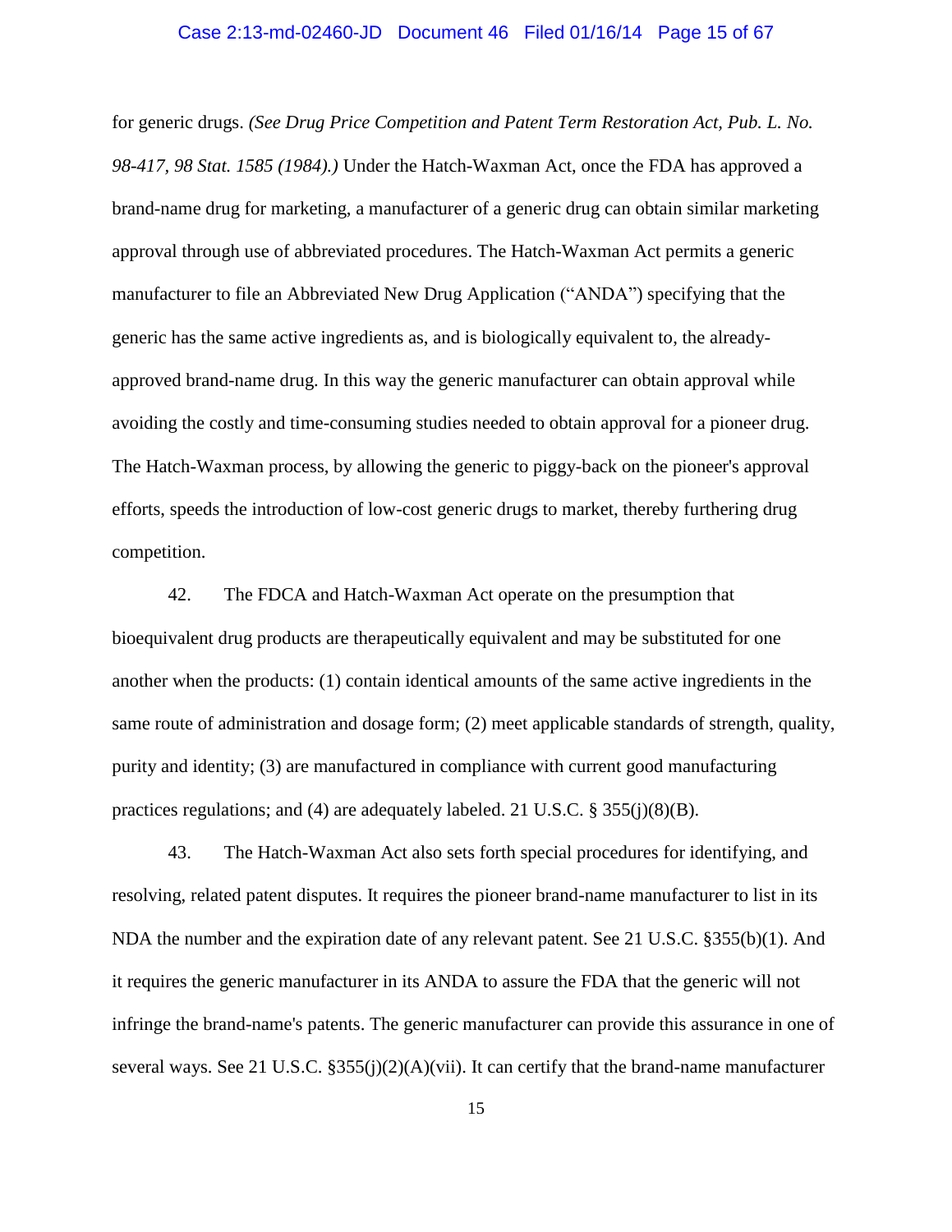#### Case 2:13-md-02460-JD Document 46 Filed 01/16/14 Page 15 of 67

for generic drugs. *(See Drug Price Competition and Patent Term Restoration Act, Pub. L. No. 98-417, 98 Stat. 1585 (1984).)* Under the Hatch-Waxman Act, once the FDA has approved a brand-name drug for marketing, a manufacturer of a generic drug can obtain similar marketing approval through use of abbreviated procedures. The Hatch-Waxman Act permits a generic manufacturer to file an Abbreviated New Drug Application ("ANDA") specifying that the generic has the same active ingredients as, and is biologically equivalent to, the alreadyapproved brand-name drug. In this way the generic manufacturer can obtain approval while avoiding the costly and time-consuming studies needed to obtain approval for a pioneer drug. The Hatch-Waxman process, by allowing the generic to piggy-back on the pioneer's approval efforts, speeds the introduction of low-cost generic drugs to market, thereby furthering drug competition.

42. The FDCA and Hatch-Waxman Act operate on the presumption that bioequivalent drug products are therapeutically equivalent and may be substituted for one another when the products: (1) contain identical amounts of the same active ingredients in the same route of administration and dosage form; (2) meet applicable standards of strength, quality, purity and identity; (3) are manufactured in compliance with current good manufacturing practices regulations; and (4) are adequately labeled. 21 U.S.C. § 355(j)(8)(B).

43. The Hatch-Waxman Act also sets forth special procedures for identifying, and resolving, related patent disputes. It requires the pioneer brand-name manufacturer to list in its NDA the number and the expiration date of any relevant patent. See 21 U.S.C. §355(b)(1). And it requires the generic manufacturer in its ANDA to assure the FDA that the generic will not infringe the brand-name's patents. The generic manufacturer can provide this assurance in one of several ways. See 21 U.S.C. §355(j)(2)(A)(vii). It can certify that the brand-name manufacturer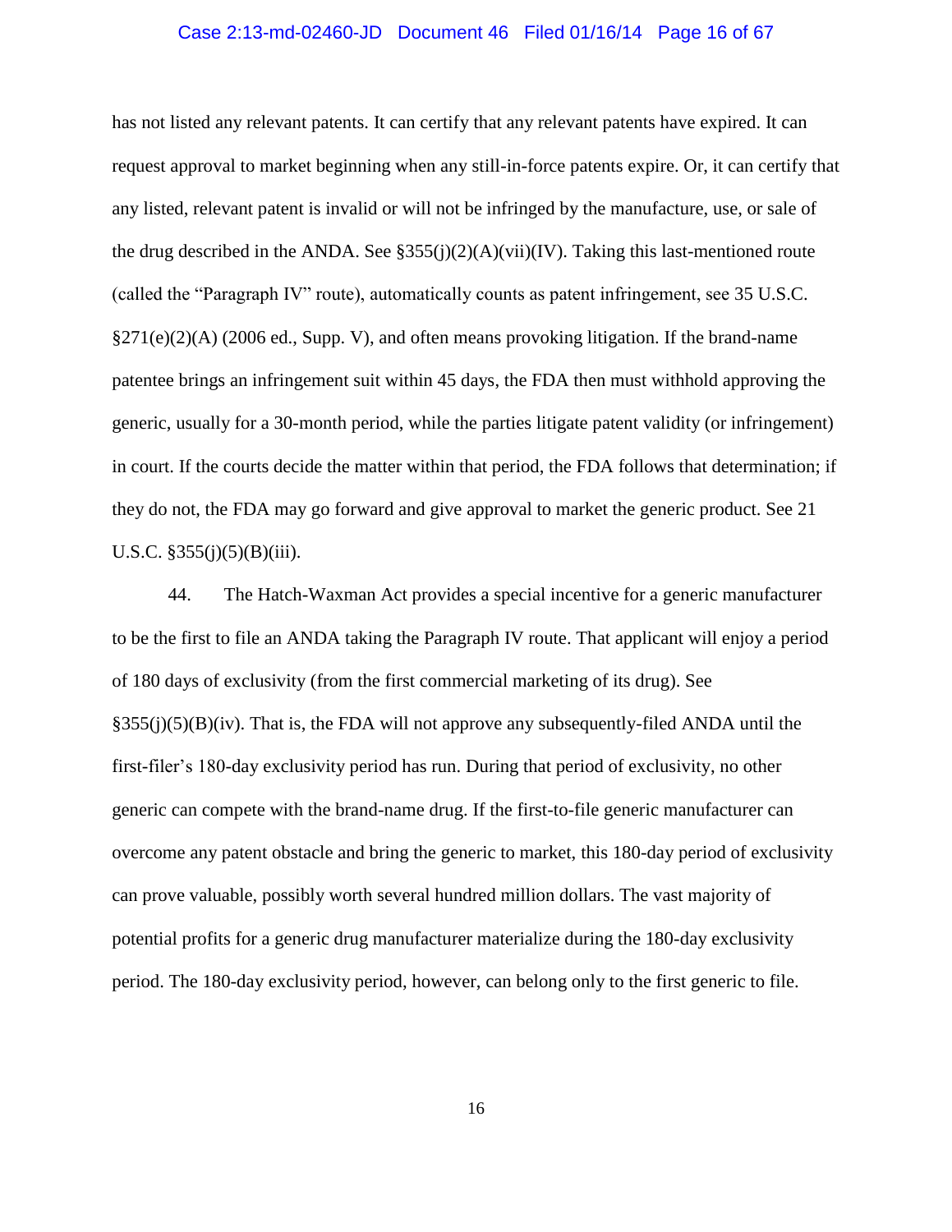#### Case 2:13-md-02460-JD Document 46 Filed 01/16/14 Page 16 of 67

has not listed any relevant patents. It can certify that any relevant patents have expired. It can request approval to market beginning when any still-in-force patents expire. Or, it can certify that any listed, relevant patent is invalid or will not be infringed by the manufacture, use, or sale of the drug described in the ANDA. See  $\S 355(i)(2)(A)(vii)(IV)$ . Taking this last-mentioned route (called the "Paragraph IV" route), automatically counts as patent infringement, see 35 U.S.C. §271(e)(2)(A) (2006 ed., Supp. V), and often means provoking litigation. If the brand-name patentee brings an infringement suit within 45 days, the FDA then must withhold approving the generic, usually for a 30-month period, while the parties litigate patent validity (or infringement) in court. If the courts decide the matter within that period, the FDA follows that determination; if they do not, the FDA may go forward and give approval to market the generic product. See 21 U.S.C.  $$355(i)(5)(B)(iii)$ .

44. The Hatch-Waxman Act provides a special incentive for a generic manufacturer to be the first to file an ANDA taking the Paragraph IV route. That applicant will enjoy a period of 180 days of exclusivity (from the first commercial marketing of its drug). See  $\S 355(j)(5)(B)(iv)$ . That is, the FDA will not approve any subsequently-filed ANDA until the first-filer's 180-day exclusivity period has run. During that period of exclusivity, no other generic can compete with the brand-name drug. If the first-to-file generic manufacturer can overcome any patent obstacle and bring the generic to market, this 180-day period of exclusivity can prove valuable, possibly worth several hundred million dollars. The vast majority of potential profits for a generic drug manufacturer materialize during the 180-day exclusivity period. The 180-day exclusivity period, however, can belong only to the first generic to file.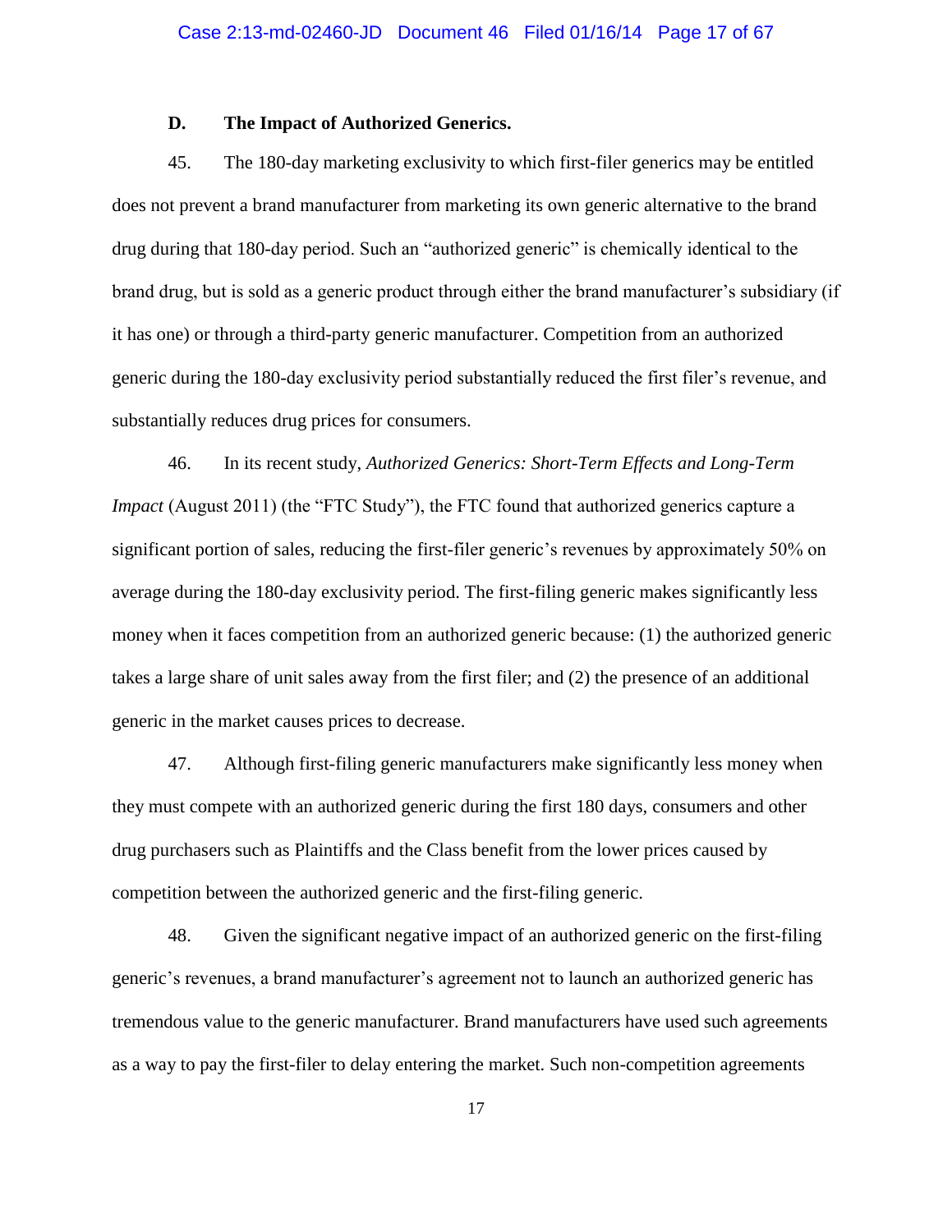### **D. The Impact of Authorized Generics.**

45. The 180-day marketing exclusivity to which first-filer generics may be entitled does not prevent a brand manufacturer from marketing its own generic alternative to the brand drug during that 180-day period. Such an "authorized generic" is chemically identical to the brand drug, but is sold as a generic product through either the brand manufacturer's subsidiary (if it has one) or through a third-party generic manufacturer. Competition from an authorized generic during the 180-day exclusivity period substantially reduced the first filer's revenue, and substantially reduces drug prices for consumers.

46. In its recent study, *Authorized Generics: Short-Term Effects and Long-Term Impact* (August 2011) (the "FTC Study"), the FTC found that authorized generics capture a significant portion of sales, reducing the first-filer generic's revenues by approximately 50% on average during the 180-day exclusivity period. The first-filing generic makes significantly less money when it faces competition from an authorized generic because: (1) the authorized generic takes a large share of unit sales away from the first filer; and (2) the presence of an additional generic in the market causes prices to decrease.

47. Although first-filing generic manufacturers make significantly less money when they must compete with an authorized generic during the first 180 days, consumers and other drug purchasers such as Plaintiffs and the Class benefit from the lower prices caused by competition between the authorized generic and the first-filing generic.

48. Given the significant negative impact of an authorized generic on the first-filing generic's revenues, a brand manufacturer's agreement not to launch an authorized generic has tremendous value to the generic manufacturer. Brand manufacturers have used such agreements as a way to pay the first-filer to delay entering the market. Such non-competition agreements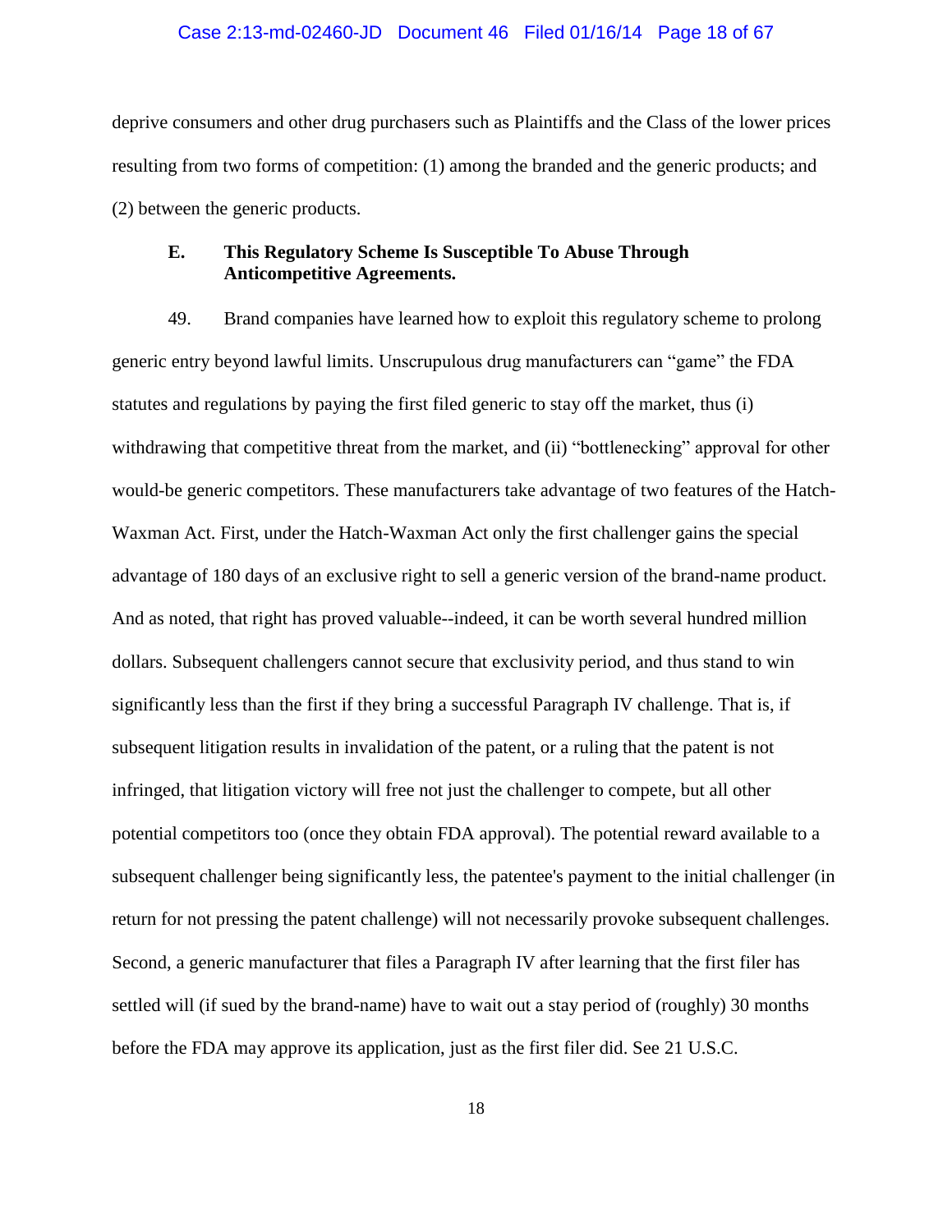#### Case 2:13-md-02460-JD Document 46 Filed 01/16/14 Page 18 of 67

deprive consumers and other drug purchasers such as Plaintiffs and the Class of the lower prices resulting from two forms of competition: (1) among the branded and the generic products; and (2) between the generic products.

## **E. This Regulatory Scheme Is Susceptible To Abuse Through Anticompetitive Agreements.**

49. Brand companies have learned how to exploit this regulatory scheme to prolong generic entry beyond lawful limits. Unscrupulous drug manufacturers can "game" the FDA statutes and regulations by paying the first filed generic to stay off the market, thus (i) withdrawing that competitive threat from the market, and (ii) "bottlenecking" approval for other would-be generic competitors. These manufacturers take advantage of two features of the Hatch-Waxman Act. First, under the Hatch-Waxman Act only the first challenger gains the special advantage of 180 days of an exclusive right to sell a generic version of the brand-name product. And as noted, that right has proved valuable--indeed, it can be worth several hundred million dollars. Subsequent challengers cannot secure that exclusivity period, and thus stand to win significantly less than the first if they bring a successful Paragraph IV challenge. That is, if subsequent litigation results in invalidation of the patent, or a ruling that the patent is not infringed, that litigation victory will free not just the challenger to compete, but all other potential competitors too (once they obtain FDA approval). The potential reward available to a subsequent challenger being significantly less, the patentee's payment to the initial challenger (in return for not pressing the patent challenge) will not necessarily provoke subsequent challenges. Second, a generic manufacturer that files a Paragraph IV after learning that the first filer has settled will (if sued by the brand-name) have to wait out a stay period of (roughly) 30 months before the FDA may approve its application, just as the first filer did. See 21 U.S.C.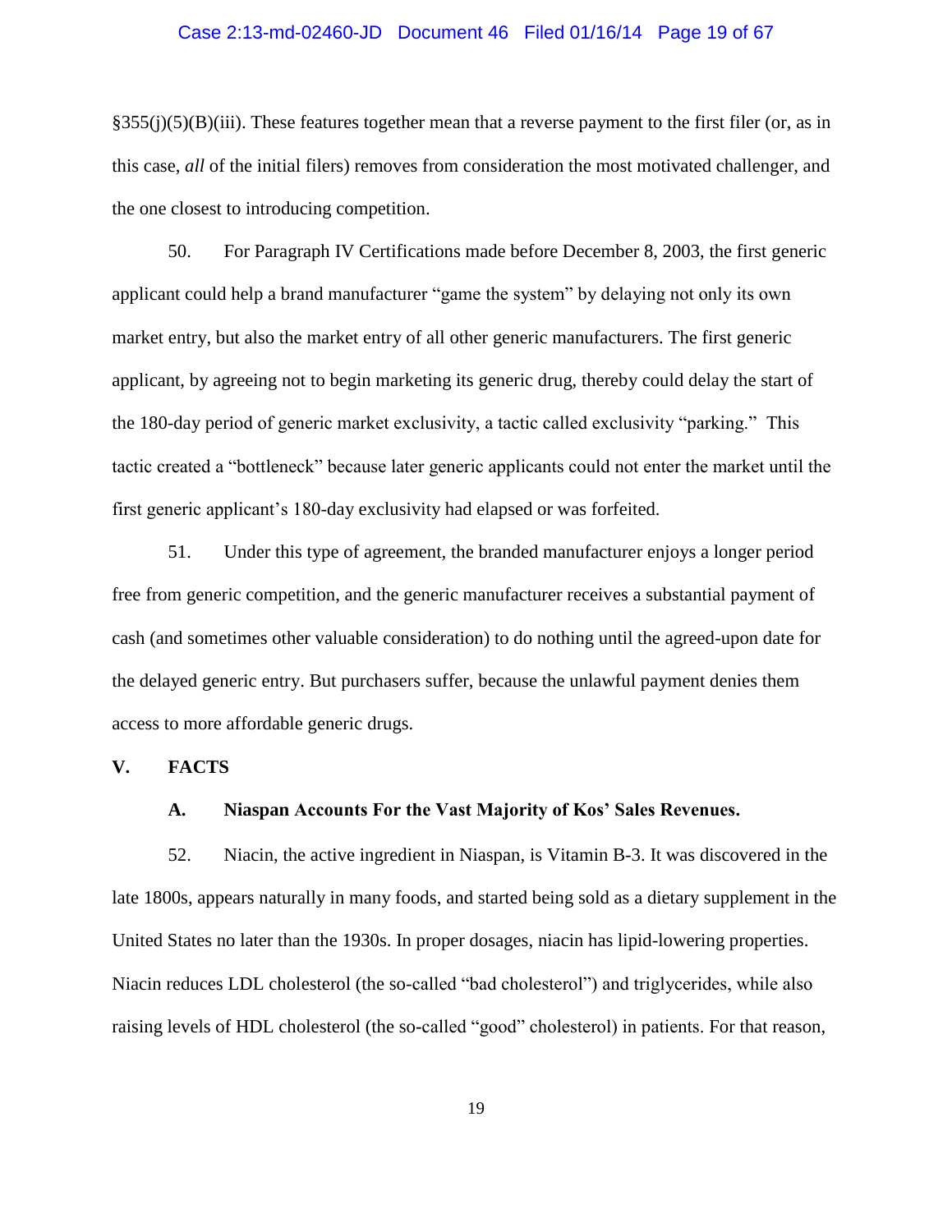#### Case 2:13-md-02460-JD Document 46 Filed 01/16/14 Page 19 of 67

§355(j)(5)(B)(iii). These features together mean that a reverse payment to the first filer (or, as in this case, *all* of the initial filers) removes from consideration the most motivated challenger, and the one closest to introducing competition.

50. For Paragraph IV Certifications made before December 8, 2003, the first generic applicant could help a brand manufacturer "game the system" by delaying not only its own market entry, but also the market entry of all other generic manufacturers. The first generic applicant, by agreeing not to begin marketing its generic drug, thereby could delay the start of the 180-day period of generic market exclusivity, a tactic called exclusivity "parking." This tactic created a "bottleneck" because later generic applicants could not enter the market until the first generic applicant's 180-day exclusivity had elapsed or was forfeited.

51. Under this type of agreement, the branded manufacturer enjoys a longer period free from generic competition, and the generic manufacturer receives a substantial payment of cash (and sometimes other valuable consideration) to do nothing until the agreed-upon date for the delayed generic entry. But purchasers suffer, because the unlawful payment denies them access to more affordable generic drugs.

## **V. FACTS**

### **A. Niaspan Accounts For the Vast Majority of Kos' Sales Revenues.**

52. Niacin, the active ingredient in Niaspan, is Vitamin B-3. It was discovered in the late 1800s, appears naturally in many foods, and started being sold as a dietary supplement in the United States no later than the 1930s. In proper dosages, niacin has lipid-lowering properties. Niacin reduces LDL cholesterol (the so-called "bad cholesterol") and triglycerides, while also raising levels of HDL cholesterol (the so-called "good" cholesterol) in patients. For that reason,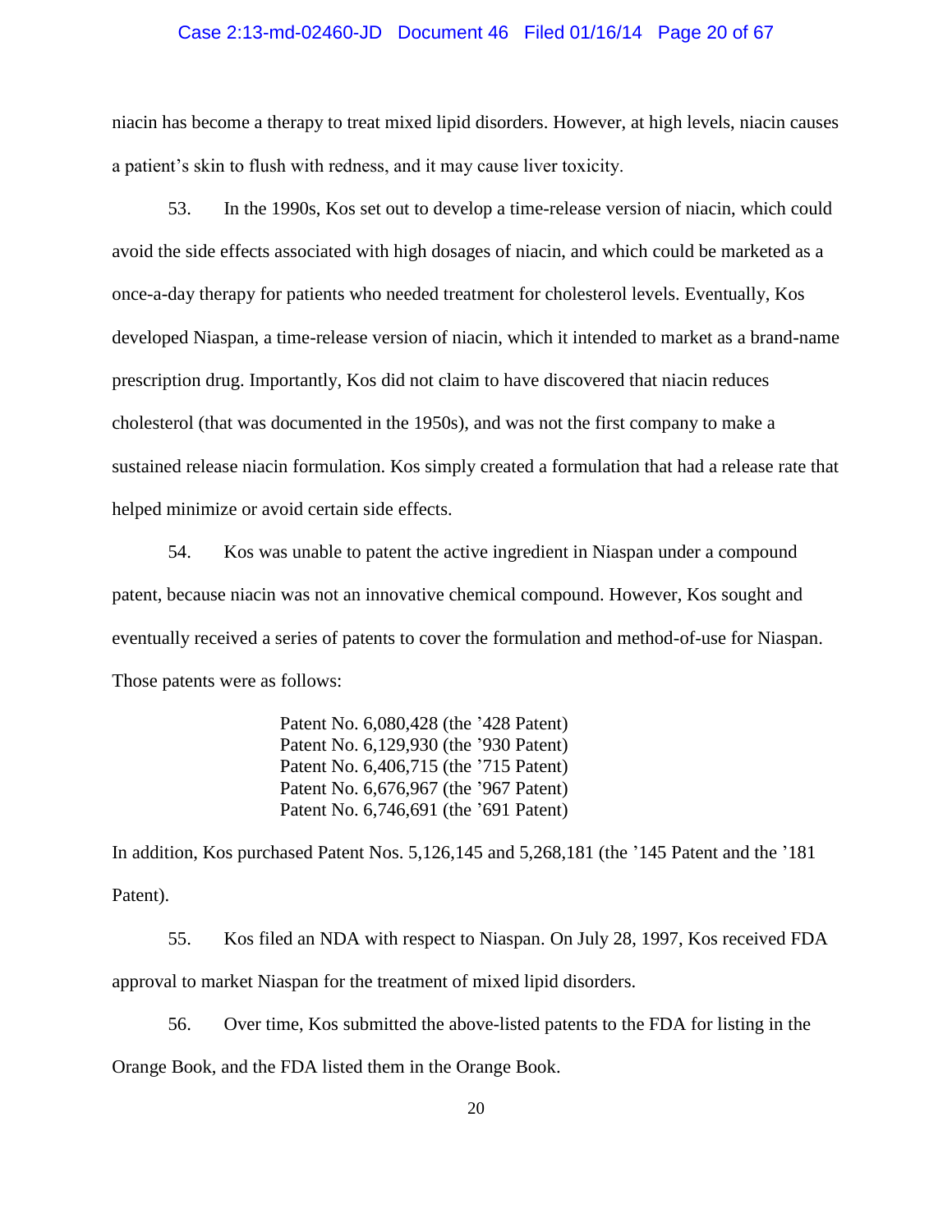#### Case 2:13-md-02460-JD Document 46 Filed 01/16/14 Page 20 of 67

niacin has become a therapy to treat mixed lipid disorders. However, at high levels, niacin causes a patient's skin to flush with redness, and it may cause liver toxicity.

53. In the 1990s, Kos set out to develop a time-release version of niacin, which could avoid the side effects associated with high dosages of niacin, and which could be marketed as a once-a-day therapy for patients who needed treatment for cholesterol levels. Eventually, Kos developed Niaspan, a time-release version of niacin, which it intended to market as a brand-name prescription drug. Importantly, Kos did not claim to have discovered that niacin reduces cholesterol (that was documented in the 1950s), and was not the first company to make a sustained release niacin formulation. Kos simply created a formulation that had a release rate that helped minimize or avoid certain side effects.

54. Kos was unable to patent the active ingredient in Niaspan under a compound patent, because niacin was not an innovative chemical compound. However, Kos sought and eventually received a series of patents to cover the formulation and method-of-use for Niaspan. Those patents were as follows:

> Patent No. 6,080,428 (the '428 Patent) Patent No. 6,129,930 (the '930 Patent) Patent No. 6,406,715 (the '715 Patent) Patent No. 6,676,967 (the '967 Patent) Patent No. 6,746,691 (the '691 Patent)

In addition, Kos purchased Patent Nos. 5,126,145 and 5,268,181 (the '145 Patent and the '181 Patent).

55. Kos filed an NDA with respect to Niaspan. On July 28, 1997, Kos received FDA approval to market Niaspan for the treatment of mixed lipid disorders.

56. Over time, Kos submitted the above-listed patents to the FDA for listing in the Orange Book, and the FDA listed them in the Orange Book.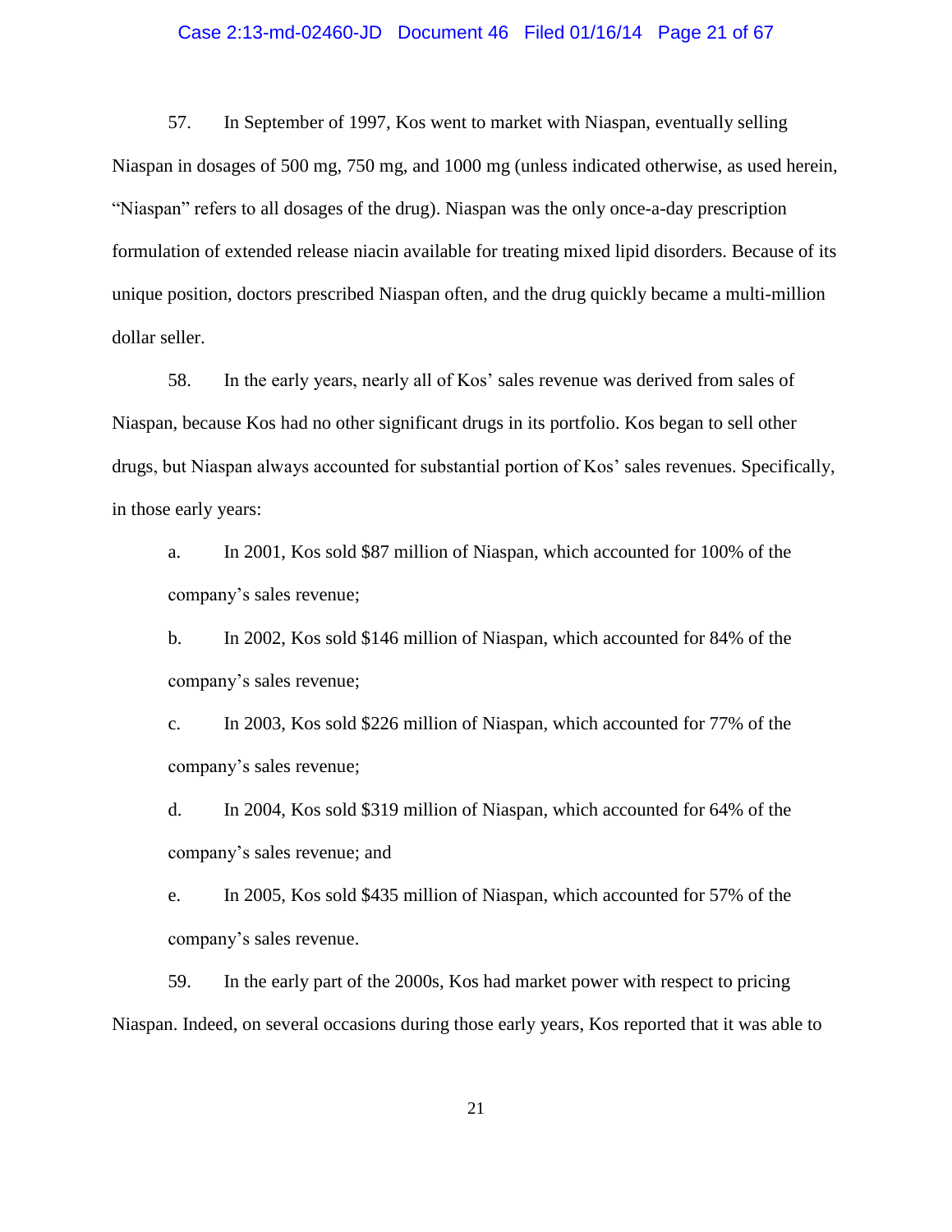#### Case 2:13-md-02460-JD Document 46 Filed 01/16/14 Page 21 of 67

57. In September of 1997, Kos went to market with Niaspan, eventually selling Niaspan in dosages of 500 mg, 750 mg, and 1000 mg (unless indicated otherwise, as used herein, "Niaspan" refers to all dosages of the drug). Niaspan was the only once-a-day prescription formulation of extended release niacin available for treating mixed lipid disorders. Because of its unique position, doctors prescribed Niaspan often, and the drug quickly became a multi-million dollar seller.

58. In the early years, nearly all of Kos' sales revenue was derived from sales of Niaspan, because Kos had no other significant drugs in its portfolio. Kos began to sell other drugs, but Niaspan always accounted for substantial portion of Kos' sales revenues. Specifically, in those early years:

a. In 2001, Kos sold \$87 million of Niaspan, which accounted for 100% of the company's sales revenue;

b. In 2002, Kos sold \$146 million of Niaspan, which accounted for 84% of the company's sales revenue;

c. In 2003, Kos sold \$226 million of Niaspan, which accounted for 77% of the company's sales revenue;

d. In 2004, Kos sold \$319 million of Niaspan, which accounted for 64% of the company's sales revenue; and

e. In 2005, Kos sold \$435 million of Niaspan, which accounted for 57% of the company's sales revenue.

59. In the early part of the 2000s, Kos had market power with respect to pricing Niaspan. Indeed, on several occasions during those early years, Kos reported that it was able to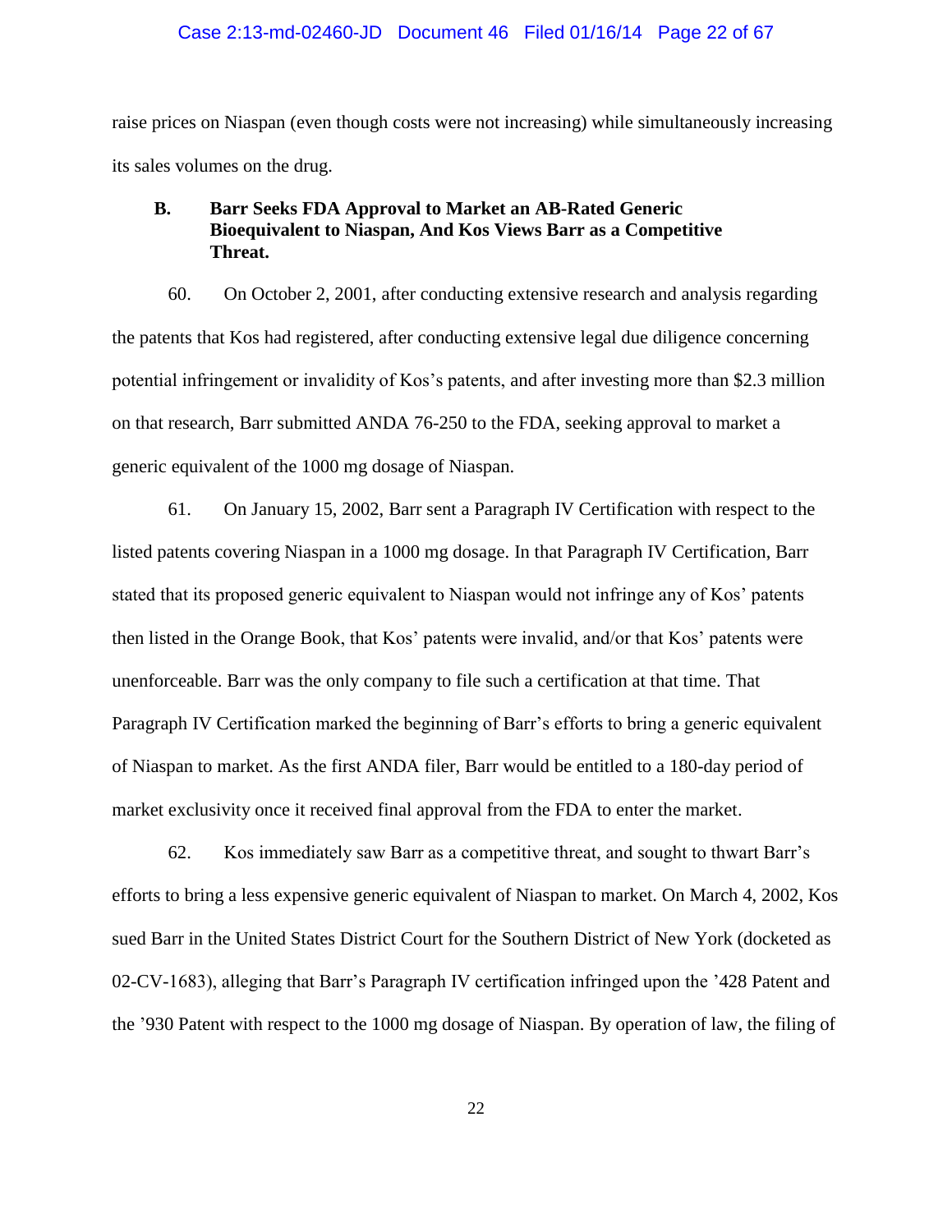#### Case 2:13-md-02460-JD Document 46 Filed 01/16/14 Page 22 of 67

raise prices on Niaspan (even though costs were not increasing) while simultaneously increasing its sales volumes on the drug.

# **B. Barr Seeks FDA Approval to Market an AB-Rated Generic Bioequivalent to Niaspan, And Kos Views Barr as a Competitive Threat.**

60. On October 2, 2001, after conducting extensive research and analysis regarding the patents that Kos had registered, after conducting extensive legal due diligence concerning potential infringement or invalidity of Kos's patents, and after investing more than \$2.3 million on that research, Barr submitted ANDA 76-250 to the FDA, seeking approval to market a generic equivalent of the 1000 mg dosage of Niaspan.

61. On January 15, 2002, Barr sent a Paragraph IV Certification with respect to the listed patents covering Niaspan in a 1000 mg dosage. In that Paragraph IV Certification, Barr stated that its proposed generic equivalent to Niaspan would not infringe any of Kos' patents then listed in the Orange Book, that Kos' patents were invalid, and/or that Kos' patents were unenforceable. Barr was the only company to file such a certification at that time. That Paragraph IV Certification marked the beginning of Barr's efforts to bring a generic equivalent of Niaspan to market. As the first ANDA filer, Barr would be entitled to a 180-day period of market exclusivity once it received final approval from the FDA to enter the market.

62. Kos immediately saw Barr as a competitive threat, and sought to thwart Barr's efforts to bring a less expensive generic equivalent of Niaspan to market. On March 4, 2002, Kos sued Barr in the United States District Court for the Southern District of New York (docketed as 02-CV-1683), alleging that Barr's Paragraph IV certification infringed upon the '428 Patent and the '930 Patent with respect to the 1000 mg dosage of Niaspan. By operation of law, the filing of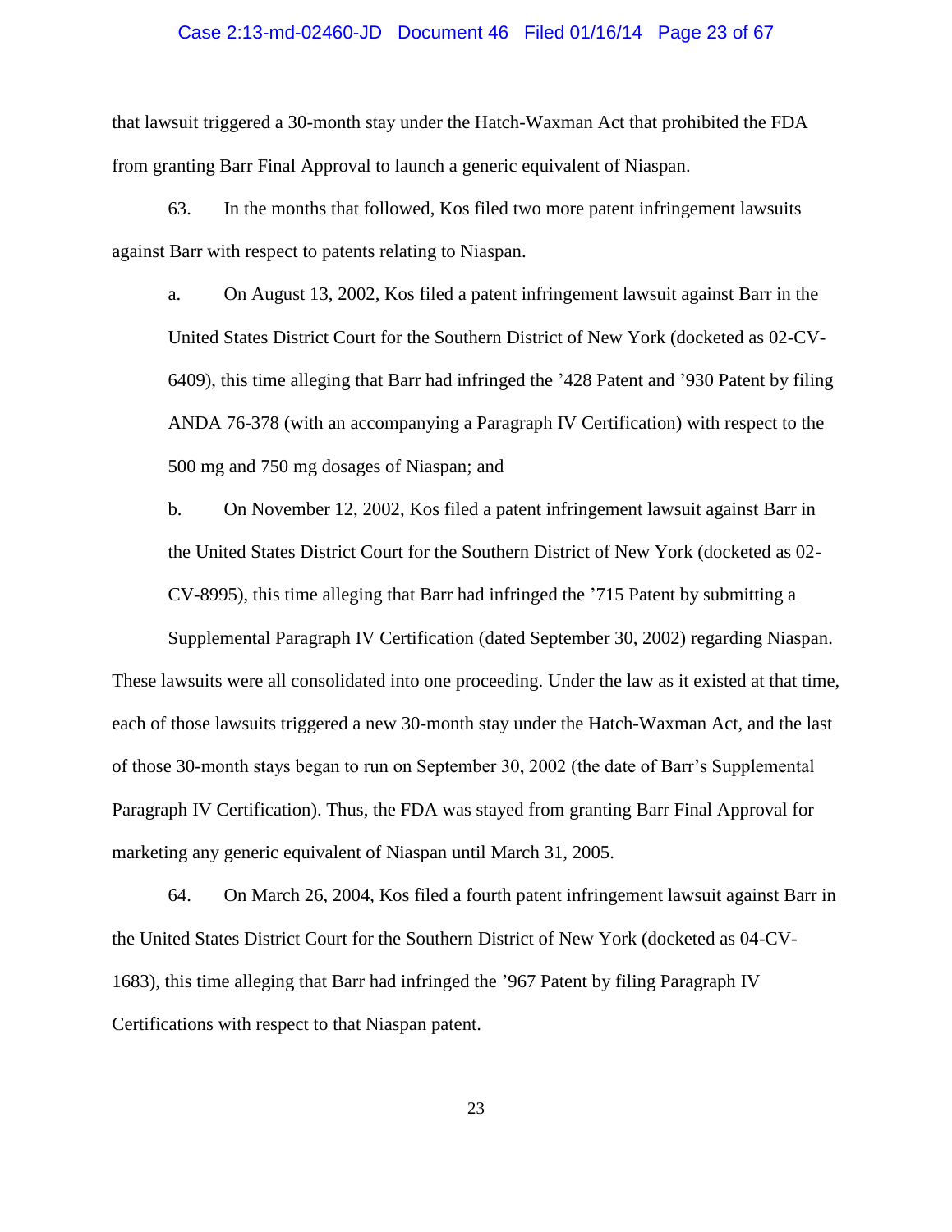#### Case 2:13-md-02460-JD Document 46 Filed 01/16/14 Page 23 of 67

that lawsuit triggered a 30-month stay under the Hatch-Waxman Act that prohibited the FDA from granting Barr Final Approval to launch a generic equivalent of Niaspan.

63. In the months that followed, Kos filed two more patent infringement lawsuits against Barr with respect to patents relating to Niaspan.

a. On August 13, 2002, Kos filed a patent infringement lawsuit against Barr in the United States District Court for the Southern District of New York (docketed as 02-CV-6409), this time alleging that Barr had infringed the '428 Patent and '930 Patent by filing ANDA 76-378 (with an accompanying a Paragraph IV Certification) with respect to the 500 mg and 750 mg dosages of Niaspan; and

b. On November 12, 2002, Kos filed a patent infringement lawsuit against Barr in the United States District Court for the Southern District of New York (docketed as 02- CV-8995), this time alleging that Barr had infringed the '715 Patent by submitting a

Supplemental Paragraph IV Certification (dated September 30, 2002) regarding Niaspan. These lawsuits were all consolidated into one proceeding. Under the law as it existed at that time, each of those lawsuits triggered a new 30-month stay under the Hatch-Waxman Act, and the last of those 30-month stays began to run on September 30, 2002 (the date of Barr's Supplemental Paragraph IV Certification). Thus, the FDA was stayed from granting Barr Final Approval for marketing any generic equivalent of Niaspan until March 31, 2005.

64. On March 26, 2004, Kos filed a fourth patent infringement lawsuit against Barr in the United States District Court for the Southern District of New York (docketed as 04-CV-1683), this time alleging that Barr had infringed the '967 Patent by filing Paragraph IV Certifications with respect to that Niaspan patent.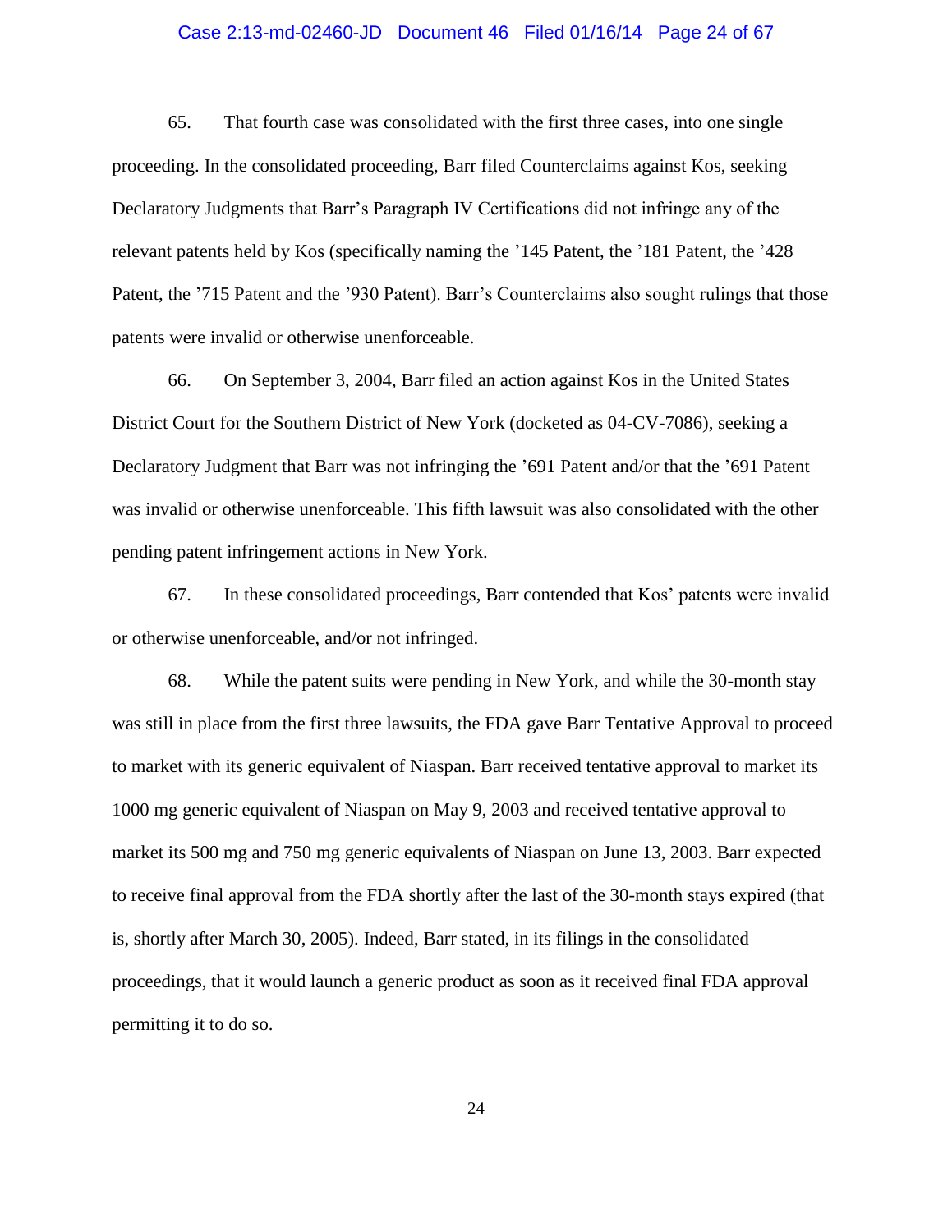#### Case 2:13-md-02460-JD Document 46 Filed 01/16/14 Page 24 of 67

65. That fourth case was consolidated with the first three cases, into one single proceeding. In the consolidated proceeding, Barr filed Counterclaims against Kos, seeking Declaratory Judgments that Barr's Paragraph IV Certifications did not infringe any of the relevant patents held by Kos (specifically naming the '145 Patent, the '181 Patent, the '428 Patent, the '715 Patent and the '930 Patent). Barr's Counterclaims also sought rulings that those patents were invalid or otherwise unenforceable.

66. On September 3, 2004, Barr filed an action against Kos in the United States District Court for the Southern District of New York (docketed as 04-CV-7086), seeking a Declaratory Judgment that Barr was not infringing the '691 Patent and/or that the '691 Patent was invalid or otherwise unenforceable. This fifth lawsuit was also consolidated with the other pending patent infringement actions in New York.

67. In these consolidated proceedings, Barr contended that Kos' patents were invalid or otherwise unenforceable, and/or not infringed.

68. While the patent suits were pending in New York, and while the 30-month stay was still in place from the first three lawsuits, the FDA gave Barr Tentative Approval to proceed to market with its generic equivalent of Niaspan. Barr received tentative approval to market its 1000 mg generic equivalent of Niaspan on May 9, 2003 and received tentative approval to market its 500 mg and 750 mg generic equivalents of Niaspan on June 13, 2003. Barr expected to receive final approval from the FDA shortly after the last of the 30-month stays expired (that is, shortly after March 30, 2005). Indeed, Barr stated, in its filings in the consolidated proceedings, that it would launch a generic product as soon as it received final FDA approval permitting it to do so.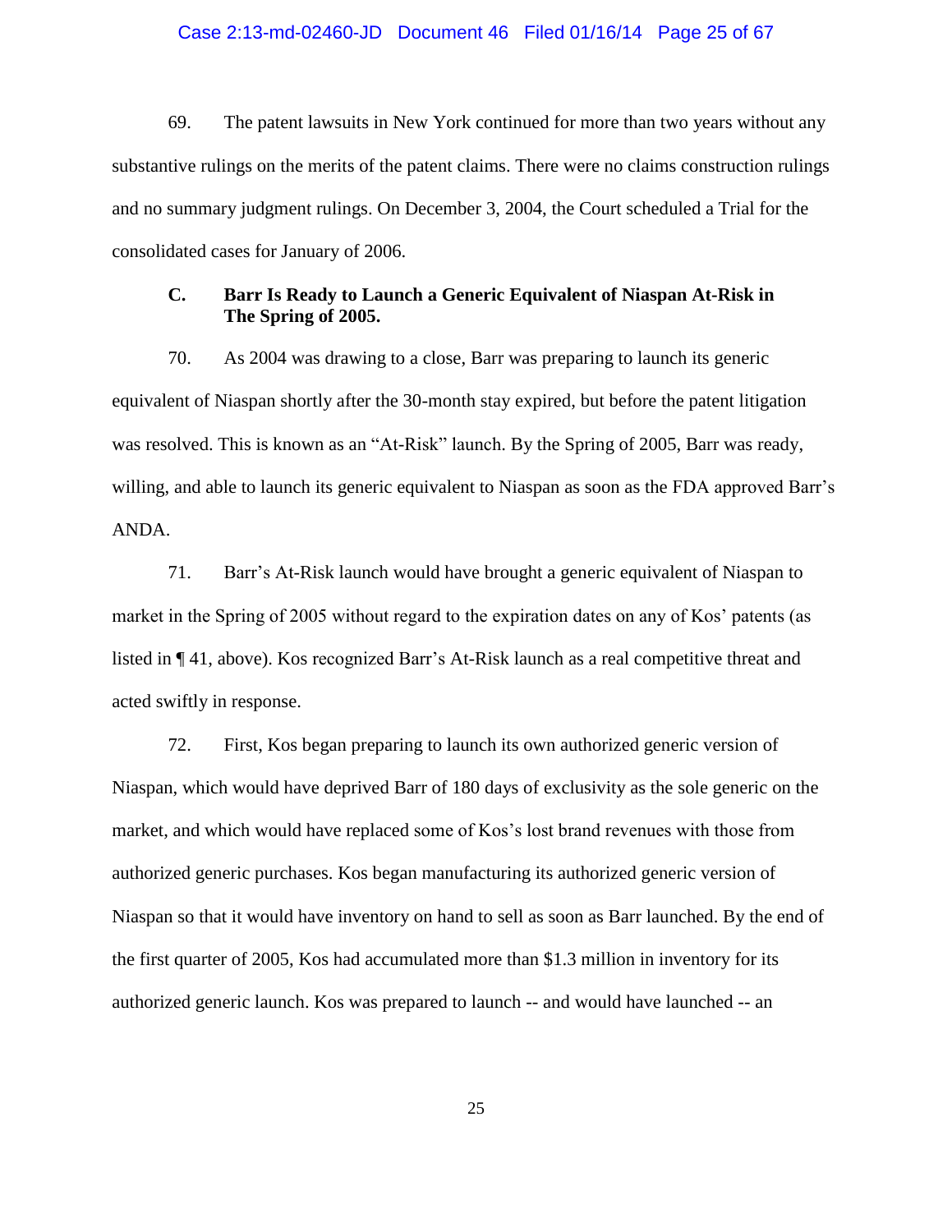#### Case 2:13-md-02460-JD Document 46 Filed 01/16/14 Page 25 of 67

69. The patent lawsuits in New York continued for more than two years without any substantive rulings on the merits of the patent claims. There were no claims construction rulings and no summary judgment rulings. On December 3, 2004, the Court scheduled a Trial for the consolidated cases for January of 2006.

## **C. Barr Is Ready to Launch a Generic Equivalent of Niaspan At-Risk in The Spring of 2005.**

70. As 2004 was drawing to a close, Barr was preparing to launch its generic equivalent of Niaspan shortly after the 30-month stay expired, but before the patent litigation was resolved. This is known as an "At-Risk" launch. By the Spring of 2005, Barr was ready, willing, and able to launch its generic equivalent to Niaspan as soon as the FDA approved Barr's ANDA.

71. Barr's At-Risk launch would have brought a generic equivalent of Niaspan to market in the Spring of 2005 without regard to the expiration dates on any of Kos' patents (as listed in ¶ 41, above). Kos recognized Barr's At-Risk launch as a real competitive threat and acted swiftly in response.

72. First, Kos began preparing to launch its own authorized generic version of Niaspan, which would have deprived Barr of 180 days of exclusivity as the sole generic on the market, and which would have replaced some of Kos's lost brand revenues with those from authorized generic purchases. Kos began manufacturing its authorized generic version of Niaspan so that it would have inventory on hand to sell as soon as Barr launched. By the end of the first quarter of 2005, Kos had accumulated more than \$1.3 million in inventory for its authorized generic launch. Kos was prepared to launch -- and would have launched -- an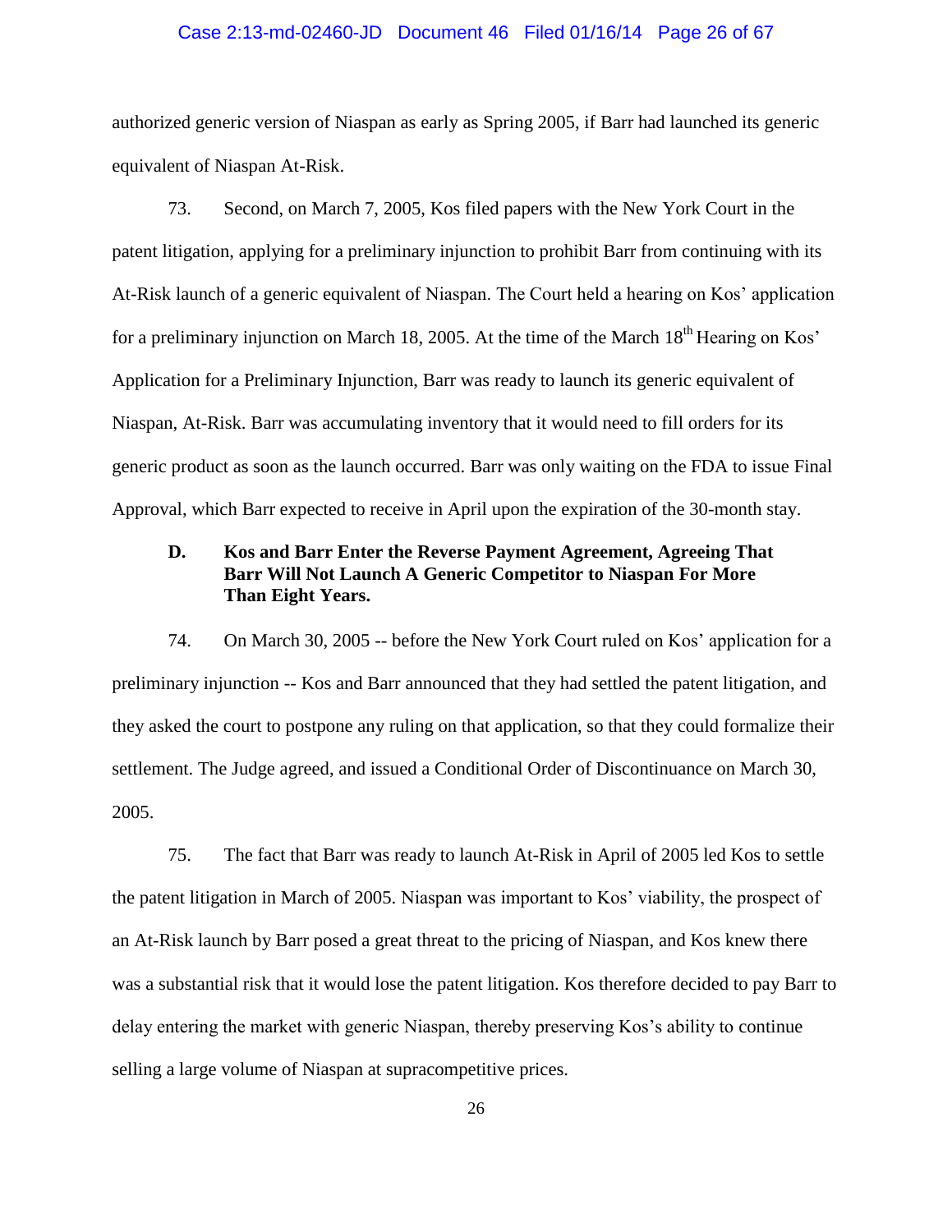#### Case 2:13-md-02460-JD Document 46 Filed 01/16/14 Page 26 of 67

authorized generic version of Niaspan as early as Spring 2005, if Barr had launched its generic equivalent of Niaspan At-Risk.

73. Second, on March 7, 2005, Kos filed papers with the New York Court in the patent litigation, applying for a preliminary injunction to prohibit Barr from continuing with its At-Risk launch of a generic equivalent of Niaspan. The Court held a hearing on Kos' application for a preliminary injunction on March 18, 2005. At the time of the March  $18<sup>th</sup>$  Hearing on Kos' Application for a Preliminary Injunction, Barr was ready to launch its generic equivalent of Niaspan, At-Risk. Barr was accumulating inventory that it would need to fill orders for its generic product as soon as the launch occurred. Barr was only waiting on the FDA to issue Final Approval, which Barr expected to receive in April upon the expiration of the 30-month stay.

# **D. Kos and Barr Enter the Reverse Payment Agreement, Agreeing That Barr Will Not Launch A Generic Competitor to Niaspan For More Than Eight Years.**

74. On March 30, 2005 -- before the New York Court ruled on Kos' application for a preliminary injunction -- Kos and Barr announced that they had settled the patent litigation, and they asked the court to postpone any ruling on that application, so that they could formalize their settlement. The Judge agreed, and issued a Conditional Order of Discontinuance on March 30, 2005.

75. The fact that Barr was ready to launch At-Risk in April of 2005 led Kos to settle the patent litigation in March of 2005. Niaspan was important to Kos' viability, the prospect of an At-Risk launch by Barr posed a great threat to the pricing of Niaspan, and Kos knew there was a substantial risk that it would lose the patent litigation. Kos therefore decided to pay Barr to delay entering the market with generic Niaspan, thereby preserving Kos's ability to continue selling a large volume of Niaspan at supracompetitive prices.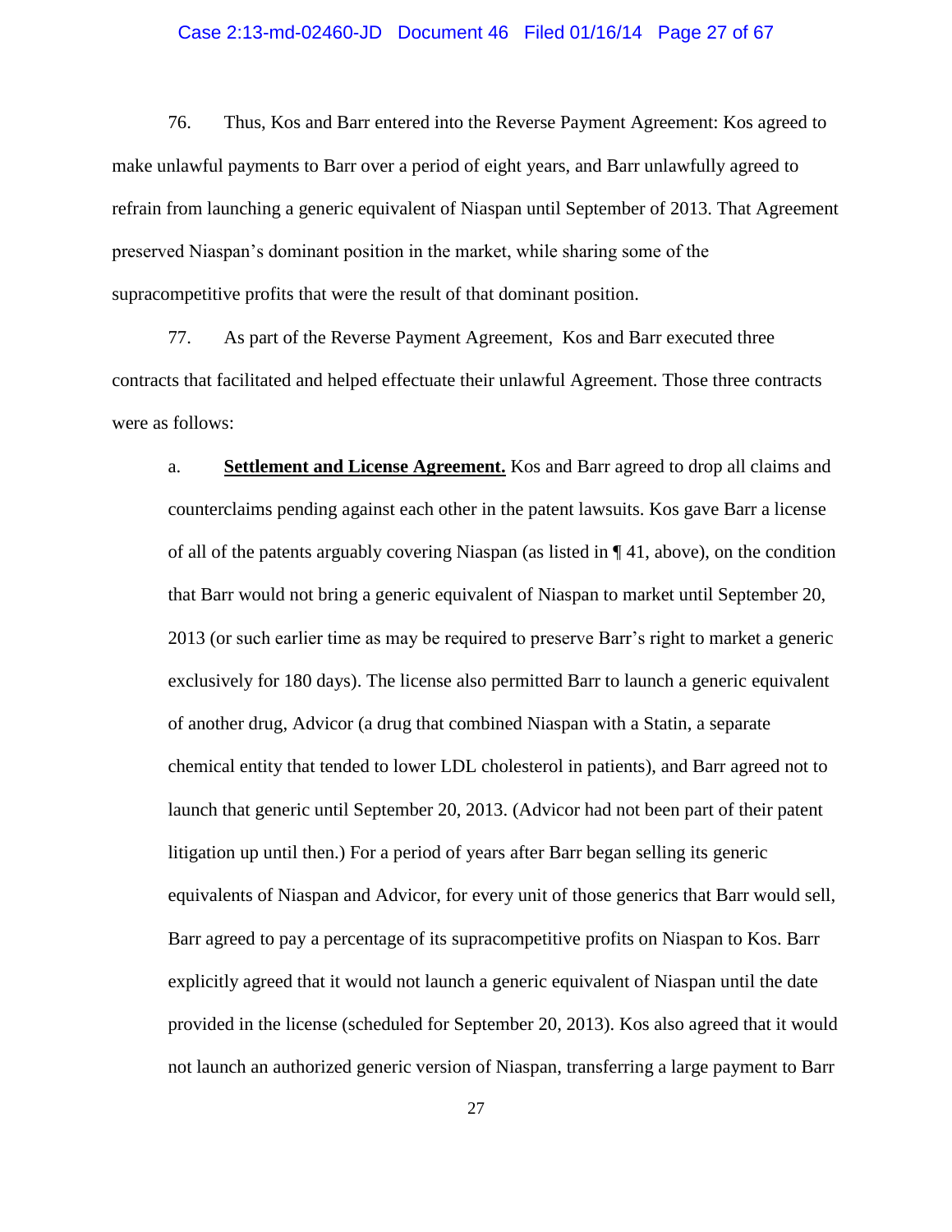#### Case 2:13-md-02460-JD Document 46 Filed 01/16/14 Page 27 of 67

76. Thus, Kos and Barr entered into the Reverse Payment Agreement: Kos agreed to make unlawful payments to Barr over a period of eight years, and Barr unlawfully agreed to refrain from launching a generic equivalent of Niaspan until September of 2013. That Agreement preserved Niaspan's dominant position in the market, while sharing some of the supracompetitive profits that were the result of that dominant position.

77. As part of the Reverse Payment Agreement, Kos and Barr executed three contracts that facilitated and helped effectuate their unlawful Agreement. Those three contracts were as follows:

a. **Settlement and License Agreement.** Kos and Barr agreed to drop all claims and counterclaims pending against each other in the patent lawsuits. Kos gave Barr a license of all of the patents arguably covering Niaspan (as listed in ¶ 41, above), on the condition that Barr would not bring a generic equivalent of Niaspan to market until September 20, 2013 (or such earlier time as may be required to preserve Barr's right to market a generic exclusively for 180 days). The license also permitted Barr to launch a generic equivalent of another drug, Advicor (a drug that combined Niaspan with a Statin, a separate chemical entity that tended to lower LDL cholesterol in patients), and Barr agreed not to launch that generic until September 20, 2013. (Advicor had not been part of their patent litigation up until then.) For a period of years after Barr began selling its generic equivalents of Niaspan and Advicor, for every unit of those generics that Barr would sell, Barr agreed to pay a percentage of its supracompetitive profits on Niaspan to Kos. Barr explicitly agreed that it would not launch a generic equivalent of Niaspan until the date provided in the license (scheduled for September 20, 2013). Kos also agreed that it would not launch an authorized generic version of Niaspan, transferring a large payment to Barr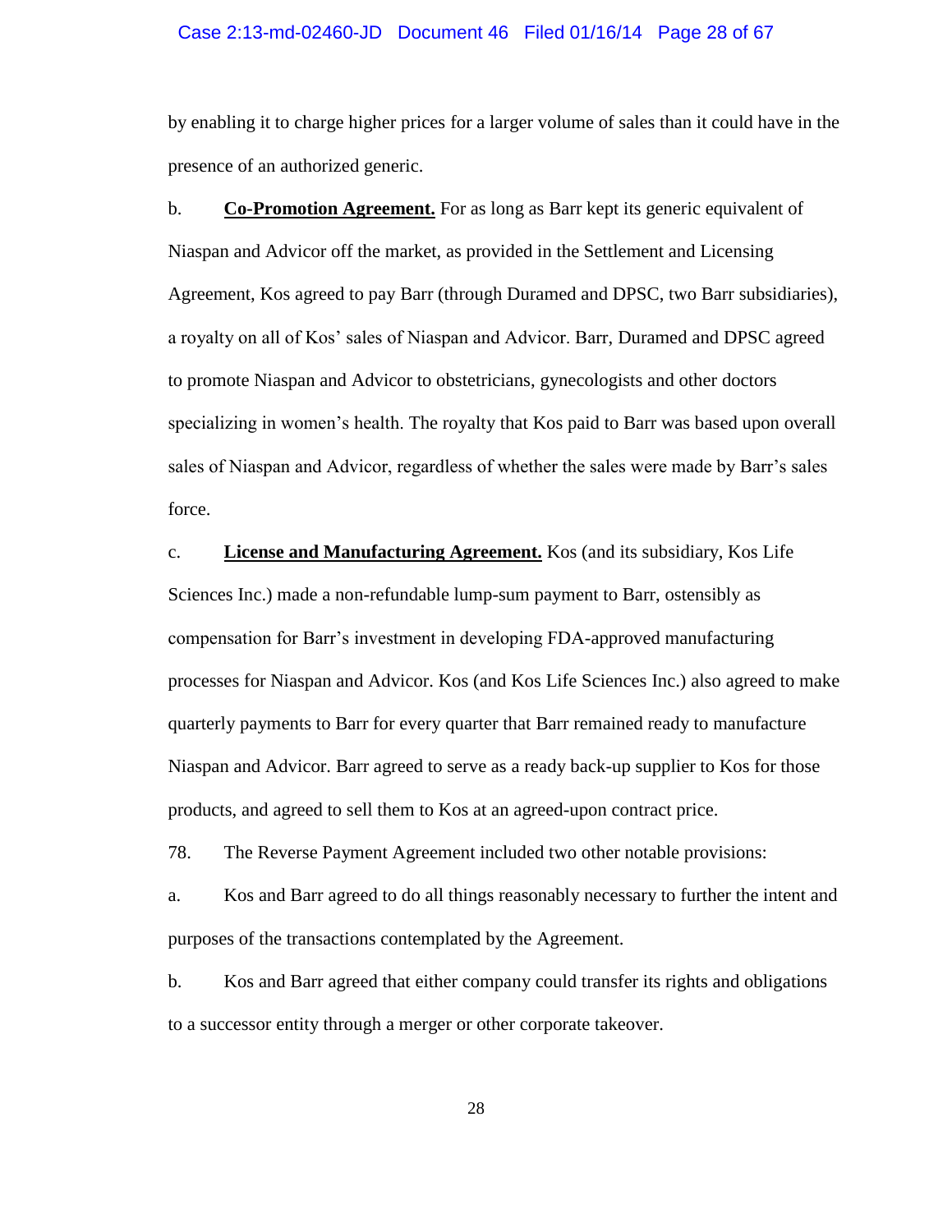#### Case 2:13-md-02460-JD Document 46 Filed 01/16/14 Page 28 of 67

by enabling it to charge higher prices for a larger volume of sales than it could have in the presence of an authorized generic.

b. **Co-Promotion Agreement.** For as long as Barr kept its generic equivalent of Niaspan and Advicor off the market, as provided in the Settlement and Licensing Agreement, Kos agreed to pay Barr (through Duramed and DPSC, two Barr subsidiaries), a royalty on all of Kos' sales of Niaspan and Advicor. Barr, Duramed and DPSC agreed to promote Niaspan and Advicor to obstetricians, gynecologists and other doctors specializing in women's health. The royalty that Kos paid to Barr was based upon overall sales of Niaspan and Advicor, regardless of whether the sales were made by Barr's sales force.

c. **License and Manufacturing Agreement.** Kos (and its subsidiary, Kos Life Sciences Inc.) made a non-refundable lump-sum payment to Barr, ostensibly as compensation for Barr's investment in developing FDA-approved manufacturing processes for Niaspan and Advicor. Kos (and Kos Life Sciences Inc.) also agreed to make quarterly payments to Barr for every quarter that Barr remained ready to manufacture Niaspan and Advicor. Barr agreed to serve as a ready back-up supplier to Kos for those products, and agreed to sell them to Kos at an agreed-upon contract price.

78. The Reverse Payment Agreement included two other notable provisions:

a. Kos and Barr agreed to do all things reasonably necessary to further the intent and purposes of the transactions contemplated by the Agreement.

b. Kos and Barr agreed that either company could transfer its rights and obligations to a successor entity through a merger or other corporate takeover.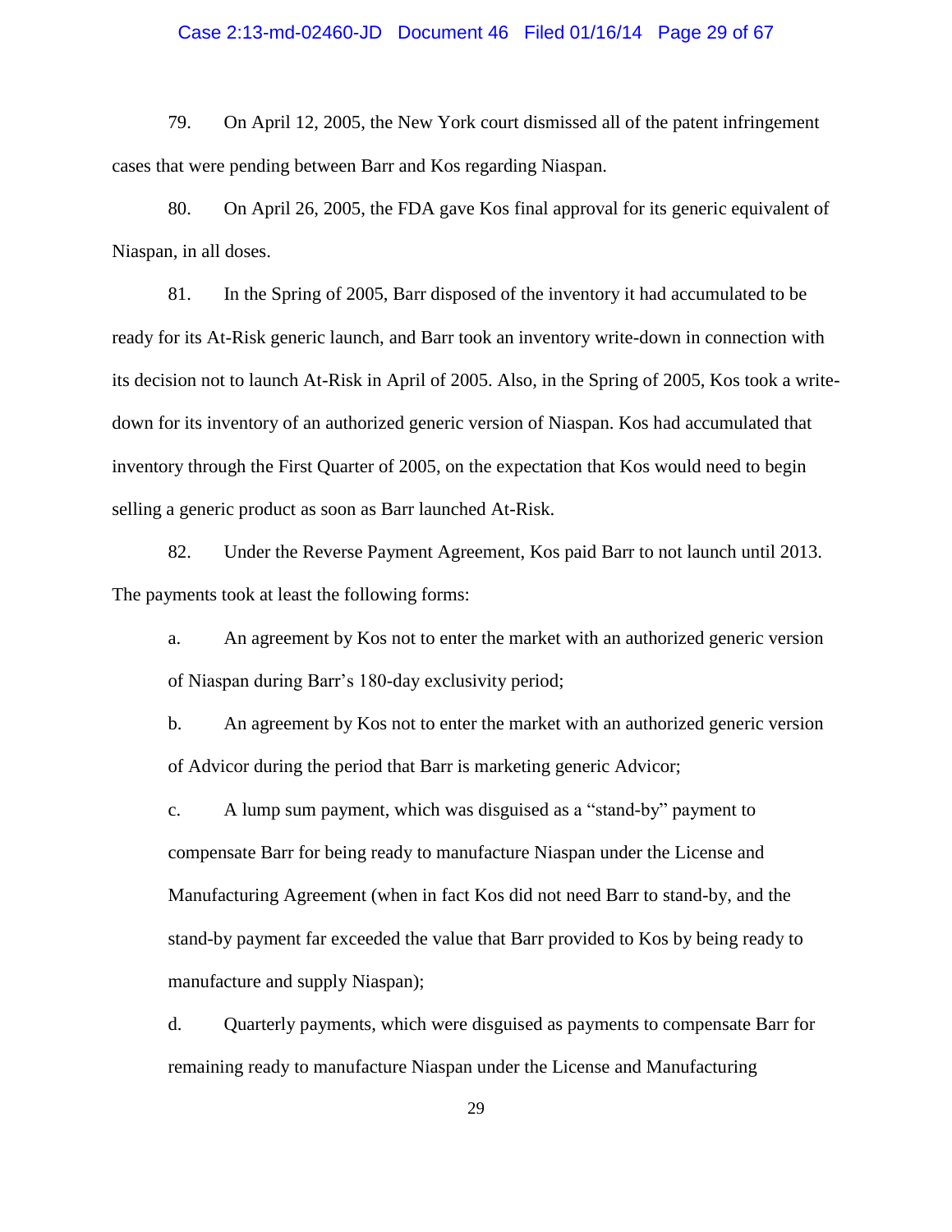#### Case 2:13-md-02460-JD Document 46 Filed 01/16/14 Page 29 of 67

79. On April 12, 2005, the New York court dismissed all of the patent infringement cases that were pending between Barr and Kos regarding Niaspan.

80. On April 26, 2005, the FDA gave Kos final approval for its generic equivalent of Niaspan, in all doses.

81. In the Spring of 2005, Barr disposed of the inventory it had accumulated to be ready for its At-Risk generic launch, and Barr took an inventory write-down in connection with its decision not to launch At-Risk in April of 2005. Also, in the Spring of 2005, Kos took a writedown for its inventory of an authorized generic version of Niaspan. Kos had accumulated that inventory through the First Quarter of 2005, on the expectation that Kos would need to begin selling a generic product as soon as Barr launched At-Risk.

82. Under the Reverse Payment Agreement, Kos paid Barr to not launch until 2013. The payments took at least the following forms:

a. An agreement by Kos not to enter the market with an authorized generic version of Niaspan during Barr's 180-day exclusivity period;

b. An agreement by Kos not to enter the market with an authorized generic version of Advicor during the period that Barr is marketing generic Advicor;

c. A lump sum payment, which was disguised as a "stand-by" payment to compensate Barr for being ready to manufacture Niaspan under the License and Manufacturing Agreement (when in fact Kos did not need Barr to stand-by, and the stand-by payment far exceeded the value that Barr provided to Kos by being ready to manufacture and supply Niaspan);

d. Quarterly payments, which were disguised as payments to compensate Barr for remaining ready to manufacture Niaspan under the License and Manufacturing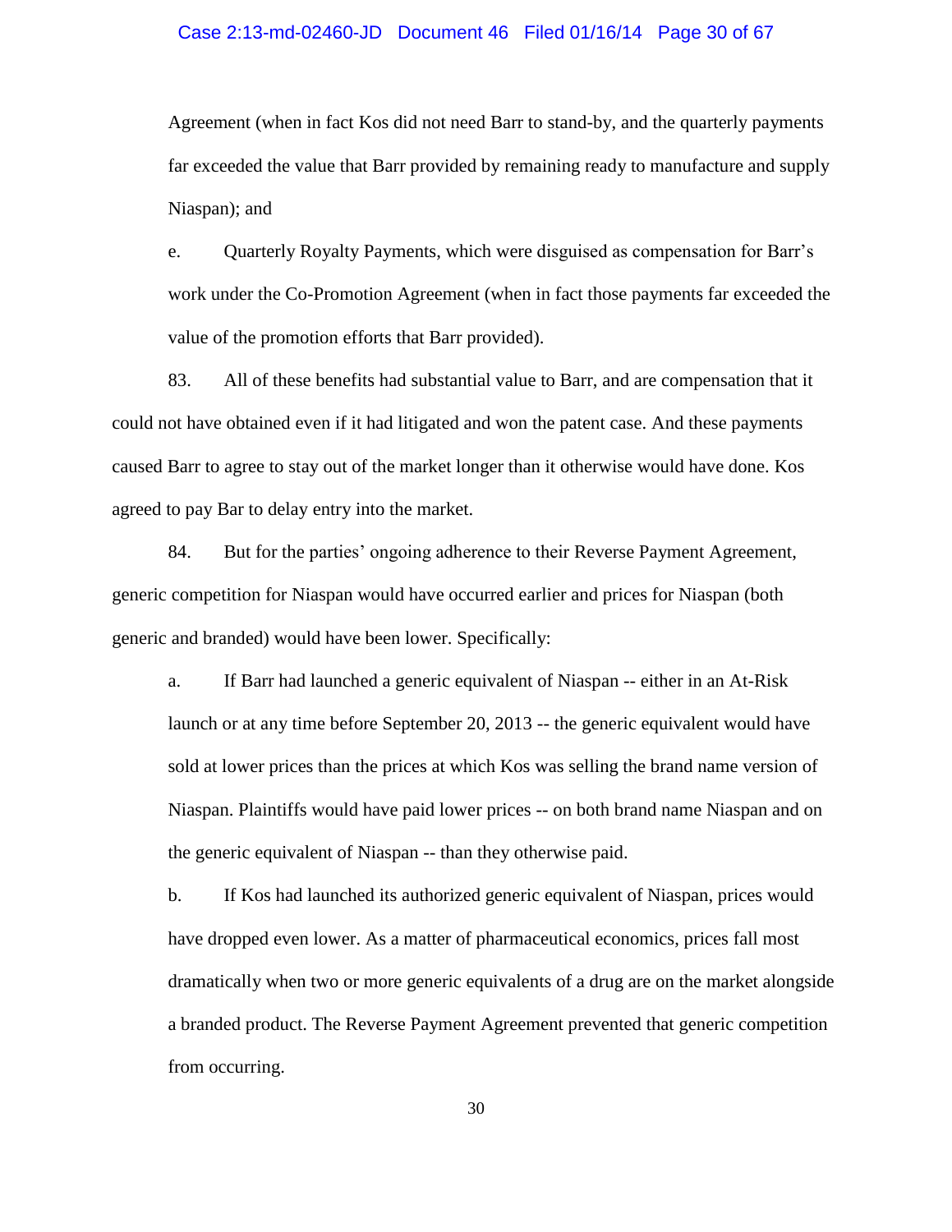#### Case 2:13-md-02460-JD Document 46 Filed 01/16/14 Page 30 of 67

Agreement (when in fact Kos did not need Barr to stand-by, and the quarterly payments far exceeded the value that Barr provided by remaining ready to manufacture and supply Niaspan); and

e. Quarterly Royalty Payments, which were disguised as compensation for Barr's work under the Co-Promotion Agreement (when in fact those payments far exceeded the value of the promotion efforts that Barr provided).

83. All of these benefits had substantial value to Barr, and are compensation that it could not have obtained even if it had litigated and won the patent case. And these payments caused Barr to agree to stay out of the market longer than it otherwise would have done. Kos agreed to pay Bar to delay entry into the market.

84. But for the parties' ongoing adherence to their Reverse Payment Agreement, generic competition for Niaspan would have occurred earlier and prices for Niaspan (both generic and branded) would have been lower. Specifically:

a. If Barr had launched a generic equivalent of Niaspan -- either in an At-Risk launch or at any time before September 20, 2013 -- the generic equivalent would have sold at lower prices than the prices at which Kos was selling the brand name version of Niaspan. Plaintiffs would have paid lower prices -- on both brand name Niaspan and on the generic equivalent of Niaspan -- than they otherwise paid.

b. If Kos had launched its authorized generic equivalent of Niaspan, prices would have dropped even lower. As a matter of pharmaceutical economics, prices fall most dramatically when two or more generic equivalents of a drug are on the market alongside a branded product. The Reverse Payment Agreement prevented that generic competition from occurring.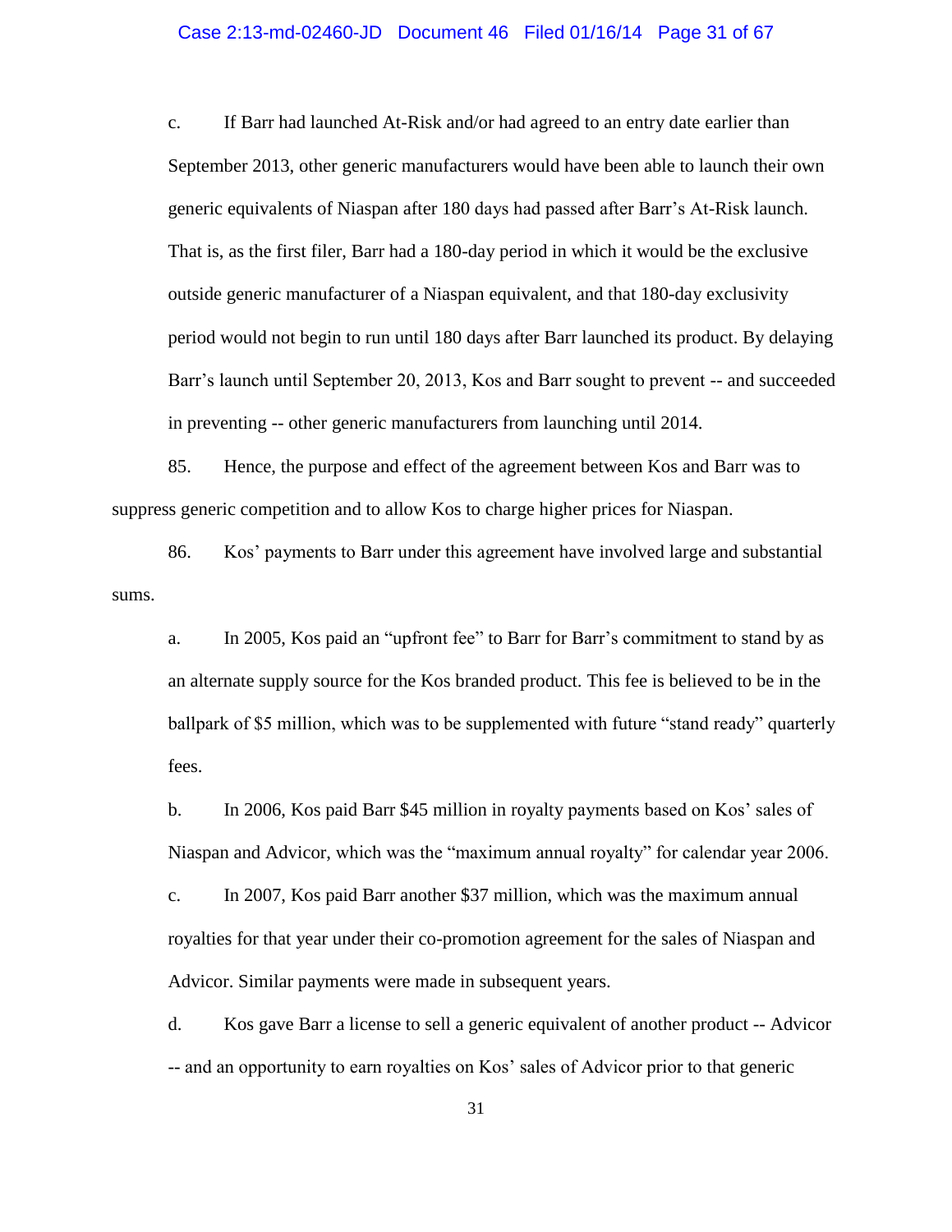#### Case 2:13-md-02460-JD Document 46 Filed 01/16/14 Page 31 of 67

c. If Barr had launched At-Risk and/or had agreed to an entry date earlier than September 2013, other generic manufacturers would have been able to launch their own generic equivalents of Niaspan after 180 days had passed after Barr's At-Risk launch. That is, as the first filer, Barr had a 180-day period in which it would be the exclusive outside generic manufacturer of a Niaspan equivalent, and that 180-day exclusivity period would not begin to run until 180 days after Barr launched its product. By delaying Barr's launch until September 20, 2013, Kos and Barr sought to prevent -- and succeeded in preventing -- other generic manufacturers from launching until 2014.

85. Hence, the purpose and effect of the agreement between Kos and Barr was to suppress generic competition and to allow Kos to charge higher prices for Niaspan.

86. Kos' payments to Barr under this agreement have involved large and substantial sums.

a. In 2005, Kos paid an "upfront fee" to Barr for Barr's commitment to stand by as an alternate supply source for the Kos branded product. This fee is believed to be in the ballpark of \$5 million, which was to be supplemented with future "stand ready" quarterly fees.

b. In 2006, Kos paid Barr \$45 million in royalty payments based on Kos' sales of Niaspan and Advicor, which was the "maximum annual royalty" for calendar year 2006.

c. In 2007, Kos paid Barr another \$37 million, which was the maximum annual royalties for that year under their co-promotion agreement for the sales of Niaspan and Advicor. Similar payments were made in subsequent years.

d. Kos gave Barr a license to sell a generic equivalent of another product -- Advicor -- and an opportunity to earn royalties on Kos' sales of Advicor prior to that generic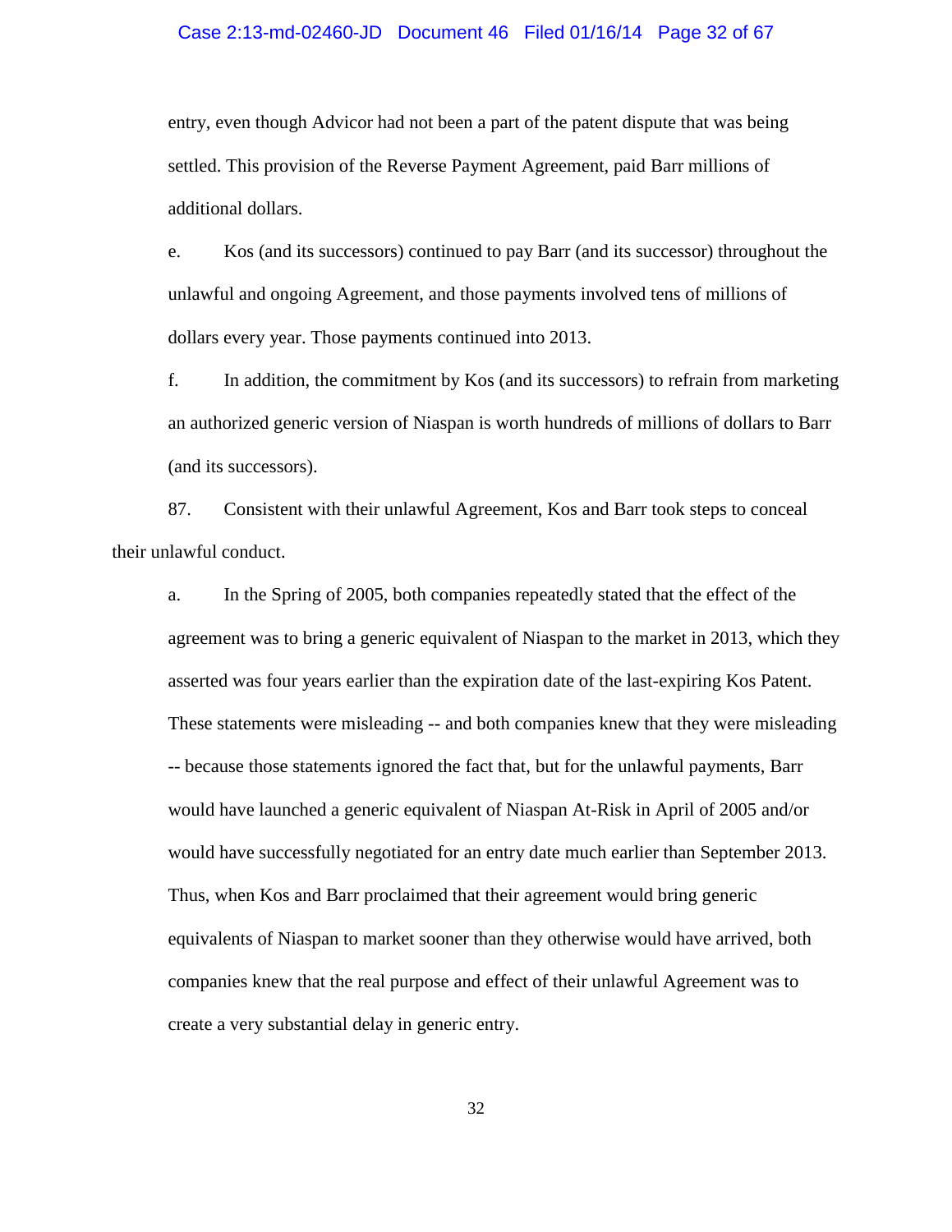#### Case 2:13-md-02460-JD Document 46 Filed 01/16/14 Page 32 of 67

entry, even though Advicor had not been a part of the patent dispute that was being settled. This provision of the Reverse Payment Agreement, paid Barr millions of additional dollars.

e. Kos (and its successors) continued to pay Barr (and its successor) throughout the unlawful and ongoing Agreement, and those payments involved tens of millions of dollars every year. Those payments continued into 2013.

f. In addition, the commitment by Kos (and its successors) to refrain from marketing an authorized generic version of Niaspan is worth hundreds of millions of dollars to Barr (and its successors).

87. Consistent with their unlawful Agreement, Kos and Barr took steps to conceal their unlawful conduct.

a. In the Spring of 2005, both companies repeatedly stated that the effect of the agreement was to bring a generic equivalent of Niaspan to the market in 2013, which they asserted was four years earlier than the expiration date of the last-expiring Kos Patent. These statements were misleading -- and both companies knew that they were misleading -- because those statements ignored the fact that, but for the unlawful payments, Barr would have launched a generic equivalent of Niaspan At-Risk in April of 2005 and/or would have successfully negotiated for an entry date much earlier than September 2013. Thus, when Kos and Barr proclaimed that their agreement would bring generic equivalents of Niaspan to market sooner than they otherwise would have arrived, both companies knew that the real purpose and effect of their unlawful Agreement was to create a very substantial delay in generic entry.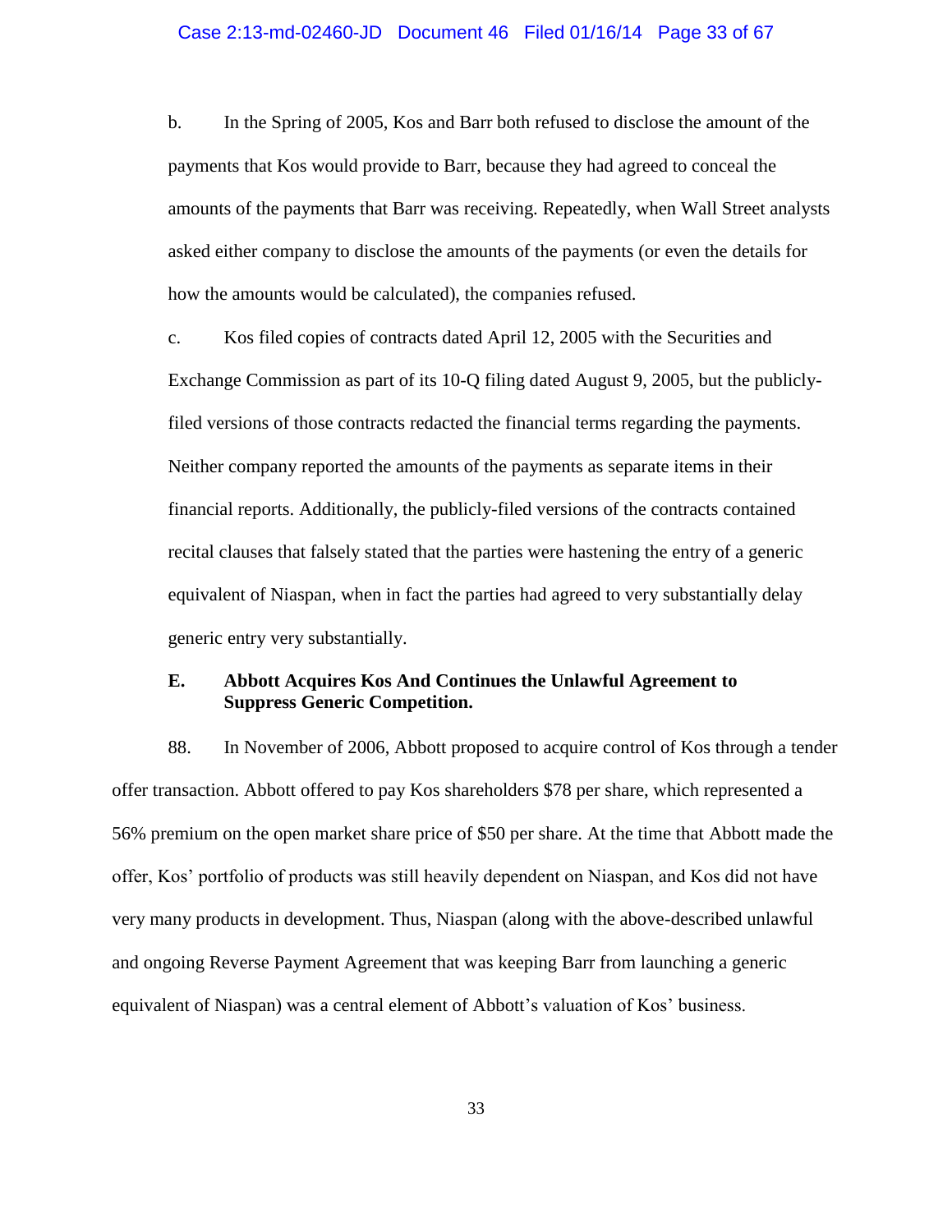#### Case 2:13-md-02460-JD Document 46 Filed 01/16/14 Page 33 of 67

b. In the Spring of 2005, Kos and Barr both refused to disclose the amount of the payments that Kos would provide to Barr, because they had agreed to conceal the amounts of the payments that Barr was receiving. Repeatedly, when Wall Street analysts asked either company to disclose the amounts of the payments (or even the details for how the amounts would be calculated), the companies refused.

c. Kos filed copies of contracts dated April 12, 2005 with the Securities and Exchange Commission as part of its 10-Q filing dated August 9, 2005, but the publiclyfiled versions of those contracts redacted the financial terms regarding the payments. Neither company reported the amounts of the payments as separate items in their financial reports. Additionally, the publicly-filed versions of the contracts contained recital clauses that falsely stated that the parties were hastening the entry of a generic equivalent of Niaspan, when in fact the parties had agreed to very substantially delay generic entry very substantially.

## **E. Abbott Acquires Kos And Continues the Unlawful Agreement to Suppress Generic Competition.**

88. In November of 2006, Abbott proposed to acquire control of Kos through a tender offer transaction. Abbott offered to pay Kos shareholders \$78 per share, which represented a 56% premium on the open market share price of \$50 per share. At the time that Abbott made the offer, Kos' portfolio of products was still heavily dependent on Niaspan, and Kos did not have very many products in development. Thus, Niaspan (along with the above-described unlawful and ongoing Reverse Payment Agreement that was keeping Barr from launching a generic equivalent of Niaspan) was a central element of Abbott's valuation of Kos' business.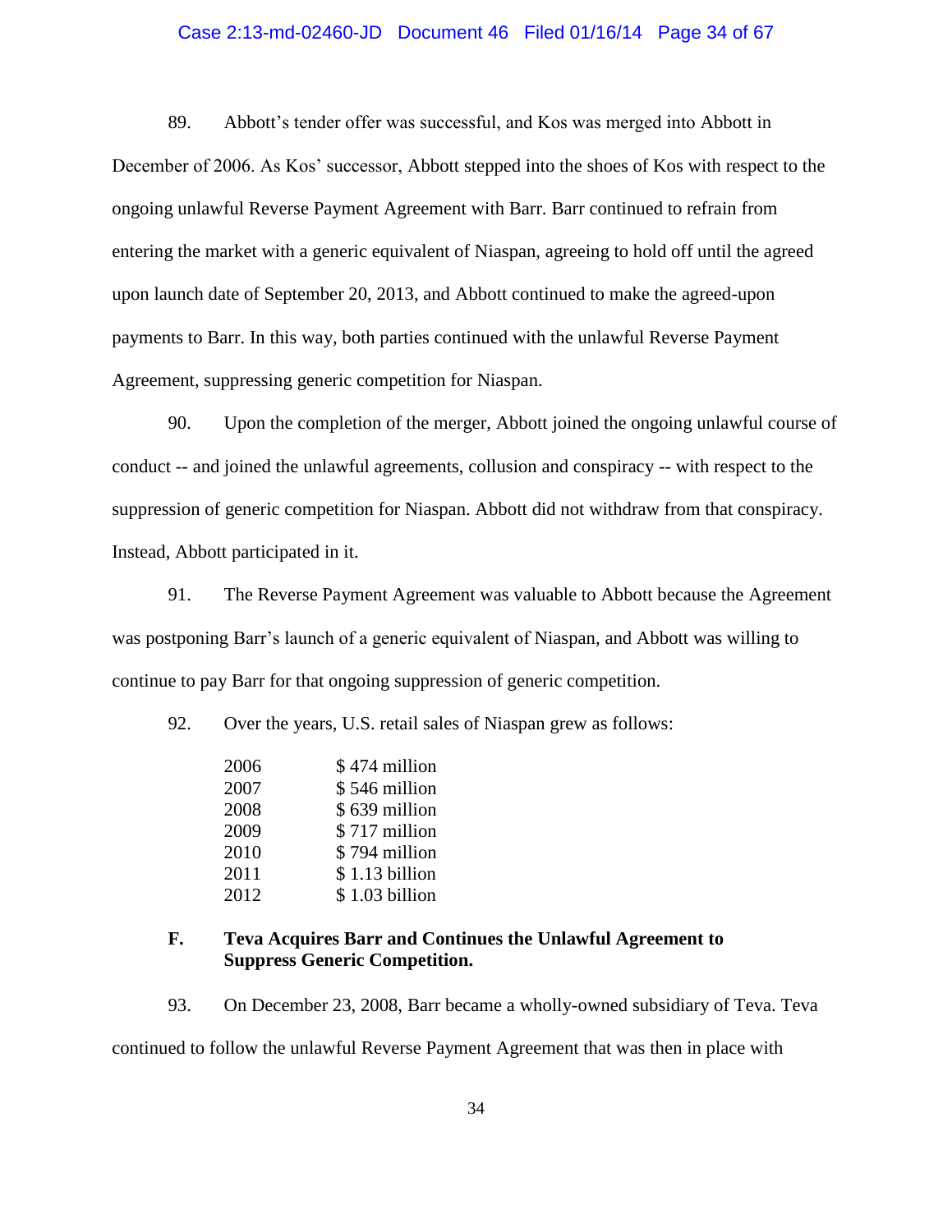#### Case 2:13-md-02460-JD Document 46 Filed 01/16/14 Page 34 of 67

89. Abbott's tender offer was successful, and Kos was merged into Abbott in December of 2006. As Kos' successor, Abbott stepped into the shoes of Kos with respect to the ongoing unlawful Reverse Payment Agreement with Barr. Barr continued to refrain from entering the market with a generic equivalent of Niaspan, agreeing to hold off until the agreed upon launch date of September 20, 2013, and Abbott continued to make the agreed-upon payments to Barr. In this way, both parties continued with the unlawful Reverse Payment Agreement, suppressing generic competition for Niaspan.

90. Upon the completion of the merger, Abbott joined the ongoing unlawful course of conduct -- and joined the unlawful agreements, collusion and conspiracy -- with respect to the suppression of generic competition for Niaspan. Abbott did not withdraw from that conspiracy. Instead, Abbott participated in it.

91. The Reverse Payment Agreement was valuable to Abbott because the Agreement was postponing Barr's launch of a generic equivalent of Niaspan, and Abbott was willing to continue to pay Barr for that ongoing suppression of generic competition.

92. Over the years, U.S. retail sales of Niaspan grew as follows:

| 2006 | \$474 million  |
|------|----------------|
| 2007 | \$546 million  |
| 2008 | \$639 million  |
| 2009 | \$717 million  |
| 2010 | \$794 million  |
| 2011 | \$1.13 billion |
| 2012 | \$1.03 billion |

### **F. Teva Acquires Barr and Continues the Unlawful Agreement to Suppress Generic Competition.**

93. On December 23, 2008, Barr became a wholly-owned subsidiary of Teva. Teva continued to follow the unlawful Reverse Payment Agreement that was then in place with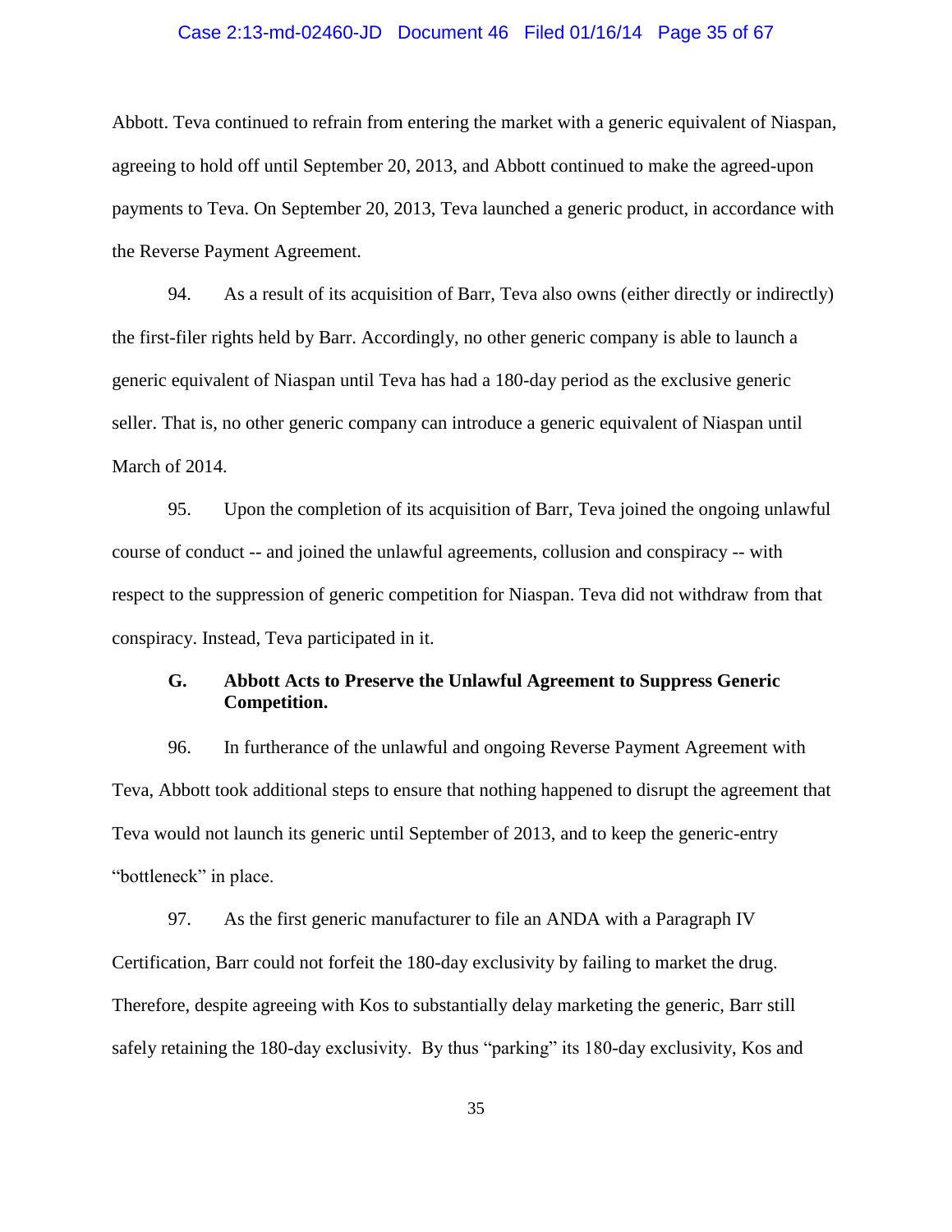#### Case 2:13-md-02460-JD Document 46 Filed 01/16/14 Page 35 of 67

Abbott. Teva continued to refrain from entering the market with a generic equivalent of Niaspan, agreeing to hold off until September 20, 2013, and Abbott continued to make the agreed-upon payments to Teva. On September 20, 2013, Teva launched a generic product, in accordance with the Reverse Payment Agreement.

94. As a result of its acquisition of Barr, Teva also owns (either directly or indirectly) the first-filer rights held by Barr. Accordingly, no other generic company is able to launch a generic equivalent of Niaspan until Teva has had a 180-day period as the exclusive generic seller. That is, no other generic company can introduce a generic equivalent of Niaspan until March of 2014.

95. Upon the completion of its acquisition of Barr, Teva joined the ongoing unlawful course of conduct -- and joined the unlawful agreements, collusion and conspiracy -- with respect to the suppression of generic competition for Niaspan. Teva did not withdraw from that conspiracy. Instead, Teva participated in it.

## **G. Abbott Acts to Preserve the Unlawful Agreement to Suppress Generic Competition.**

96. In furtherance of the unlawful and ongoing Reverse Payment Agreement with Teva, Abbott took additional steps to ensure that nothing happened to disrupt the agreement that Teva would not launch its generic until September of 2013, and to keep the generic-entry "bottleneck" in place.

97. As the first generic manufacturer to file an ANDA with a Paragraph IV Certification, Barr could not forfeit the 180-day exclusivity by failing to market the drug. Therefore, despite agreeing with Kos to substantially delay marketing the generic, Barr still safely retaining the 180-day exclusivity. By thus "parking" its 180-day exclusivity, Kos and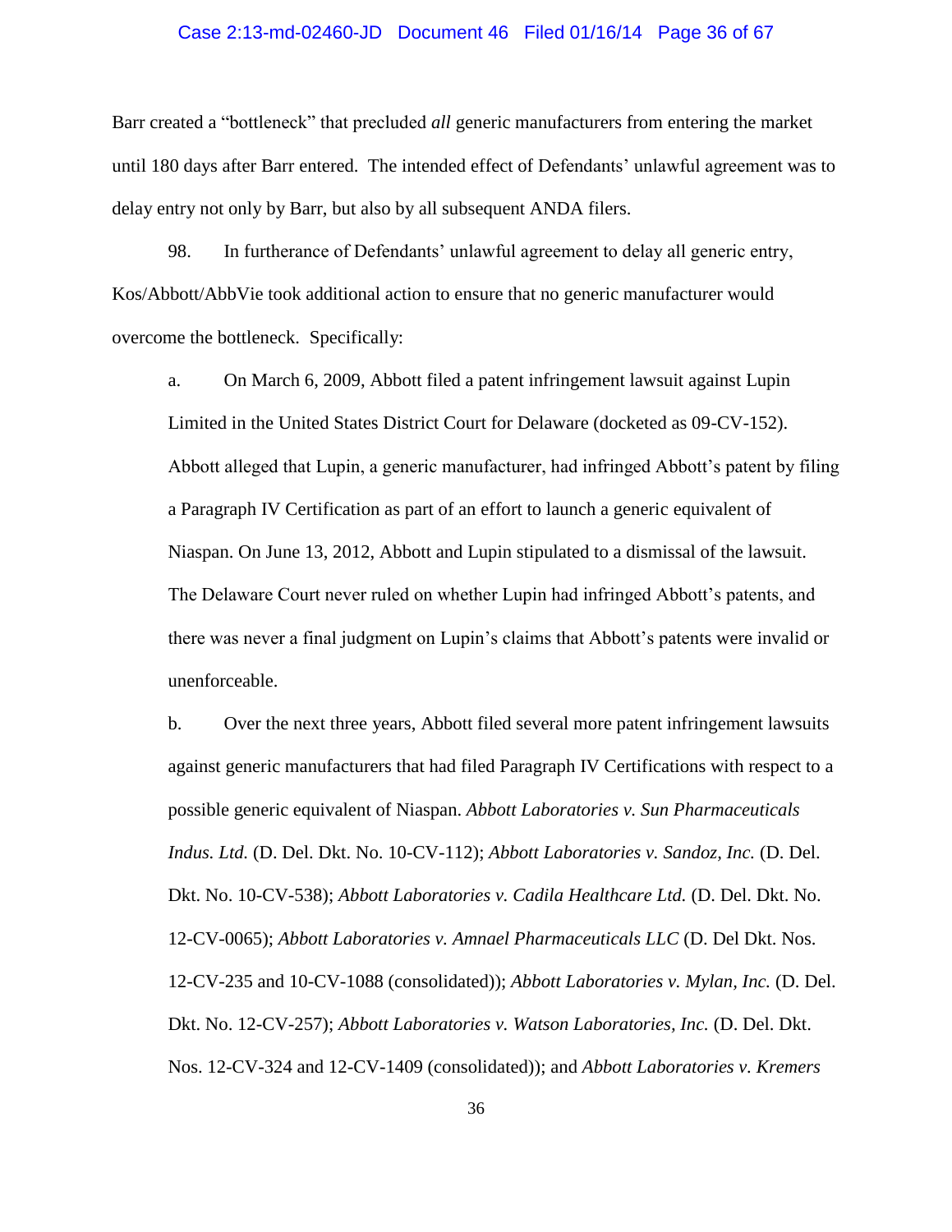#### Case 2:13-md-02460-JD Document 46 Filed 01/16/14 Page 36 of 67

Barr created a "bottleneck" that precluded *all* generic manufacturers from entering the market until 180 days after Barr entered. The intended effect of Defendants' unlawful agreement was to delay entry not only by Barr, but also by all subsequent ANDA filers.

98. In furtherance of Defendants' unlawful agreement to delay all generic entry, Kos/Abbott/AbbVie took additional action to ensure that no generic manufacturer would overcome the bottleneck. Specifically:

a. On March 6, 2009, Abbott filed a patent infringement lawsuit against Lupin Limited in the United States District Court for Delaware (docketed as 09-CV-152). Abbott alleged that Lupin, a generic manufacturer, had infringed Abbott's patent by filing a Paragraph IV Certification as part of an effort to launch a generic equivalent of Niaspan. On June 13, 2012, Abbott and Lupin stipulated to a dismissal of the lawsuit. The Delaware Court never ruled on whether Lupin had infringed Abbott's patents, and there was never a final judgment on Lupin's claims that Abbott's patents were invalid or unenforceable.

b. Over the next three years, Abbott filed several more patent infringement lawsuits against generic manufacturers that had filed Paragraph IV Certifications with respect to a possible generic equivalent of Niaspan. *Abbott Laboratories v. Sun Pharmaceuticals Indus. Ltd.* (D. Del. Dkt. No. 10-CV-112); *Abbott Laboratories v. Sandoz, Inc.* (D. Del. Dkt. No. 10-CV-538); *Abbott Laboratories v. Cadila Healthcare Ltd.* (D. Del. Dkt. No. 12-CV-0065); *Abbott Laboratories v. Amnael Pharmaceuticals LLC* (D. Del Dkt. Nos. 12-CV-235 and 10-CV-1088 (consolidated)); *Abbott Laboratories v. Mylan, Inc.* (D. Del. Dkt. No. 12-CV-257); *Abbott Laboratories v. Watson Laboratories, Inc.* (D. Del. Dkt. Nos. 12-CV-324 and 12-CV-1409 (consolidated)); and *Abbott Laboratories v. Kremers*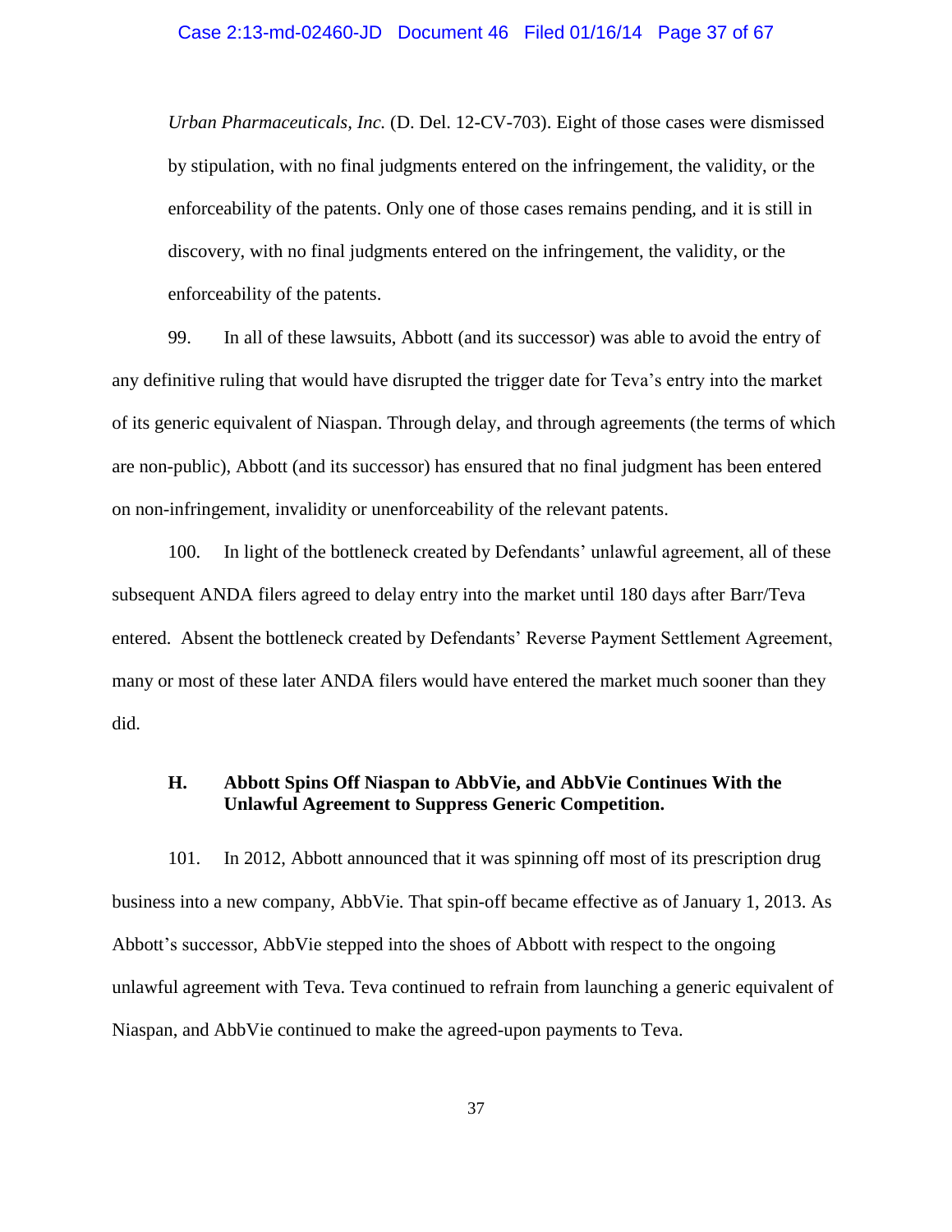*Urban Pharmaceuticals, Inc.* (D. Del. 12-CV-703). Eight of those cases were dismissed by stipulation, with no final judgments entered on the infringement, the validity, or the enforceability of the patents. Only one of those cases remains pending, and it is still in discovery, with no final judgments entered on the infringement, the validity, or the enforceability of the patents.

99. In all of these lawsuits, Abbott (and its successor) was able to avoid the entry of any definitive ruling that would have disrupted the trigger date for Teva's entry into the market of its generic equivalent of Niaspan. Through delay, and through agreements (the terms of which are non-public), Abbott (and its successor) has ensured that no final judgment has been entered on non-infringement, invalidity or unenforceability of the relevant patents.

100. In light of the bottleneck created by Defendants' unlawful agreement, all of these subsequent ANDA filers agreed to delay entry into the market until 180 days after Barr/Teva entered. Absent the bottleneck created by Defendants' Reverse Payment Settlement Agreement, many or most of these later ANDA filers would have entered the market much sooner than they did.

### **H. Abbott Spins Off Niaspan to AbbVie, and AbbVie Continues With the Unlawful Agreement to Suppress Generic Competition.**

101. In 2012, Abbott announced that it was spinning off most of its prescription drug business into a new company, AbbVie. That spin-off became effective as of January 1, 2013. As Abbott's successor, AbbVie stepped into the shoes of Abbott with respect to the ongoing unlawful agreement with Teva. Teva continued to refrain from launching a generic equivalent of Niaspan, and AbbVie continued to make the agreed-upon payments to Teva.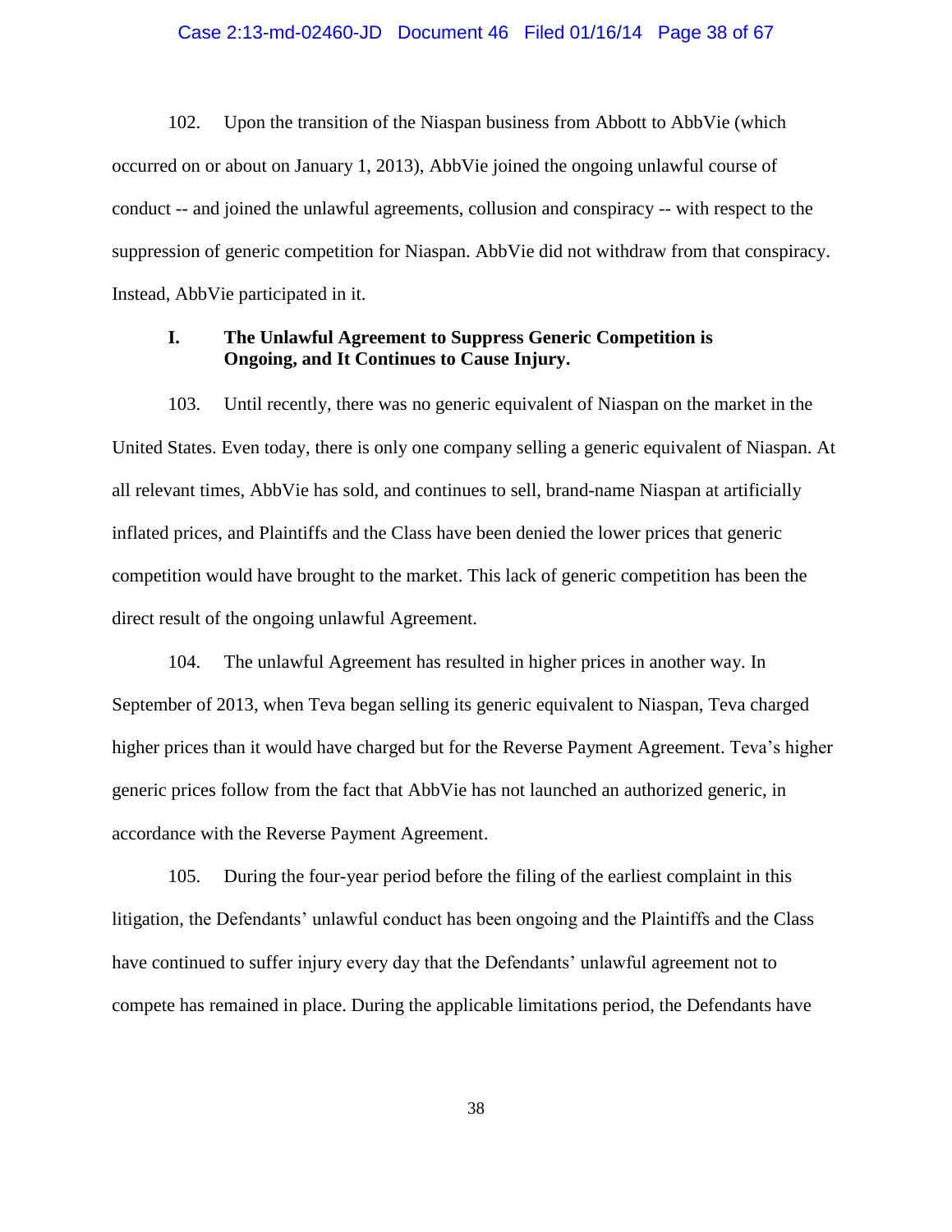#### Case 2:13-md-02460-JD Document 46 Filed 01/16/14 Page 38 of 67

102. Upon the transition of the Niaspan business from Abbott to AbbVie (which occurred on or about on January 1, 2013), AbbVie joined the ongoing unlawful course of conduct -- and joined the unlawful agreements, collusion and conspiracy -- with respect to the suppression of generic competition for Niaspan. AbbVie did not withdraw from that conspiracy. Instead, AbbVie participated in it.

## **I. The Unlawful Agreement to Suppress Generic Competition is Ongoing, and It Continues to Cause Injury.**

103. Until recently, there was no generic equivalent of Niaspan on the market in the United States. Even today, there is only one company selling a generic equivalent of Niaspan. At all relevant times, AbbVie has sold, and continues to sell, brand-name Niaspan at artificially inflated prices, and Plaintiffs and the Class have been denied the lower prices that generic competition would have brought to the market. This lack of generic competition has been the direct result of the ongoing unlawful Agreement.

104. The unlawful Agreement has resulted in higher prices in another way. In September of 2013, when Teva began selling its generic equivalent to Niaspan, Teva charged higher prices than it would have charged but for the Reverse Payment Agreement. Teva's higher generic prices follow from the fact that AbbVie has not launched an authorized generic, in accordance with the Reverse Payment Agreement.

105. During the four-year period before the filing of the earliest complaint in this litigation, the Defendants' unlawful conduct has been ongoing and the Plaintiffs and the Class have continued to suffer injury every day that the Defendants' unlawful agreement not to compete has remained in place. During the applicable limitations period, the Defendants have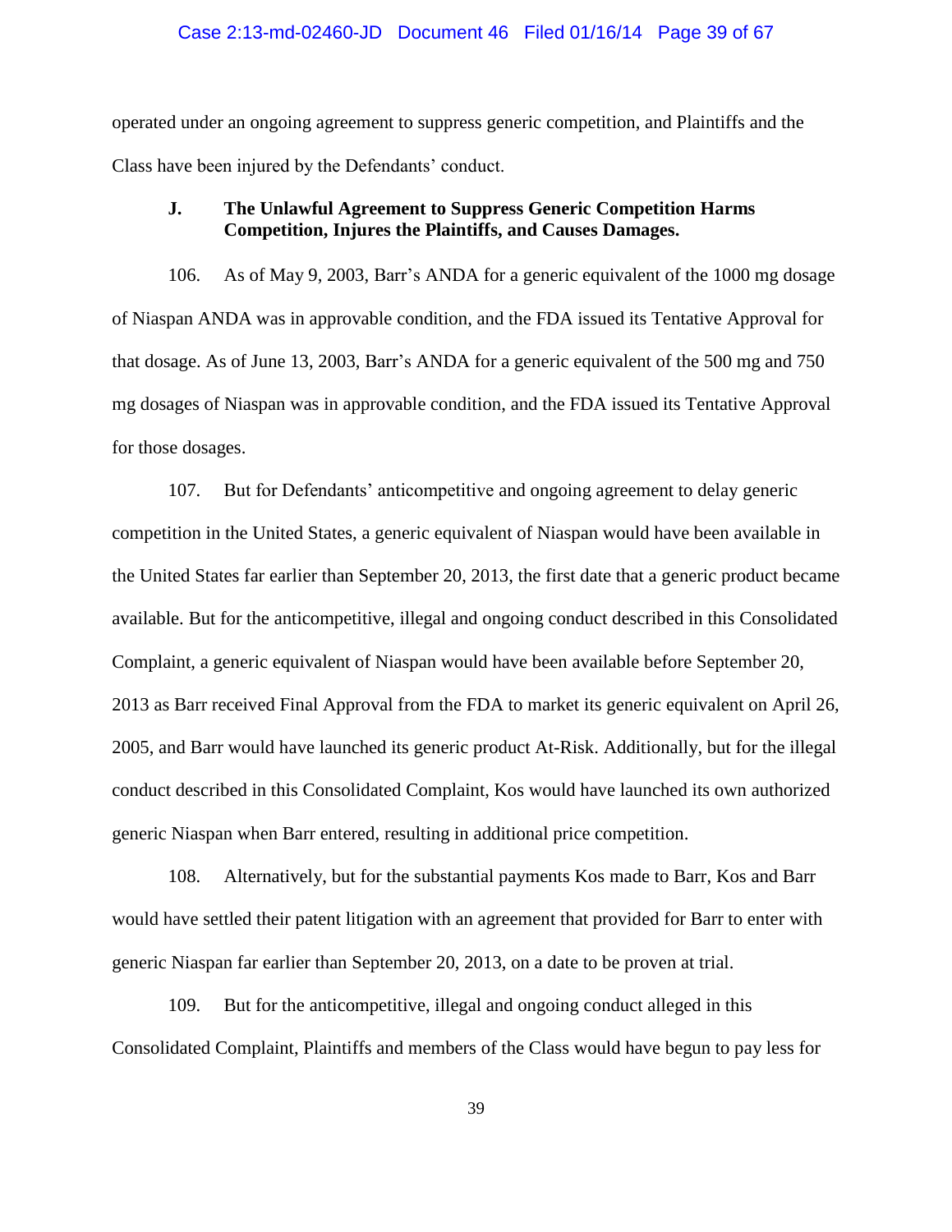#### Case 2:13-md-02460-JD Document 46 Filed 01/16/14 Page 39 of 67

operated under an ongoing agreement to suppress generic competition, and Plaintiffs and the Class have been injured by the Defendants' conduct.

## **J. The Unlawful Agreement to Suppress Generic Competition Harms Competition, Injures the Plaintiffs, and Causes Damages.**

106. As of May 9, 2003, Barr's ANDA for a generic equivalent of the 1000 mg dosage of Niaspan ANDA was in approvable condition, and the FDA issued its Tentative Approval for that dosage. As of June 13, 2003, Barr's ANDA for a generic equivalent of the 500 mg and 750 mg dosages of Niaspan was in approvable condition, and the FDA issued its Tentative Approval for those dosages.

107. But for Defendants' anticompetitive and ongoing agreement to delay generic competition in the United States, a generic equivalent of Niaspan would have been available in the United States far earlier than September 20, 2013, the first date that a generic product became available. But for the anticompetitive, illegal and ongoing conduct described in this Consolidated Complaint, a generic equivalent of Niaspan would have been available before September 20, 2013 as Barr received Final Approval from the FDA to market its generic equivalent on April 26, 2005, and Barr would have launched its generic product At-Risk. Additionally, but for the illegal conduct described in this Consolidated Complaint, Kos would have launched its own authorized generic Niaspan when Barr entered, resulting in additional price competition.

108. Alternatively, but for the substantial payments Kos made to Barr, Kos and Barr would have settled their patent litigation with an agreement that provided for Barr to enter with generic Niaspan far earlier than September 20, 2013, on a date to be proven at trial.

109. But for the anticompetitive, illegal and ongoing conduct alleged in this Consolidated Complaint, Plaintiffs and members of the Class would have begun to pay less for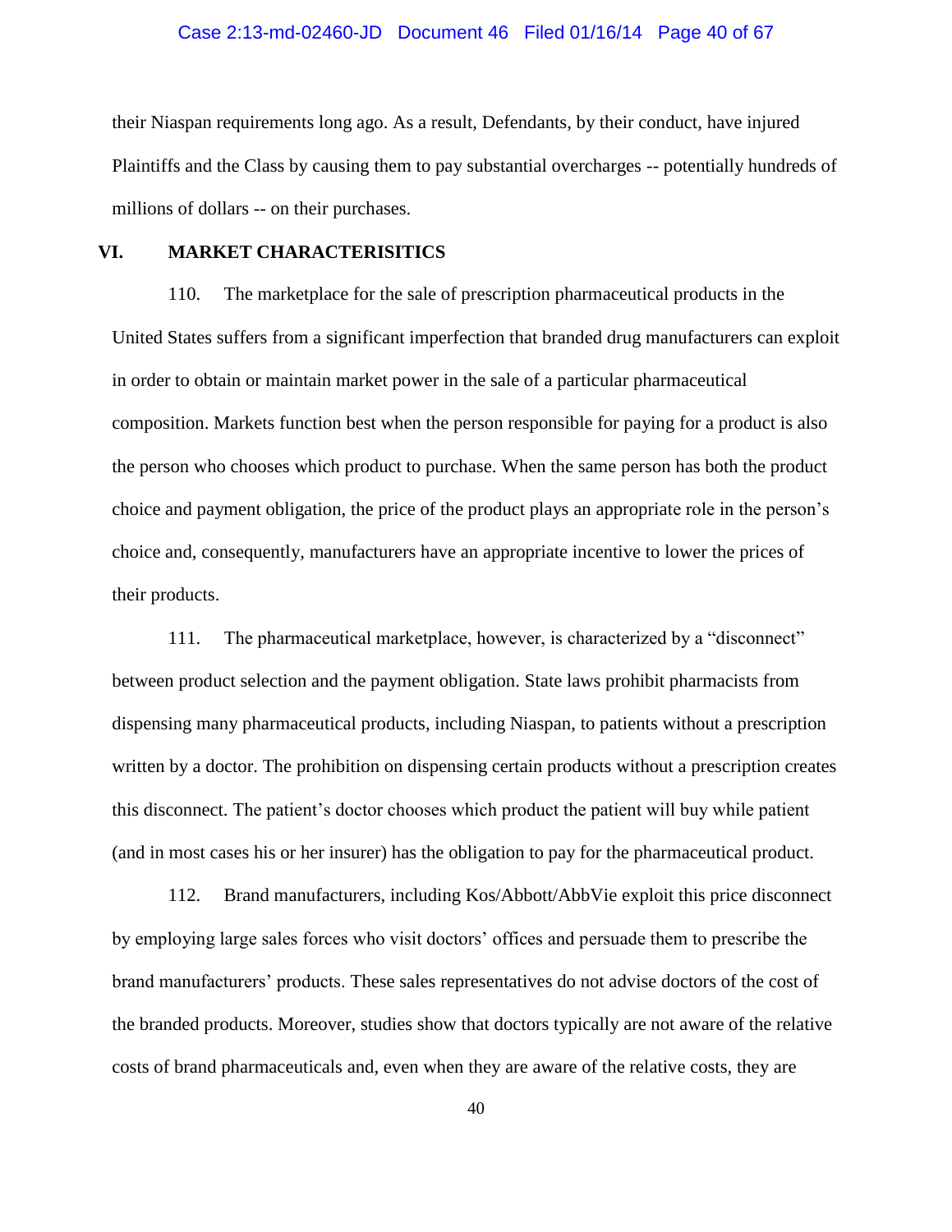#### Case 2:13-md-02460-JD Document 46 Filed 01/16/14 Page 40 of 67

their Niaspan requirements long ago. As a result, Defendants, by their conduct, have injured Plaintiffs and the Class by causing them to pay substantial overcharges -- potentially hundreds of millions of dollars -- on their purchases.

## **VI. MARKET CHARACTERISITICS**

110. The marketplace for the sale of prescription pharmaceutical products in the United States suffers from a significant imperfection that branded drug manufacturers can exploit in order to obtain or maintain market power in the sale of a particular pharmaceutical composition. Markets function best when the person responsible for paying for a product is also the person who chooses which product to purchase. When the same person has both the product choice and payment obligation, the price of the product plays an appropriate role in the person's choice and, consequently, manufacturers have an appropriate incentive to lower the prices of their products.

111. The pharmaceutical marketplace, however, is characterized by a "disconnect" between product selection and the payment obligation. State laws prohibit pharmacists from dispensing many pharmaceutical products, including Niaspan, to patients without a prescription written by a doctor. The prohibition on dispensing certain products without a prescription creates this disconnect. The patient's doctor chooses which product the patient will buy while patient (and in most cases his or her insurer) has the obligation to pay for the pharmaceutical product.

112. Brand manufacturers, including Kos/Abbott/AbbVie exploit this price disconnect by employing large sales forces who visit doctors' offices and persuade them to prescribe the brand manufacturers' products. These sales representatives do not advise doctors of the cost of the branded products. Moreover, studies show that doctors typically are not aware of the relative costs of brand pharmaceuticals and, even when they are aware of the relative costs, they are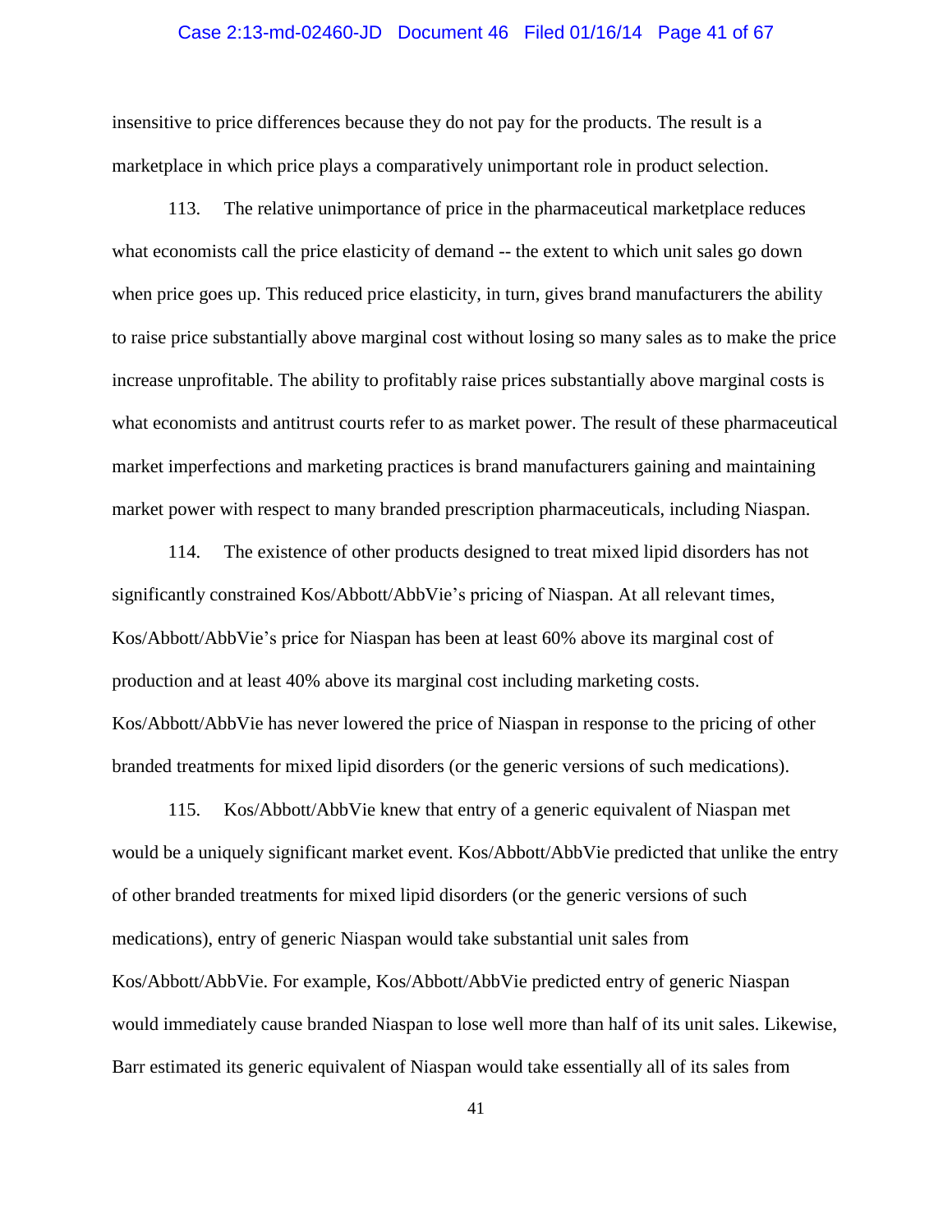#### Case 2:13-md-02460-JD Document 46 Filed 01/16/14 Page 41 of 67

insensitive to price differences because they do not pay for the products. The result is a marketplace in which price plays a comparatively unimportant role in product selection.

113. The relative unimportance of price in the pharmaceutical marketplace reduces what economists call the price elasticity of demand -- the extent to which unit sales go down when price goes up. This reduced price elasticity, in turn, gives brand manufacturers the ability to raise price substantially above marginal cost without losing so many sales as to make the price increase unprofitable. The ability to profitably raise prices substantially above marginal costs is what economists and antitrust courts refer to as market power. The result of these pharmaceutical market imperfections and marketing practices is brand manufacturers gaining and maintaining market power with respect to many branded prescription pharmaceuticals, including Niaspan.

114. The existence of other products designed to treat mixed lipid disorders has not significantly constrained Kos/Abbott/AbbVie's pricing of Niaspan. At all relevant times, Kos/Abbott/AbbVie's price for Niaspan has been at least 60% above its marginal cost of production and at least 40% above its marginal cost including marketing costs. Kos/Abbott/AbbVie has never lowered the price of Niaspan in response to the pricing of other branded treatments for mixed lipid disorders (or the generic versions of such medications).

115. Kos/Abbott/AbbVie knew that entry of a generic equivalent of Niaspan met would be a uniquely significant market event. Kos/Abbott/AbbVie predicted that unlike the entry of other branded treatments for mixed lipid disorders (or the generic versions of such medications), entry of generic Niaspan would take substantial unit sales from Kos/Abbott/AbbVie. For example, Kos/Abbott/AbbVie predicted entry of generic Niaspan would immediately cause branded Niaspan to lose well more than half of its unit sales. Likewise, Barr estimated its generic equivalent of Niaspan would take essentially all of its sales from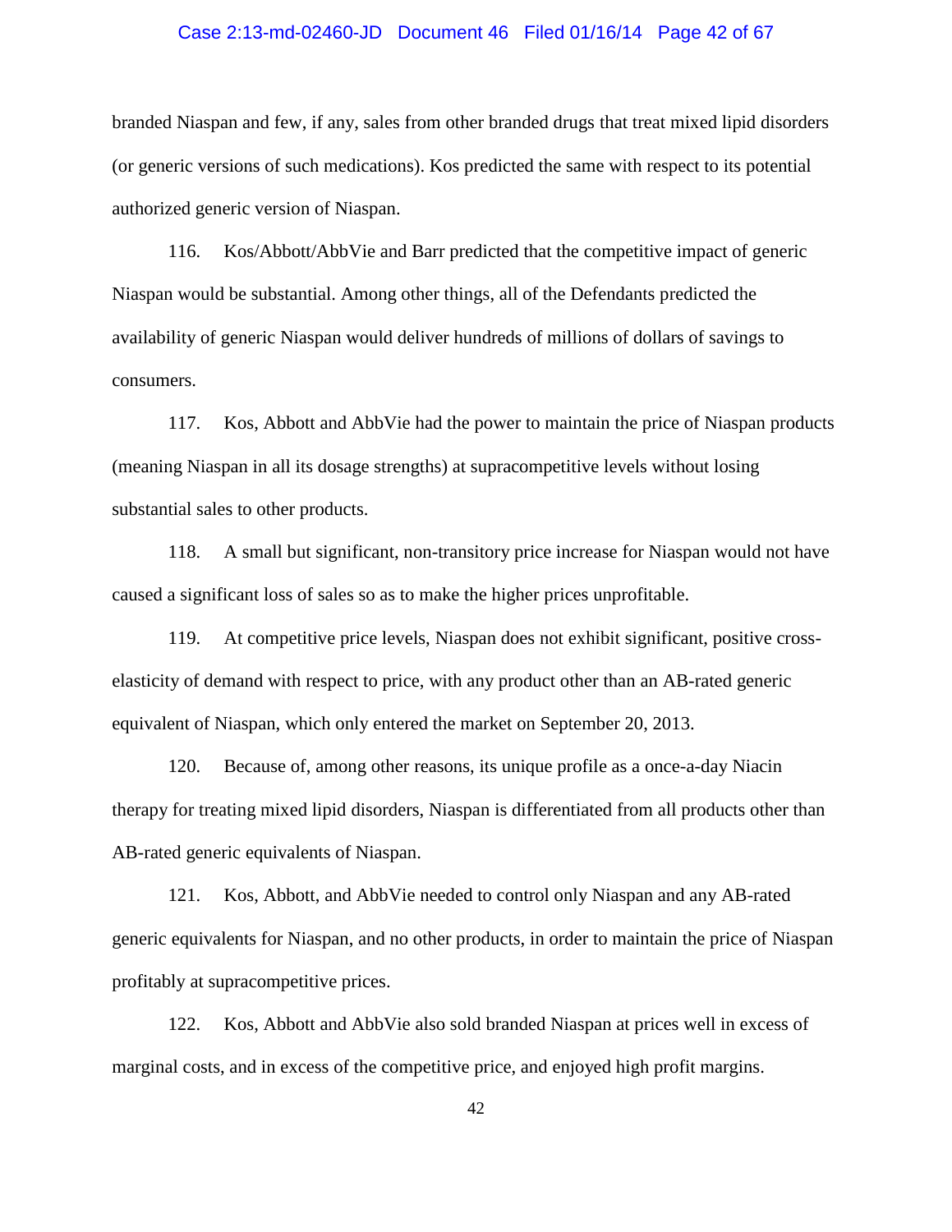#### Case 2:13-md-02460-JD Document 46 Filed 01/16/14 Page 42 of 67

branded Niaspan and few, if any, sales from other branded drugs that treat mixed lipid disorders (or generic versions of such medications). Kos predicted the same with respect to its potential authorized generic version of Niaspan.

116. Kos/Abbott/AbbVie and Barr predicted that the competitive impact of generic Niaspan would be substantial. Among other things, all of the Defendants predicted the availability of generic Niaspan would deliver hundreds of millions of dollars of savings to consumers.

117. Kos, Abbott and AbbVie had the power to maintain the price of Niaspan products (meaning Niaspan in all its dosage strengths) at supracompetitive levels without losing substantial sales to other products.

118. A small but significant, non-transitory price increase for Niaspan would not have caused a significant loss of sales so as to make the higher prices unprofitable.

119. At competitive price levels, Niaspan does not exhibit significant, positive crosselasticity of demand with respect to price, with any product other than an AB-rated generic equivalent of Niaspan, which only entered the market on September 20, 2013.

120. Because of, among other reasons, its unique profile as a once-a-day Niacin therapy for treating mixed lipid disorders, Niaspan is differentiated from all products other than AB-rated generic equivalents of Niaspan.

121. Kos, Abbott, and AbbVie needed to control only Niaspan and any AB-rated generic equivalents for Niaspan, and no other products, in order to maintain the price of Niaspan profitably at supracompetitive prices.

122. Kos, Abbott and AbbVie also sold branded Niaspan at prices well in excess of marginal costs, and in excess of the competitive price, and enjoyed high profit margins.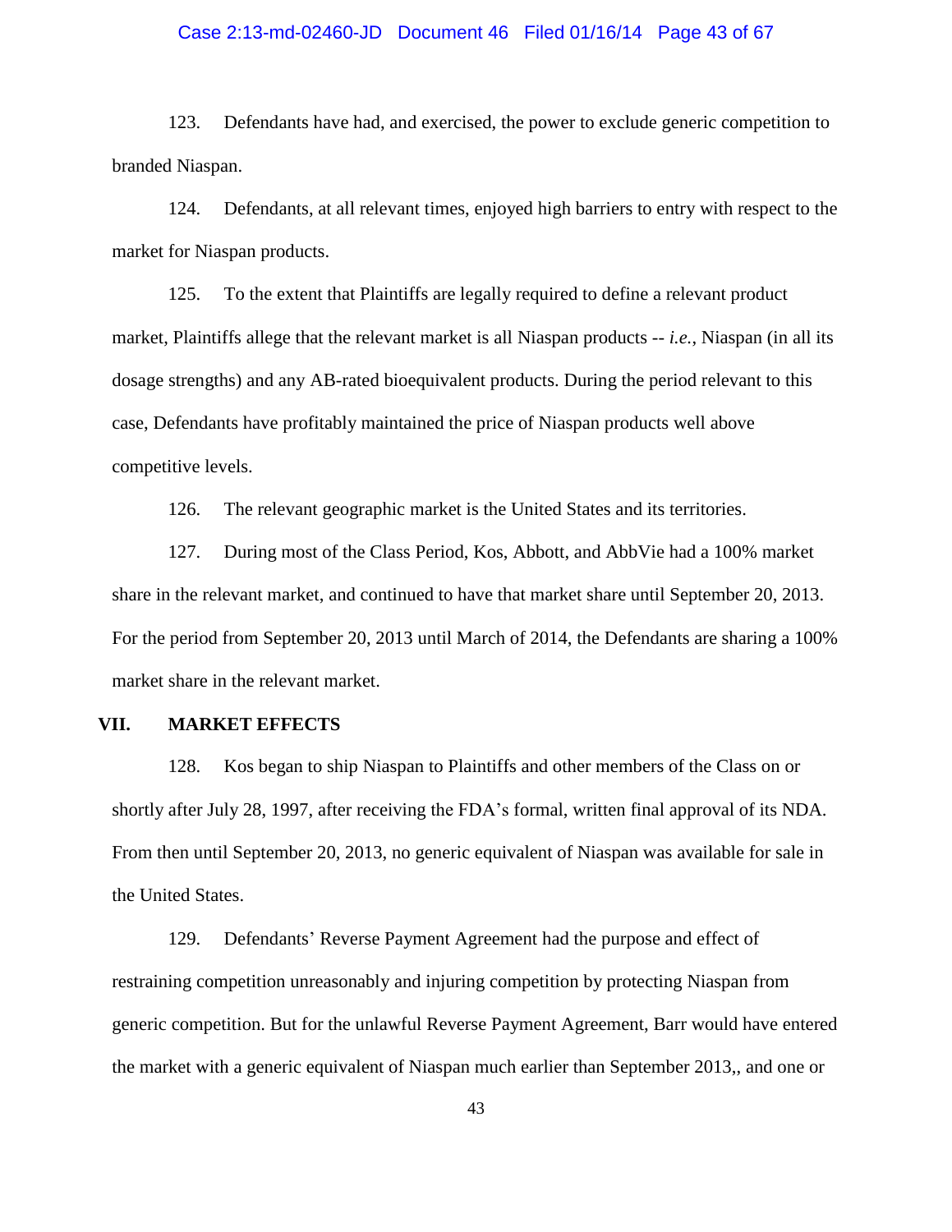#### Case 2:13-md-02460-JD Document 46 Filed 01/16/14 Page 43 of 67

123. Defendants have had, and exercised, the power to exclude generic competition to branded Niaspan.

124. Defendants, at all relevant times, enjoyed high barriers to entry with respect to the market for Niaspan products.

125. To the extent that Plaintiffs are legally required to define a relevant product market, Plaintiffs allege that the relevant market is all Niaspan products -- *i.e.*, Niaspan (in all its dosage strengths) and any AB-rated bioequivalent products. During the period relevant to this case, Defendants have profitably maintained the price of Niaspan products well above competitive levels.

126. The relevant geographic market is the United States and its territories.

127. During most of the Class Period, Kos, Abbott, and AbbVie had a 100% market share in the relevant market, and continued to have that market share until September 20, 2013. For the period from September 20, 2013 until March of 2014, the Defendants are sharing a 100% market share in the relevant market.

### **VII. MARKET EFFECTS**

128. Kos began to ship Niaspan to Plaintiffs and other members of the Class on or shortly after July 28, 1997, after receiving the FDA's formal, written final approval of its NDA. From then until September 20, 2013, no generic equivalent of Niaspan was available for sale in the United States.

129. Defendants' Reverse Payment Agreement had the purpose and effect of restraining competition unreasonably and injuring competition by protecting Niaspan from generic competition. But for the unlawful Reverse Payment Agreement, Barr would have entered the market with a generic equivalent of Niaspan much earlier than September 2013,, and one or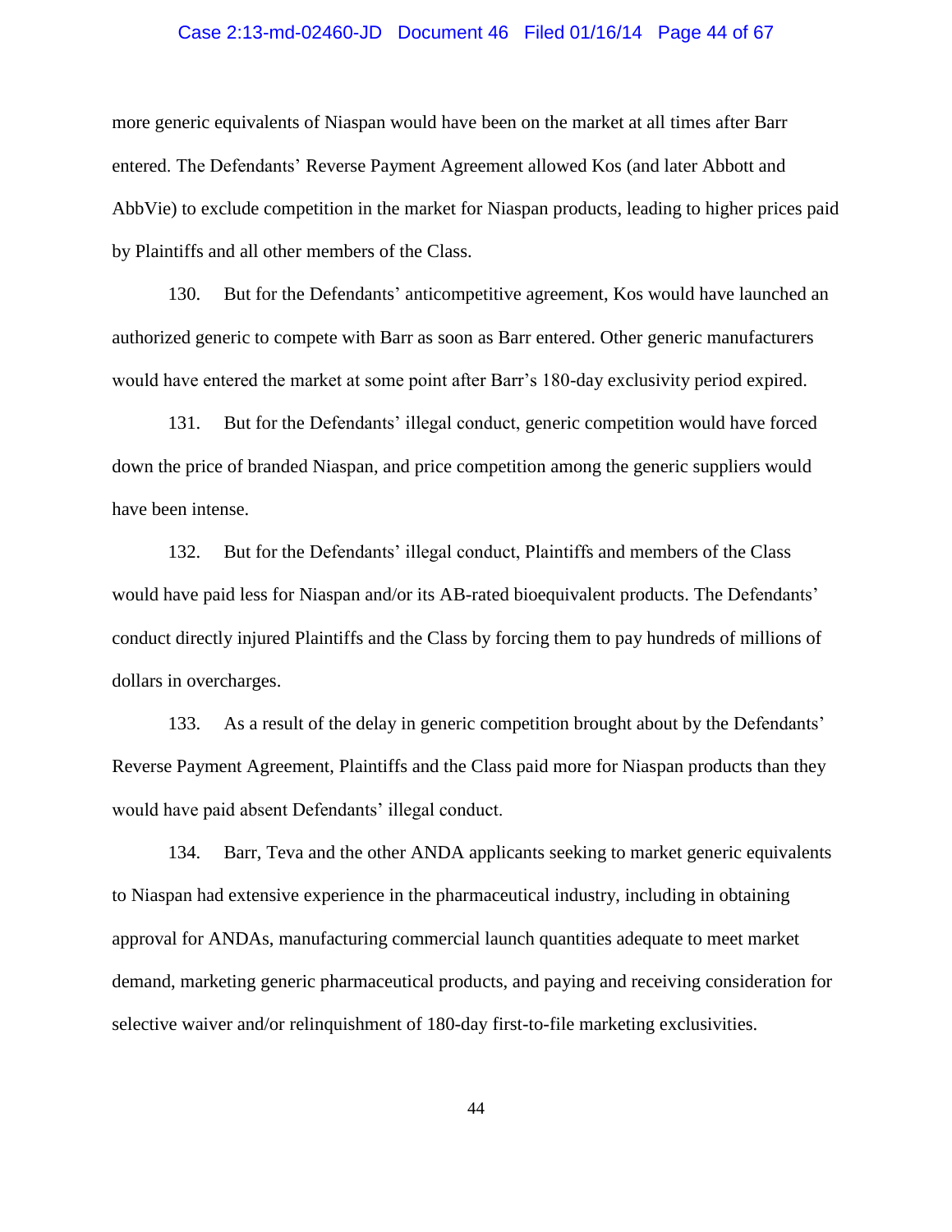#### Case 2:13-md-02460-JD Document 46 Filed 01/16/14 Page 44 of 67

more generic equivalents of Niaspan would have been on the market at all times after Barr entered. The Defendants' Reverse Payment Agreement allowed Kos (and later Abbott and AbbVie) to exclude competition in the market for Niaspan products, leading to higher prices paid by Plaintiffs and all other members of the Class.

130. But for the Defendants' anticompetitive agreement, Kos would have launched an authorized generic to compete with Barr as soon as Barr entered. Other generic manufacturers would have entered the market at some point after Barr's 180-day exclusivity period expired.

131. But for the Defendants' illegal conduct, generic competition would have forced down the price of branded Niaspan, and price competition among the generic suppliers would have been intense.

132. But for the Defendants' illegal conduct, Plaintiffs and members of the Class would have paid less for Niaspan and/or its AB-rated bioequivalent products. The Defendants' conduct directly injured Plaintiffs and the Class by forcing them to pay hundreds of millions of dollars in overcharges.

133. As a result of the delay in generic competition brought about by the Defendants' Reverse Payment Agreement, Plaintiffs and the Class paid more for Niaspan products than they would have paid absent Defendants' illegal conduct.

134. Barr, Teva and the other ANDA applicants seeking to market generic equivalents to Niaspan had extensive experience in the pharmaceutical industry, including in obtaining approval for ANDAs, manufacturing commercial launch quantities adequate to meet market demand, marketing generic pharmaceutical products, and paying and receiving consideration for selective waiver and/or relinquishment of 180-day first-to-file marketing exclusivities.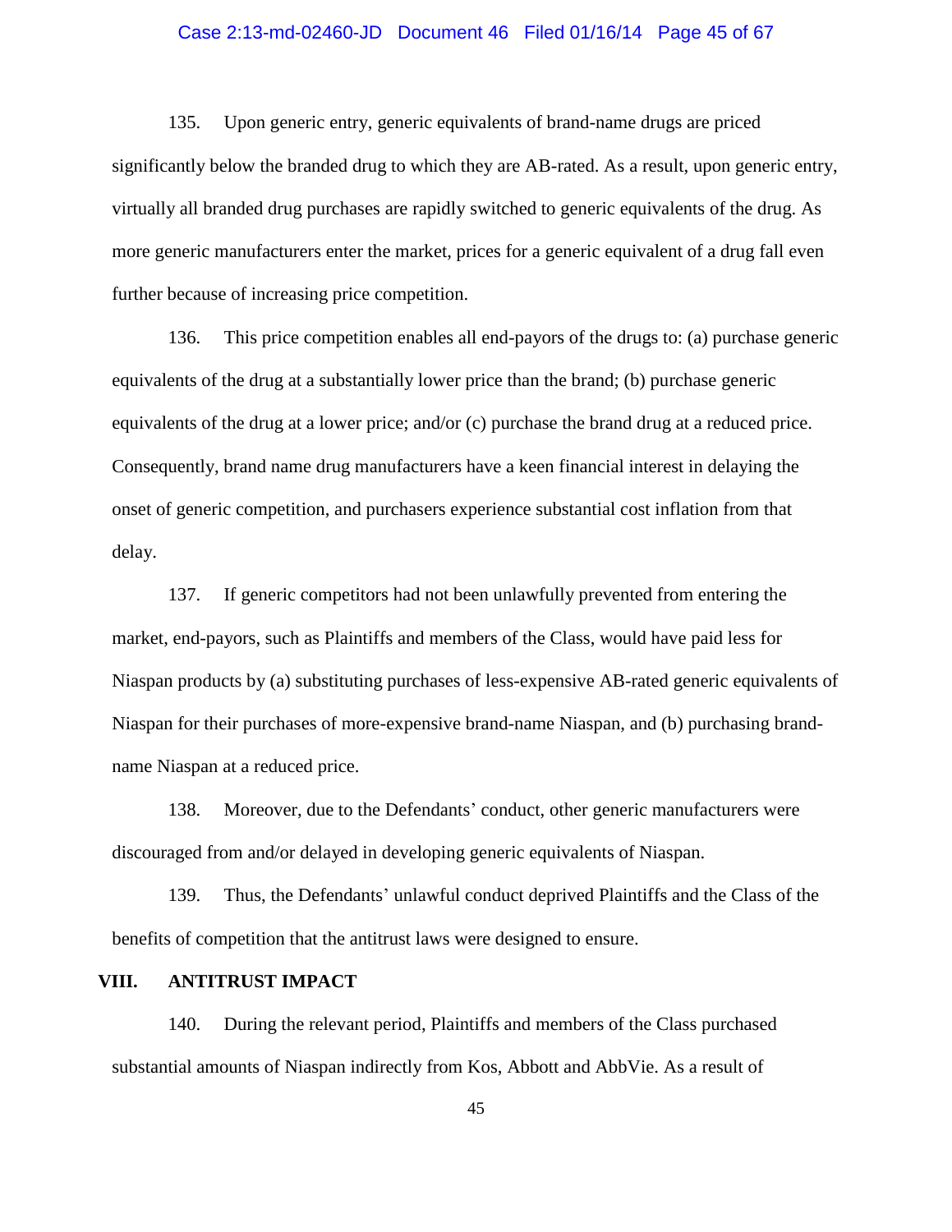#### Case 2:13-md-02460-JD Document 46 Filed 01/16/14 Page 45 of 67

135. Upon generic entry, generic equivalents of brand-name drugs are priced significantly below the branded drug to which they are AB-rated. As a result, upon generic entry, virtually all branded drug purchases are rapidly switched to generic equivalents of the drug. As more generic manufacturers enter the market, prices for a generic equivalent of a drug fall even further because of increasing price competition.

136. This price competition enables all end-payors of the drugs to: (a) purchase generic equivalents of the drug at a substantially lower price than the brand; (b) purchase generic equivalents of the drug at a lower price; and/or (c) purchase the brand drug at a reduced price. Consequently, brand name drug manufacturers have a keen financial interest in delaying the onset of generic competition, and purchasers experience substantial cost inflation from that delay.

137. If generic competitors had not been unlawfully prevented from entering the market, end-payors, such as Plaintiffs and members of the Class, would have paid less for Niaspan products by (a) substituting purchases of less-expensive AB-rated generic equivalents of Niaspan for their purchases of more-expensive brand-name Niaspan, and (b) purchasing brandname Niaspan at a reduced price.

138. Moreover, due to the Defendants' conduct, other generic manufacturers were discouraged from and/or delayed in developing generic equivalents of Niaspan.

139. Thus, the Defendants' unlawful conduct deprived Plaintiffs and the Class of the benefits of competition that the antitrust laws were designed to ensure.

## **VIII. ANTITRUST IMPACT**

140. During the relevant period, Plaintiffs and members of the Class purchased substantial amounts of Niaspan indirectly from Kos, Abbott and AbbVie. As a result of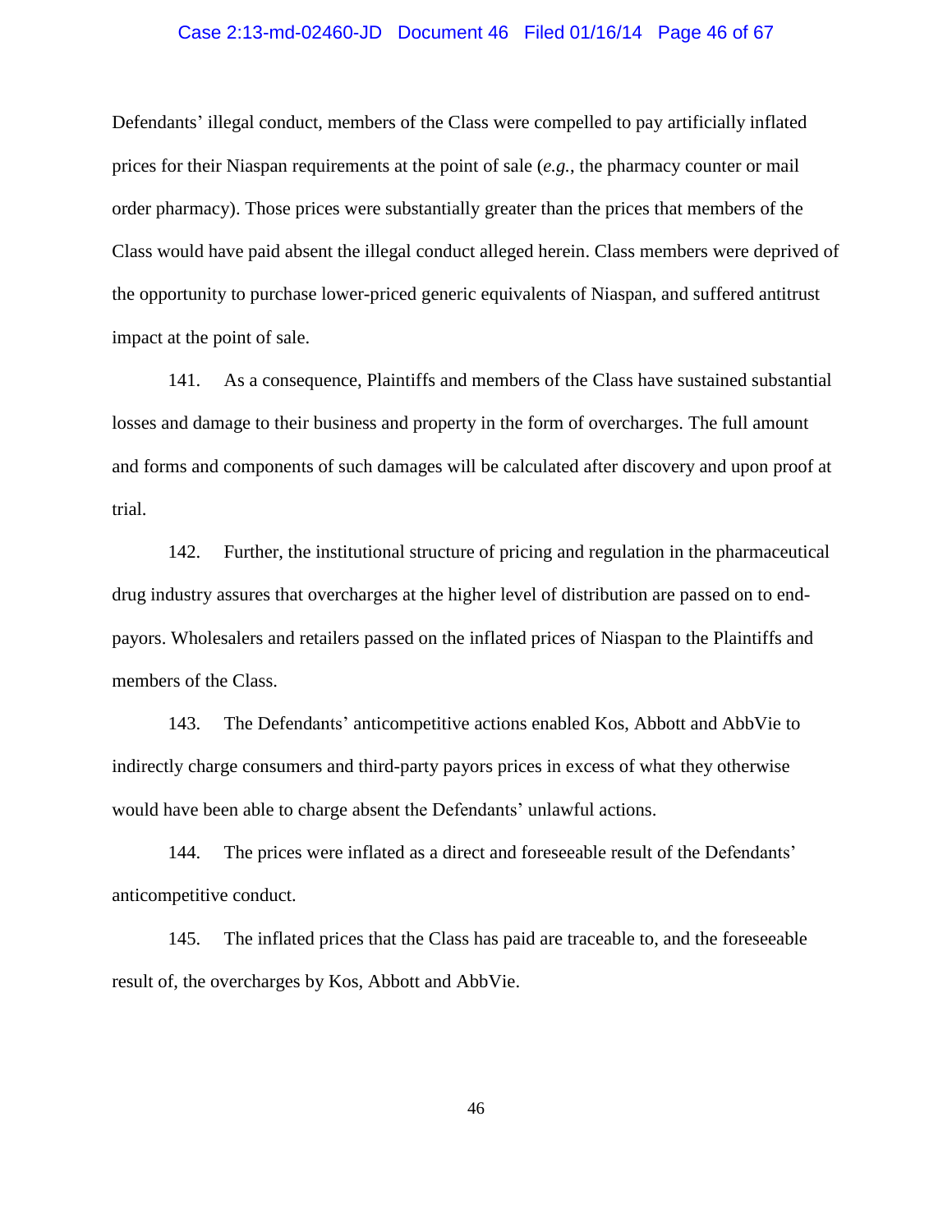#### Case 2:13-md-02460-JD Document 46 Filed 01/16/14 Page 46 of 67

Defendants' illegal conduct, members of the Class were compelled to pay artificially inflated prices for their Niaspan requirements at the point of sale (*e.g.*, the pharmacy counter or mail order pharmacy). Those prices were substantially greater than the prices that members of the Class would have paid absent the illegal conduct alleged herein. Class members were deprived of the opportunity to purchase lower-priced generic equivalents of Niaspan, and suffered antitrust impact at the point of sale.

141. As a consequence, Plaintiffs and members of the Class have sustained substantial losses and damage to their business and property in the form of overcharges. The full amount and forms and components of such damages will be calculated after discovery and upon proof at trial.

142. Further, the institutional structure of pricing and regulation in the pharmaceutical drug industry assures that overcharges at the higher level of distribution are passed on to endpayors. Wholesalers and retailers passed on the inflated prices of Niaspan to the Plaintiffs and members of the Class.

143. The Defendants' anticompetitive actions enabled Kos, Abbott and AbbVie to indirectly charge consumers and third-party payors prices in excess of what they otherwise would have been able to charge absent the Defendants' unlawful actions.

144. The prices were inflated as a direct and foreseeable result of the Defendants' anticompetitive conduct.

145. The inflated prices that the Class has paid are traceable to, and the foreseeable result of, the overcharges by Kos, Abbott and AbbVie.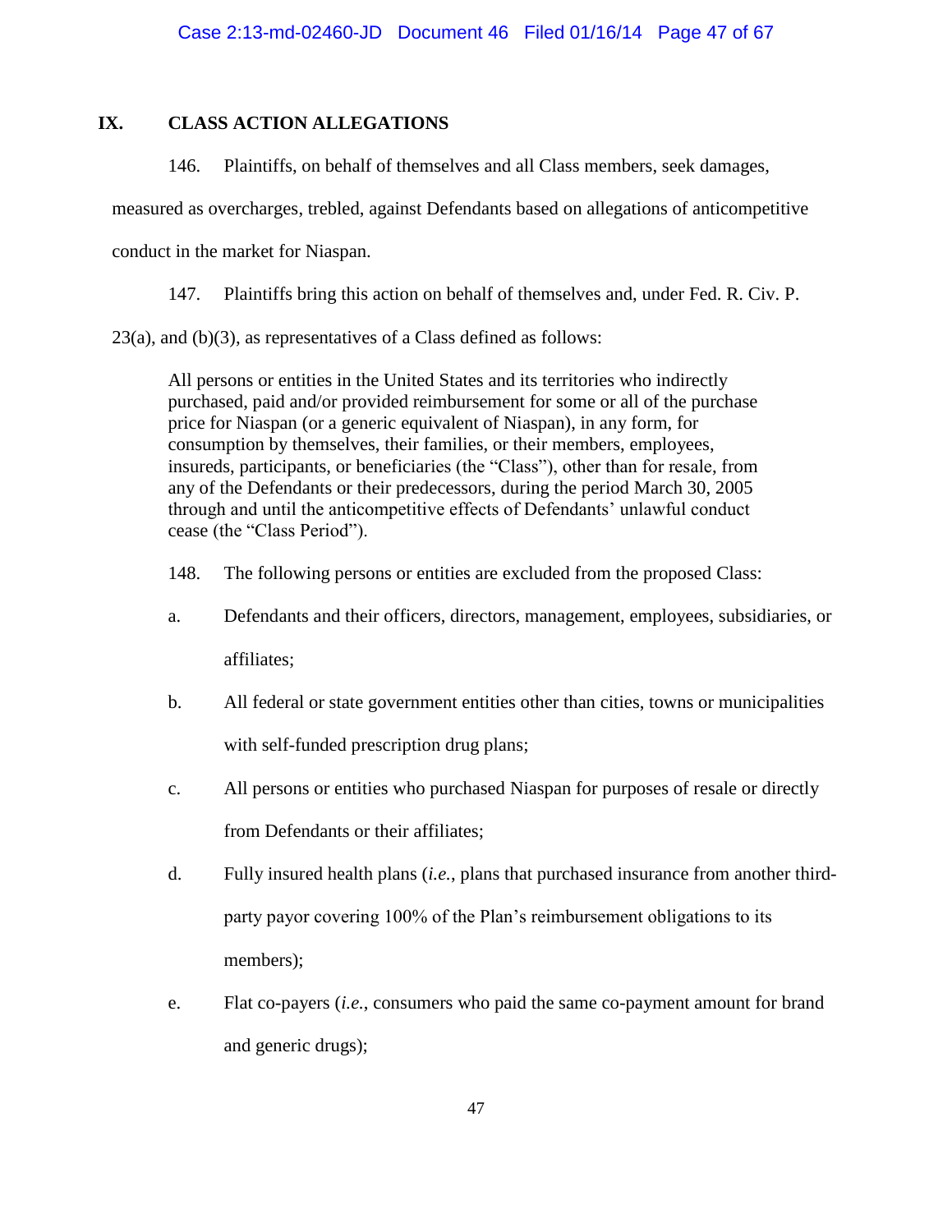# **IX. CLASS ACTION ALLEGATIONS**

146. Plaintiffs, on behalf of themselves and all Class members, seek damages,

measured as overcharges, trebled, against Defendants based on allegations of anticompetitive

conduct in the market for Niaspan.

147. Plaintiffs bring this action on behalf of themselves and, under Fed. R. Civ. P.

<span id="page-46-0"></span>23(a), and (b)(3), as representatives of a Class defined as follows:

All persons or entities in the United States and its territories who indirectly purchased, paid and/or provided reimbursement for some or all of the purchase price for Niaspan (or a generic equivalent of Niaspan), in any form, for consumption by themselves, their families, or their members, employees, insureds, participants, or beneficiaries (the "Class"), other than for resale, from any of the Defendants or their predecessors, during the period March 30, 2005 through and until the anticompetitive effects of Defendants' unlawful conduct cease (the "Class Period").

- 148. The following persons or entities are excluded from the proposed Class:
- a. Defendants and their officers, directors, management, employees, subsidiaries, or affiliates;
- b. All federal or state government entities other than cities, towns or municipalities with self-funded prescription drug plans;
- c. All persons or entities who purchased Niaspan for purposes of resale or directly from Defendants or their affiliates;
- d. Fully insured health plans (*i.e.*, plans that purchased insurance from another thirdparty payor covering 100% of the Plan's reimbursement obligations to its members);
- e. Flat co-payers (*i.e.*, consumers who paid the same co-payment amount for brand and generic drugs);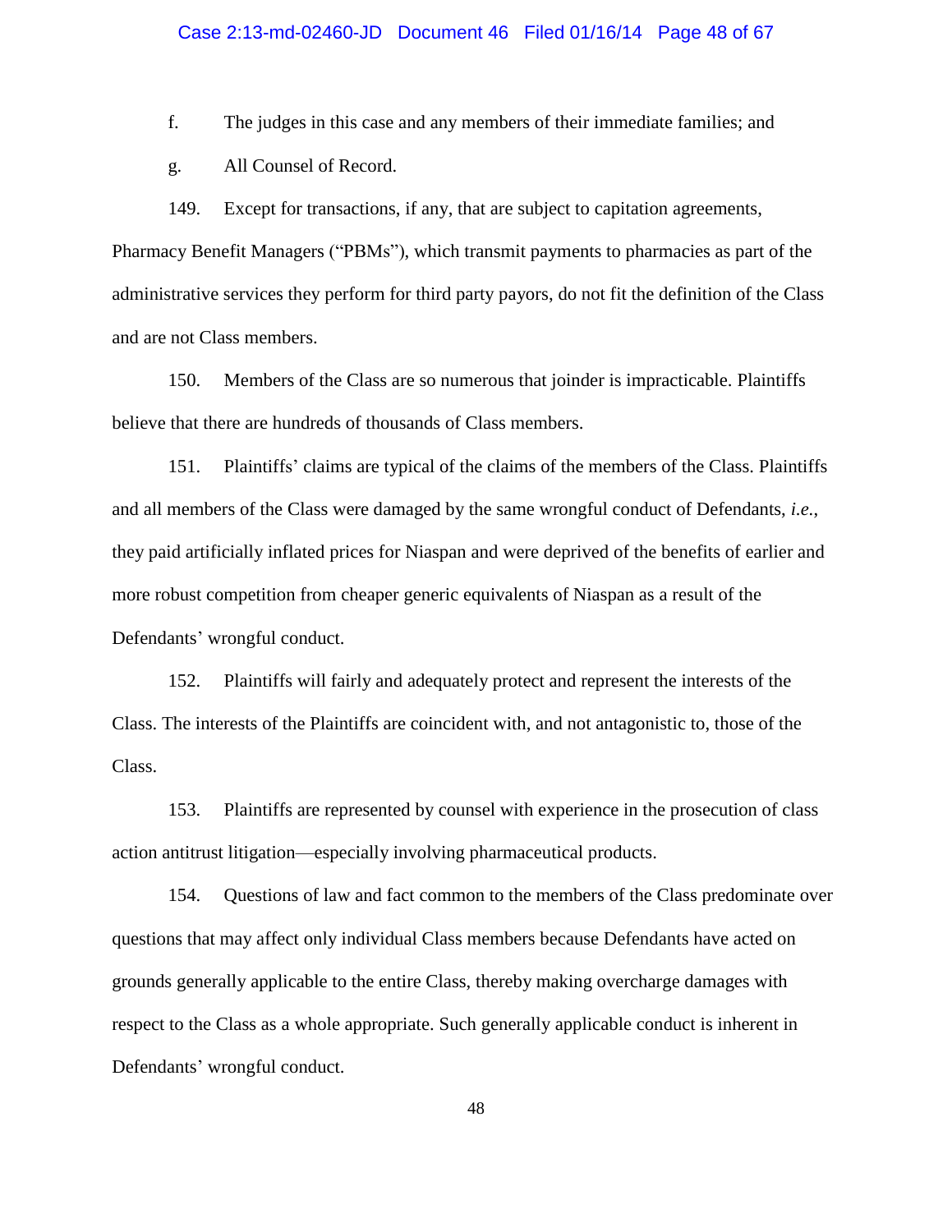#### Case 2:13-md-02460-JD Document 46 Filed 01/16/14 Page 48 of 67

f. The judges in this case and any members of their immediate families; and

g. All Counsel of Record.

149. Except for transactions, if any, that are subject to capitation agreements, Pharmacy Benefit Managers ("PBMs"), which transmit payments to pharmacies as part of the administrative services they perform for third party payors, do not fit the definition of the Class and are not Class members.

150. Members of the Class are so numerous that joinder is impracticable. Plaintiffs believe that there are hundreds of thousands of Class members.

151. Plaintiffs' claims are typical of the claims of the members of the Class. Plaintiffs and all members of the Class were damaged by the same wrongful conduct of Defendants, *i.e.*, they paid artificially inflated prices for Niaspan and were deprived of the benefits of earlier and more robust competition from cheaper generic equivalents of Niaspan as a result of the Defendants' wrongful conduct.

152. Plaintiffs will fairly and adequately protect and represent the interests of the Class. The interests of the Plaintiffs are coincident with, and not antagonistic to, those of the Class.

153. Plaintiffs are represented by counsel with experience in the prosecution of class action antitrust litigation—especially involving pharmaceutical products.

154. Questions of law and fact common to the members of the Class predominate over questions that may affect only individual Class members because Defendants have acted on grounds generally applicable to the entire Class, thereby making overcharge damages with respect to the Class as a whole appropriate. Such generally applicable conduct is inherent in Defendants' wrongful conduct.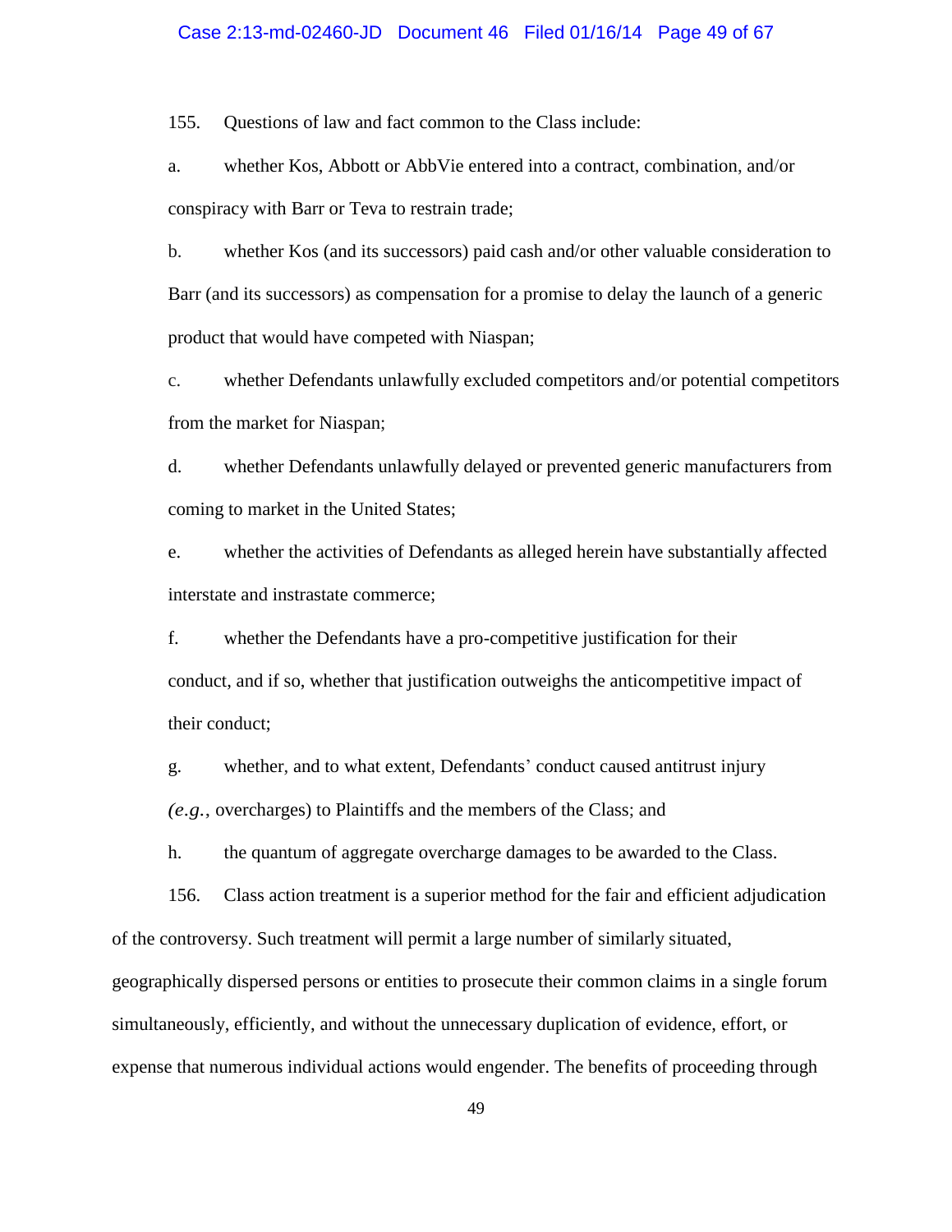#### Case 2:13-md-02460-JD Document 46 Filed 01/16/14 Page 49 of 67

155. Questions of law and fact common to the Class include:

a. whether Kos, Abbott or AbbVie entered into a contract, combination, and/or conspiracy with Barr or Teva to restrain trade;

b. whether Kos (and its successors) paid cash and/or other valuable consideration to Barr (and its successors) as compensation for a promise to delay the launch of a generic product that would have competed with Niaspan;

c. whether Defendants unlawfully excluded competitors and/or potential competitors from the market for Niaspan;

d. whether Defendants unlawfully delayed or prevented generic manufacturers from coming to market in the United States;

e. whether the activities of Defendants as alleged herein have substantially affected interstate and instrastate commerce;

f. whether the Defendants have a pro-competitive justification for their conduct, and if so, whether that justification outweighs the anticompetitive impact of their conduct;

g. whether, and to what extent, Defendants' conduct caused antitrust injury *(e.g.*, overcharges) to Plaintiffs and the members of the Class; and

h. the quantum of aggregate overcharge damages to be awarded to the Class.

156. Class action treatment is a superior method for the fair and efficient adjudication of the controversy. Such treatment will permit a large number of similarly situated,

geographically dispersed persons or entities to prosecute their common claims in a single forum simultaneously, efficiently, and without the unnecessary duplication of evidence, effort, or expense that numerous individual actions would engender. The benefits of proceeding through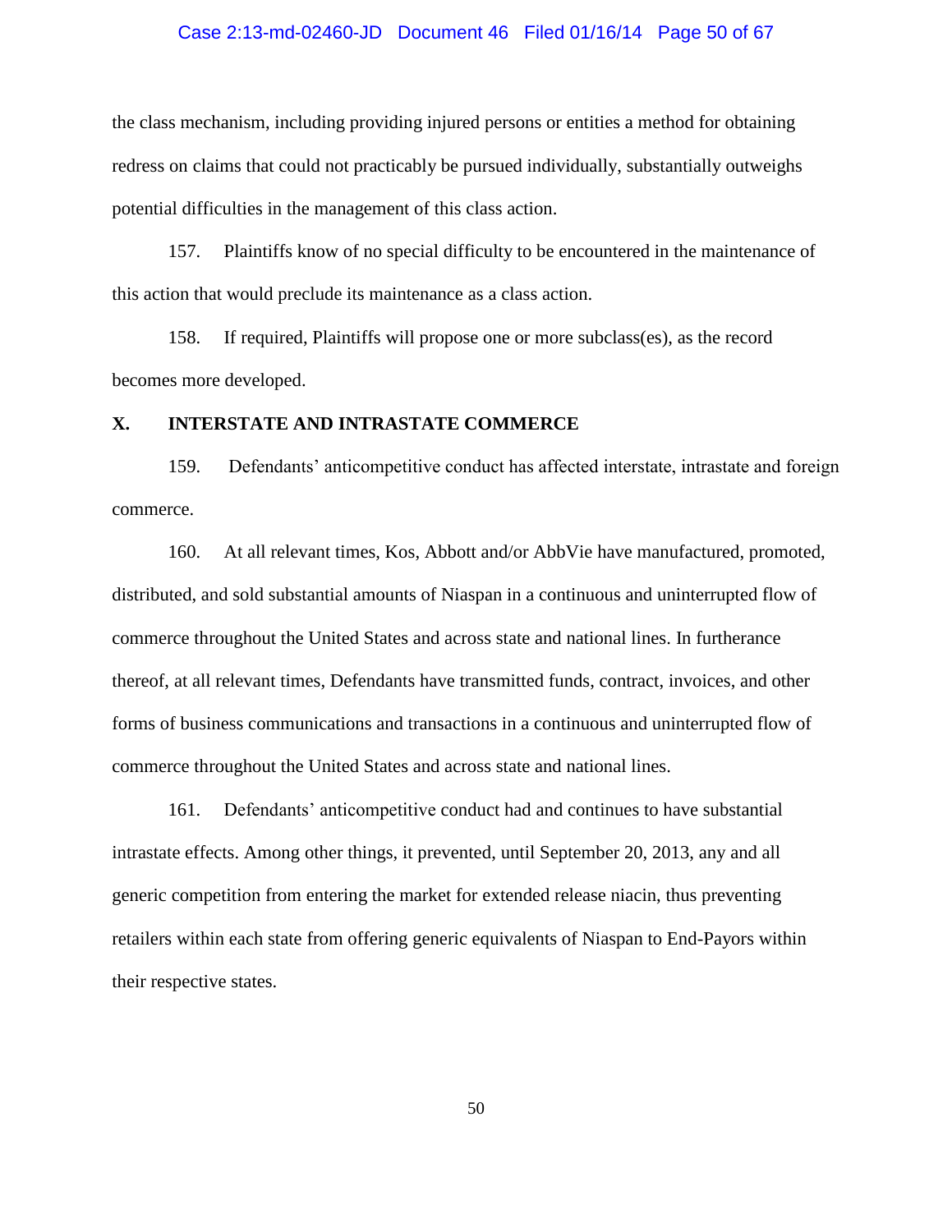#### Case 2:13-md-02460-JD Document 46 Filed 01/16/14 Page 50 of 67

the class mechanism, including providing injured persons or entities a method for obtaining redress on claims that could not practicably be pursued individually, substantially outweighs potential difficulties in the management of this class action.

157. Plaintiffs know of no special difficulty to be encountered in the maintenance of this action that would preclude its maintenance as a class action.

158. If required, Plaintiffs will propose one or more subclass(es), as the record becomes more developed.

### **X. INTERSTATE AND INTRASTATE COMMERCE**

159. Defendants' anticompetitive conduct has affected interstate, intrastate and foreign commerce.

160. At all relevant times, Kos, Abbott and/or AbbVie have manufactured, promoted, distributed, and sold substantial amounts of Niaspan in a continuous and uninterrupted flow of commerce throughout the United States and across state and national lines. In furtherance thereof, at all relevant times, Defendants have transmitted funds, contract, invoices, and other forms of business communications and transactions in a continuous and uninterrupted flow of commerce throughout the United States and across state and national lines.

161. Defendants' anticompetitive conduct had and continues to have substantial intrastate effects. Among other things, it prevented, until September 20, 2013, any and all generic competition from entering the market for extended release niacin, thus preventing retailers within each state from offering generic equivalents of Niaspan to End-Payors within their respective states.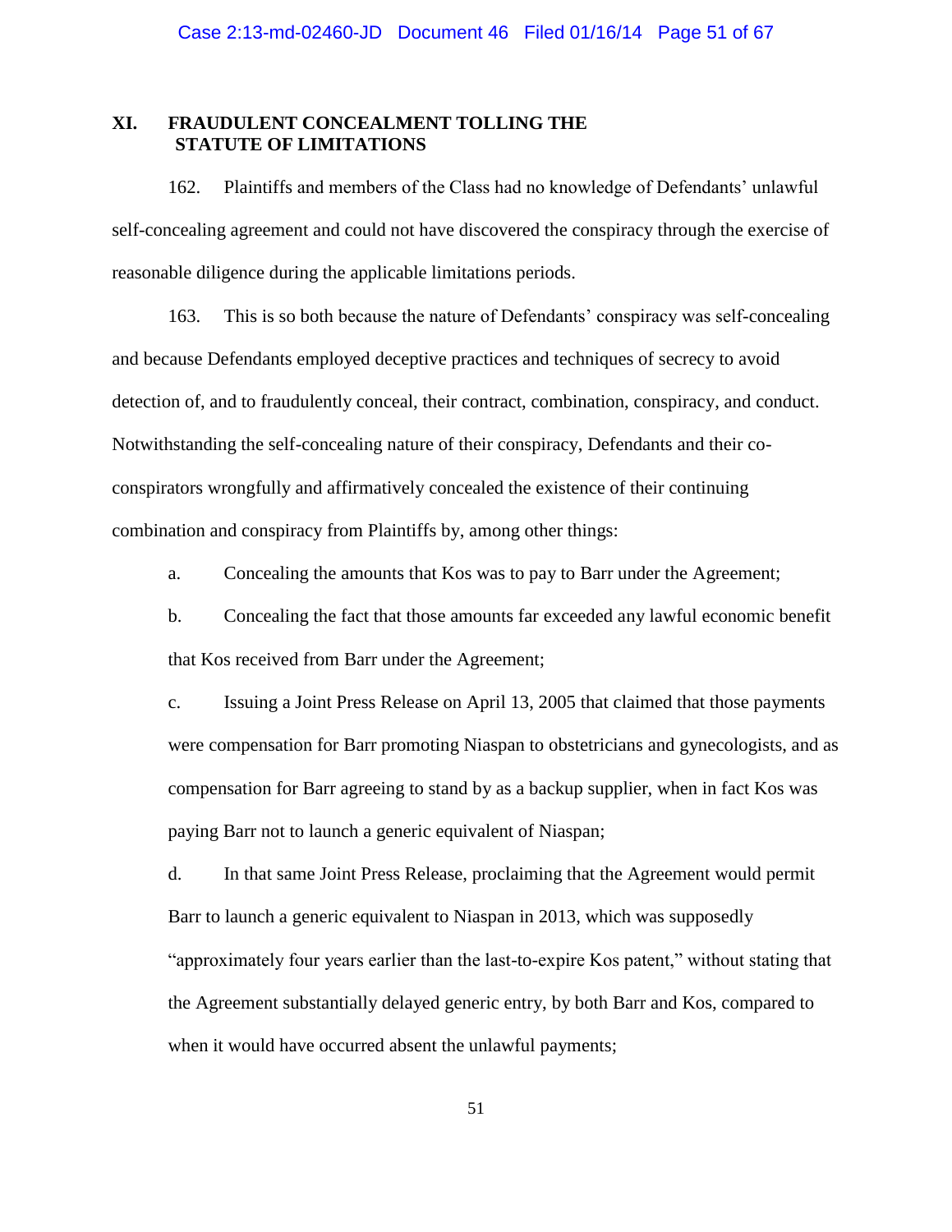### **XI. FRAUDULENT CONCEALMENT TOLLING THE STATUTE OF LIMITATIONS**

162. Plaintiffs and members of the Class had no knowledge of Defendants' unlawful self-concealing agreement and could not have discovered the conspiracy through the exercise of reasonable diligence during the applicable limitations periods.

163. This is so both because the nature of Defendants' conspiracy was self-concealing and because Defendants employed deceptive practices and techniques of secrecy to avoid detection of, and to fraudulently conceal, their contract, combination, conspiracy, and conduct. Notwithstanding the self-concealing nature of their conspiracy, Defendants and their coconspirators wrongfully and affirmatively concealed the existence of their continuing combination and conspiracy from Plaintiffs by, among other things:

a. Concealing the amounts that Kos was to pay to Barr under the Agreement;

b. Concealing the fact that those amounts far exceeded any lawful economic benefit that Kos received from Barr under the Agreement;

c. Issuing a Joint Press Release on April 13, 2005 that claimed that those payments were compensation for Barr promoting Niaspan to obstetricians and gynecologists, and as compensation for Barr agreeing to stand by as a backup supplier, when in fact Kos was paying Barr not to launch a generic equivalent of Niaspan;

d. In that same Joint Press Release, proclaiming that the Agreement would permit Barr to launch a generic equivalent to Niaspan in 2013, which was supposedly "approximately four years earlier than the last-to-expire Kos patent," without stating that the Agreement substantially delayed generic entry, by both Barr and Kos, compared to when it would have occurred absent the unlawful payments;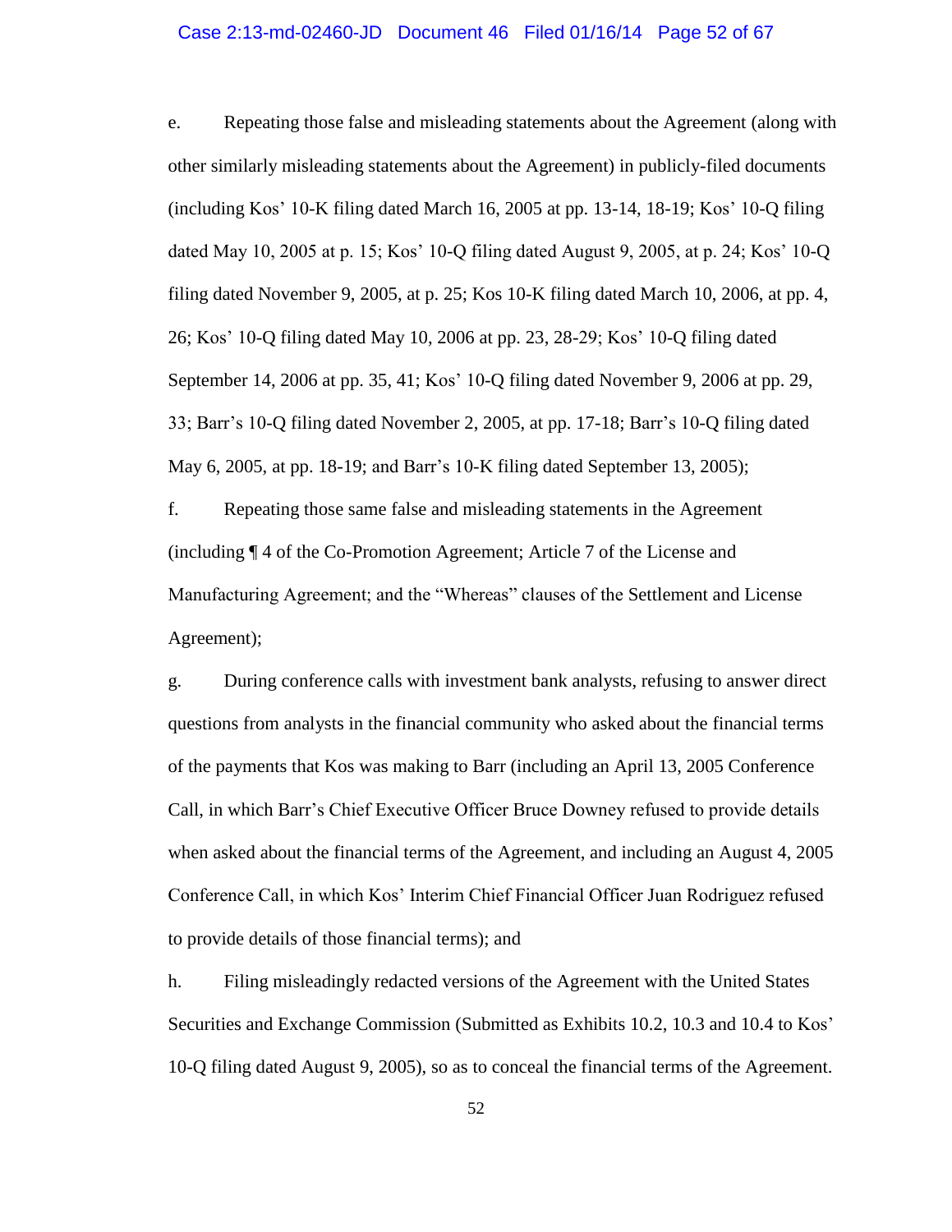#### Case 2:13-md-02460-JD Document 46 Filed 01/16/14 Page 52 of 67

e. Repeating those false and misleading statements about the Agreement (along with other similarly misleading statements about the Agreement) in publicly-filed documents (including Kos' 10-K filing dated March 16, 2005 at pp. 13-14, 18-19; Kos' 10-Q filing dated May 10, 2005 at p. 15; Kos' 10-Q filing dated August 9, 2005, at p. 24; Kos' 10-Q filing dated November 9, 2005, at p. 25; Kos 10-K filing dated March 10, 2006, at pp. 4, 26; Kos' 10-Q filing dated May 10, 2006 at pp. 23, 28-29; Kos' 10-Q filing dated September 14, 2006 at pp. 35, 41; Kos' 10-Q filing dated November 9, 2006 at pp. 29, 33; Barr's 10-Q filing dated November 2, 2005, at pp. 17-18; Barr's 10-Q filing dated May 6, 2005, at pp. 18-19; and Barr's 10-K filing dated September 13, 2005);

f. Repeating those same false and misleading statements in the Agreement (including ¶ 4 of the Co-Promotion Agreement; Article 7 of the License and Manufacturing Agreement; and the "Whereas" clauses of the Settlement and License Agreement);

g. During conference calls with investment bank analysts, refusing to answer direct questions from analysts in the financial community who asked about the financial terms of the payments that Kos was making to Barr (including an April 13, 2005 Conference Call, in which Barr's Chief Executive Officer Bruce Downey refused to provide details when asked about the financial terms of the Agreement, and including an August 4, 2005 Conference Call, in which Kos' Interim Chief Financial Officer Juan Rodriguez refused to provide details of those financial terms); and

h. Filing misleadingly redacted versions of the Agreement with the United States Securities and Exchange Commission (Submitted as Exhibits 10.2, 10.3 and 10.4 to Kos' 10-Q filing dated August 9, 2005), so as to conceal the financial terms of the Agreement.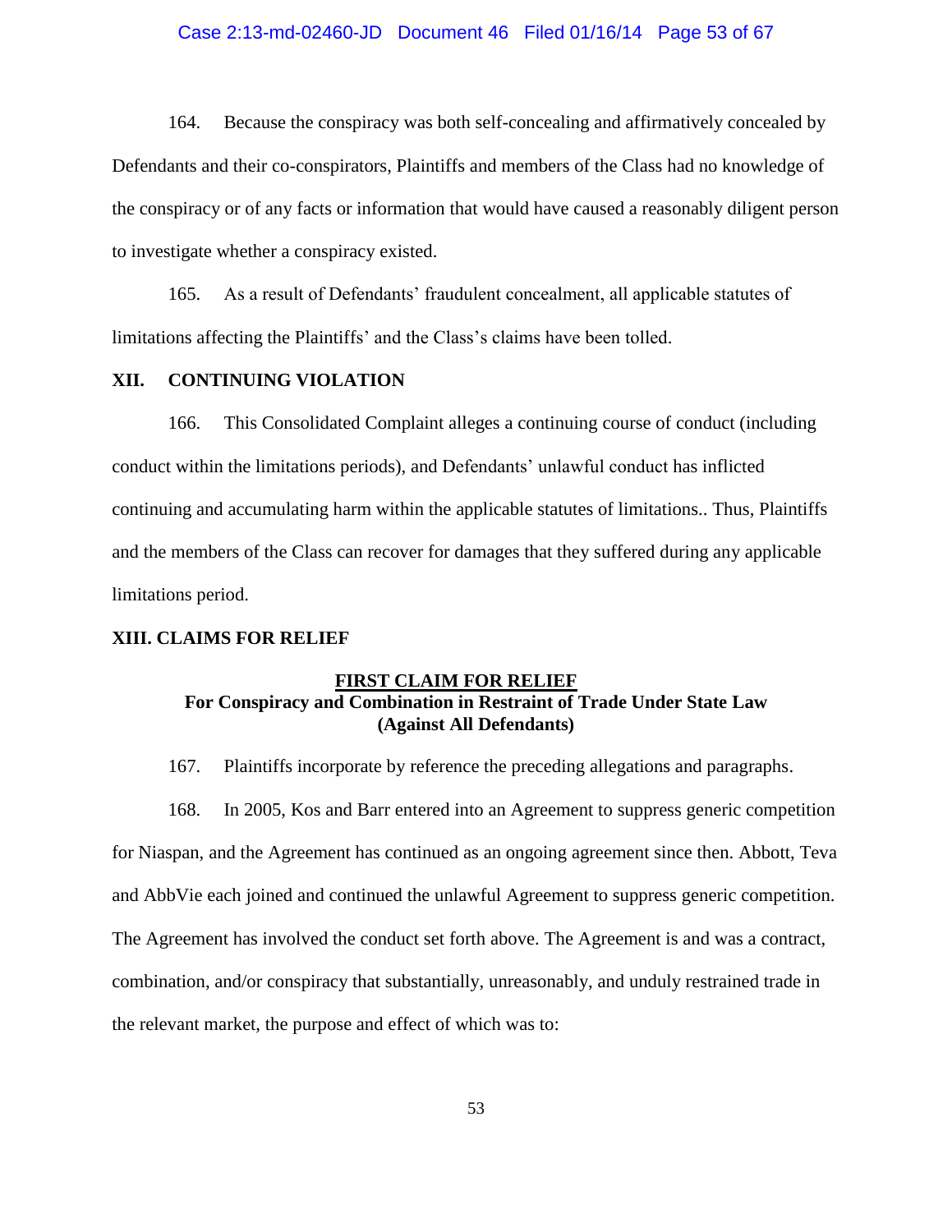#### Case 2:13-md-02460-JD Document 46 Filed 01/16/14 Page 53 of 67

164. Because the conspiracy was both self-concealing and affirmatively concealed by Defendants and their co-conspirators, Plaintiffs and members of the Class had no knowledge of the conspiracy or of any facts or information that would have caused a reasonably diligent person to investigate whether a conspiracy existed.

165. As a result of Defendants' fraudulent concealment, all applicable statutes of limitations affecting the Plaintiffs' and the Class's claims have been tolled.

## **XII. CONTINUING VIOLATION**

166. This Consolidated Complaint alleges a continuing course of conduct (including conduct within the limitations periods), and Defendants' unlawful conduct has inflicted continuing and accumulating harm within the applicable statutes of limitations.. Thus, Plaintiffs and the members of the Class can recover for damages that they suffered during any applicable limitations period.

#### **XIII. CLAIMS FOR RELIEF**

#### **FIRST CLAIM FOR RELIEF**

# **For Conspiracy and Combination in Restraint of Trade Under State Law (Against All Defendants)**

167. Plaintiffs incorporate by reference the preceding allegations and paragraphs.

168. In 2005, Kos and Barr entered into an Agreement to suppress generic competition for Niaspan, and the Agreement has continued as an ongoing agreement since then. Abbott, Teva and AbbVie each joined and continued the unlawful Agreement to suppress generic competition. The Agreement has involved the conduct set forth above. The Agreement is and was a contract, combination, and/or conspiracy that substantially, unreasonably, and unduly restrained trade in the relevant market, the purpose and effect of which was to: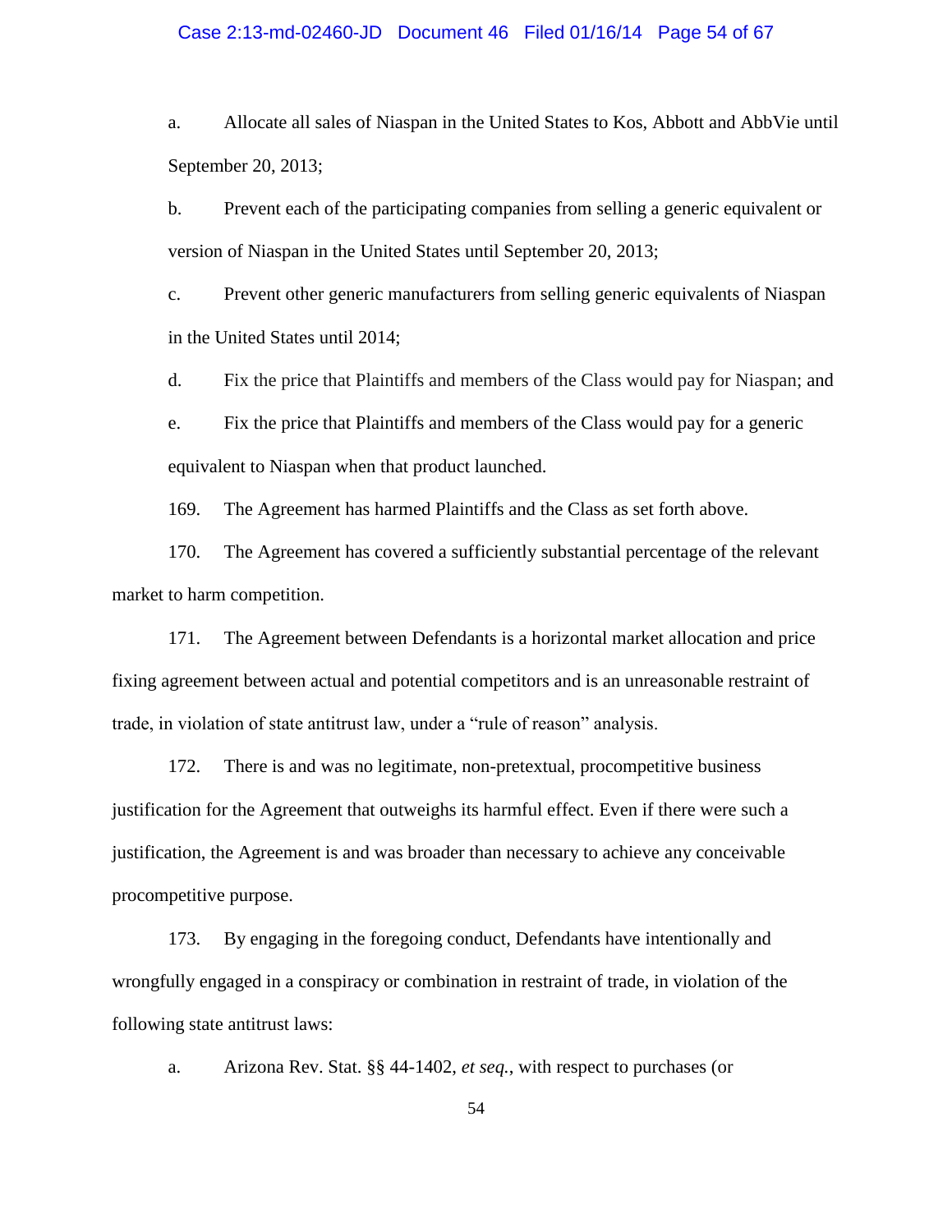#### Case 2:13-md-02460-JD Document 46 Filed 01/16/14 Page 54 of 67

a. Allocate all sales of Niaspan in the United States to Kos, Abbott and AbbVie until September 20, 2013;

b. Prevent each of the participating companies from selling a generic equivalent or version of Niaspan in the United States until September 20, 2013;

c. Prevent other generic manufacturers from selling generic equivalents of Niaspan in the United States until 2014;

d. Fix the price that Plaintiffs and members of the Class would pay for Niaspan; and

e. Fix the price that Plaintiffs and members of the Class would pay for a generic equivalent to Niaspan when that product launched.

169. The Agreement has harmed Plaintiffs and the Class as set forth above.

170. The Agreement has covered a sufficiently substantial percentage of the relevant market to harm competition.

171. The Agreement between Defendants is a horizontal market allocation and price fixing agreement between actual and potential competitors and is an unreasonable restraint of trade, in violation of state antitrust law, under a "rule of reason" analysis.

172. There is and was no legitimate, non-pretextual, procompetitive business justification for the Agreement that outweighs its harmful effect. Even if there were such a justification, the Agreement is and was broader than necessary to achieve any conceivable procompetitive purpose.

173. By engaging in the foregoing conduct, Defendants have intentionally and wrongfully engaged in a conspiracy or combination in restraint of trade, in violation of the following state antitrust laws:

a. Arizona Rev. Stat. §§ 44-1402, *et seq.*, with respect to purchases (or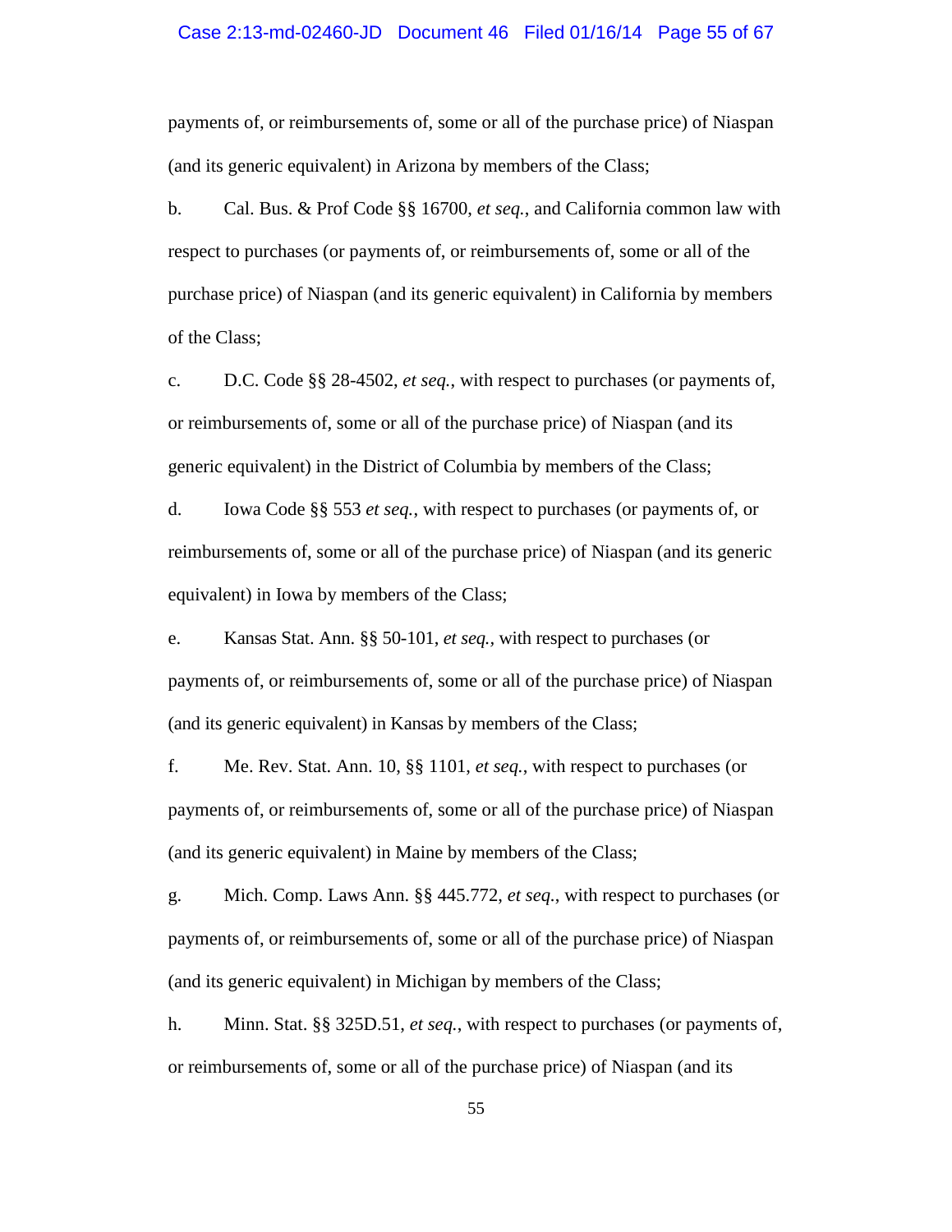#### Case 2:13-md-02460-JD Document 46 Filed 01/16/14 Page 55 of 67

payments of, or reimbursements of, some or all of the purchase price) of Niaspan (and its generic equivalent) in Arizona by members of the Class;

b. Cal. Bus. & Prof Code §§ 16700, *et seq.*, and California common law with respect to purchases (or payments of, or reimbursements of, some or all of the purchase price) of Niaspan (and its generic equivalent) in California by members of the Class;

c. D.C. Code §§ 28-4502, *et seq.*, with respect to purchases (or payments of, or reimbursements of, some or all of the purchase price) of Niaspan (and its generic equivalent) in the District of Columbia by members of the Class;

d. Iowa Code §§ 553 *et seq.*, with respect to purchases (or payments of, or reimbursements of, some or all of the purchase price) of Niaspan (and its generic equivalent) in Iowa by members of the Class;

e. Kansas Stat. Ann. §§ 50-101, *et seq.,* with respect to purchases (or payments of, or reimbursements of, some or all of the purchase price) of Niaspan (and its generic equivalent) in Kansas by members of the Class;

f. Me. Rev. Stat. Ann. 10, §§ 1101, *et seq.*, with respect to purchases (or payments of, or reimbursements of, some or all of the purchase price) of Niaspan (and its generic equivalent) in Maine by members of the Class;

g. Mich. Comp. Laws Ann. §§ 445.772, *et seq.*, with respect to purchases (or payments of, or reimbursements of, some or all of the purchase price) of Niaspan (and its generic equivalent) in Michigan by members of the Class;

h. Minn. Stat. §§ 325D.51, *et seq.*, with respect to purchases (or payments of, or reimbursements of, some or all of the purchase price) of Niaspan (and its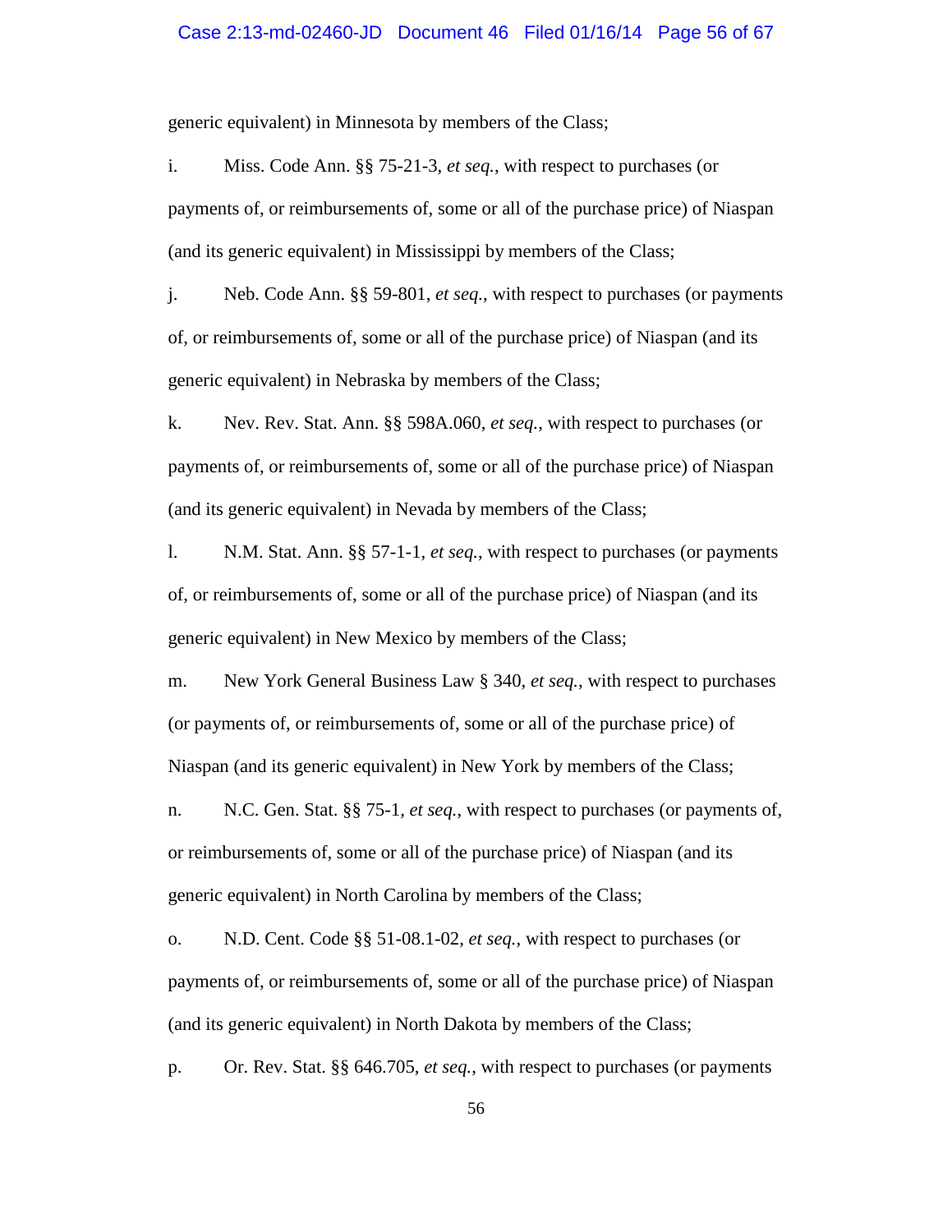#### Case 2:13-md-02460-JD Document 46 Filed 01/16/14 Page 56 of 67

generic equivalent) in Minnesota by members of the Class;

i. Miss. Code Ann. §§ 75-21-3, *et seq.*, with respect to purchases (or payments of, or reimbursements of, some or all of the purchase price) of Niaspan (and its generic equivalent) in Mississippi by members of the Class;

j. Neb. Code Ann. §§ 59-801, *et seq.*, with respect to purchases (or payments of, or reimbursements of, some or all of the purchase price) of Niaspan (and its generic equivalent) in Nebraska by members of the Class;

k. Nev. Rev. Stat. Ann. §§ 598A.060, *et seq.*, with respect to purchases (or payments of, or reimbursements of, some or all of the purchase price) of Niaspan (and its generic equivalent) in Nevada by members of the Class;

l. N.M. Stat. Ann. §§ 57-1-1, *et seq.*, with respect to purchases (or payments of, or reimbursements of, some or all of the purchase price) of Niaspan (and its generic equivalent) in New Mexico by members of the Class;

m. New York General Business Law § 340, *et seq.*, with respect to purchases (or payments of, or reimbursements of, some or all of the purchase price) of Niaspan (and its generic equivalent) in New York by members of the Class;

n. N.C. Gen. Stat. §§ 75-1, *et seq.*, with respect to purchases (or payments of, or reimbursements of, some or all of the purchase price) of Niaspan (and its generic equivalent) in North Carolina by members of the Class;

o. N.D. Cent. Code §§ 51-08.1-02, *et seq.*, with respect to purchases (or payments of, or reimbursements of, some or all of the purchase price) of Niaspan (and its generic equivalent) in North Dakota by members of the Class;

p. Or. Rev. Stat. §§ 646.705, *et seq.*, with respect to purchases (or payments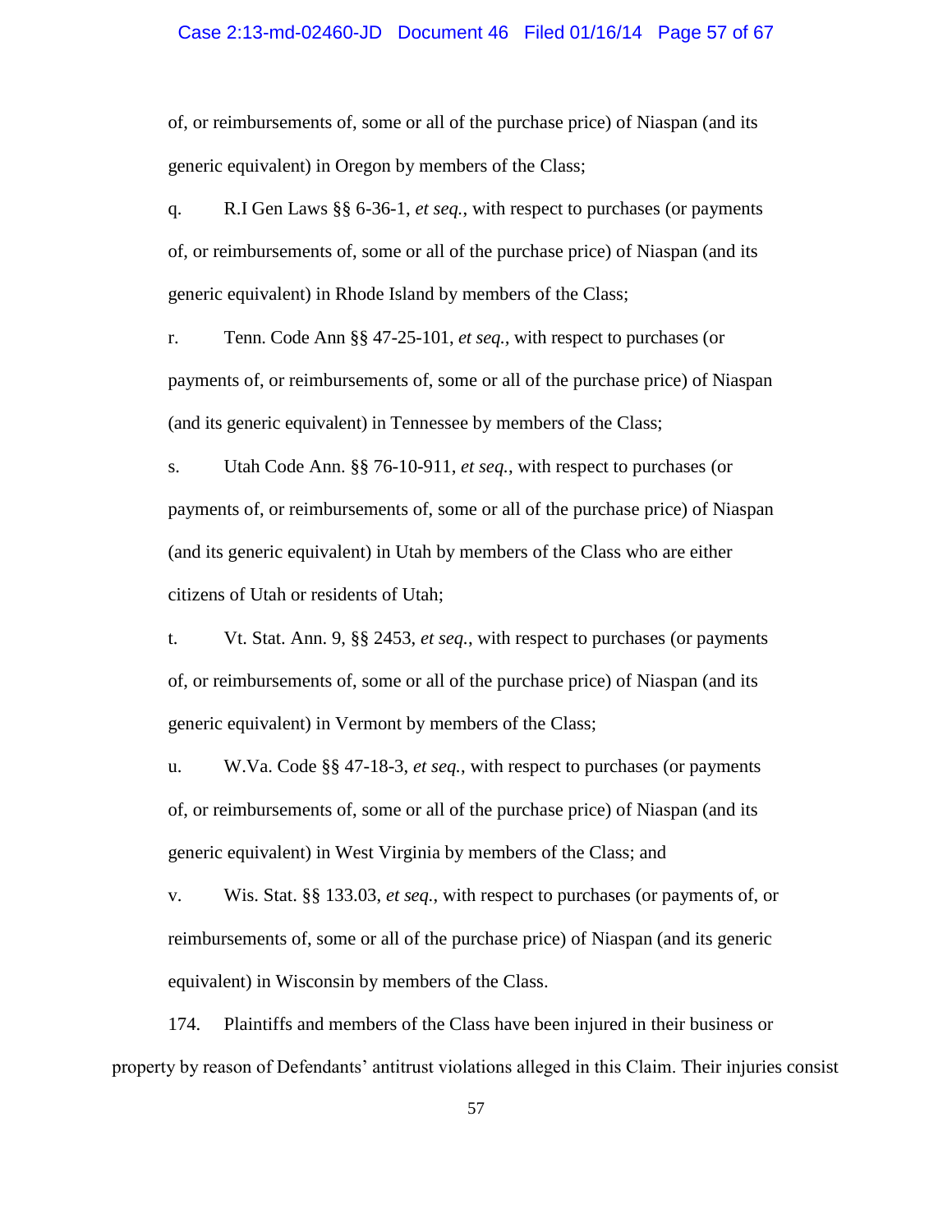#### Case 2:13-md-02460-JD Document 46 Filed 01/16/14 Page 57 of 67

of, or reimbursements of, some or all of the purchase price) of Niaspan (and its generic equivalent) in Oregon by members of the Class;

q. R.I Gen Laws §§ 6-36-1, *et seq.*, with respect to purchases (or payments of, or reimbursements of, some or all of the purchase price) of Niaspan (and its generic equivalent) in Rhode Island by members of the Class;

r. Tenn. Code Ann §§ 47-25-101, *et seq.,* with respect to purchases (or payments of, or reimbursements of, some or all of the purchase price) of Niaspan (and its generic equivalent) in Tennessee by members of the Class;

s. Utah Code Ann. §§ 76-10-911, *et seq.*, with respect to purchases (or payments of, or reimbursements of, some or all of the purchase price) of Niaspan (and its generic equivalent) in Utah by members of the Class who are either citizens of Utah or residents of Utah;

t. Vt. Stat. Ann. 9, §§ 2453, *et seq.*, with respect to purchases (or payments of, or reimbursements of, some or all of the purchase price) of Niaspan (and its generic equivalent) in Vermont by members of the Class;

u. W.Va. Code §§ 47-18-3, *et seq.*, with respect to purchases (or payments of, or reimbursements of, some or all of the purchase price) of Niaspan (and its generic equivalent) in West Virginia by members of the Class; and

v. Wis. Stat. §§ 133.03, *et seq.*, with respect to purchases (or payments of, or reimbursements of, some or all of the purchase price) of Niaspan (and its generic equivalent) in Wisconsin by members of the Class.

174. Plaintiffs and members of the Class have been injured in their business or property by reason of Defendants' antitrust violations alleged in this Claim. Their injuries consist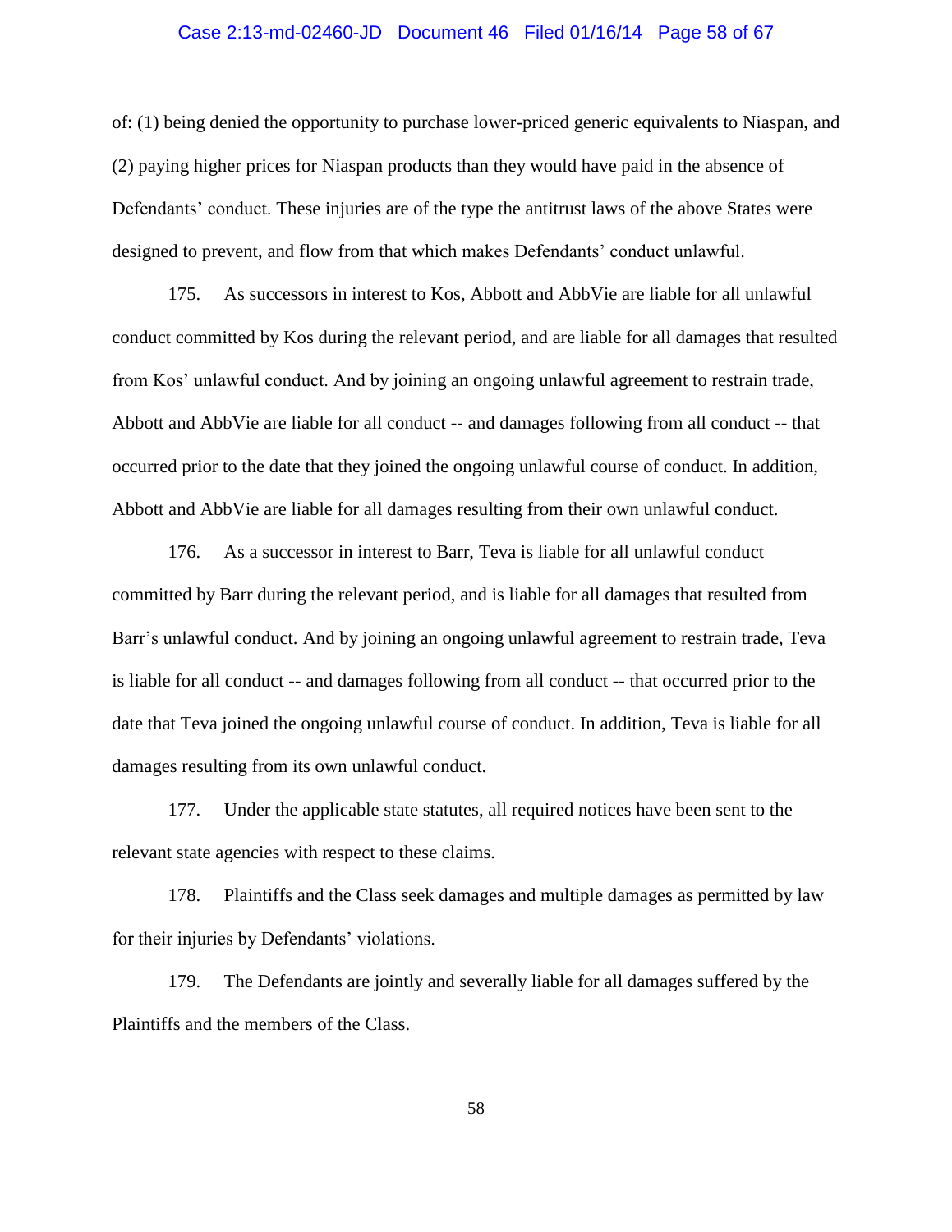#### Case 2:13-md-02460-JD Document 46 Filed 01/16/14 Page 58 of 67

of: (1) being denied the opportunity to purchase lower-priced generic equivalents to Niaspan, and (2) paying higher prices for Niaspan products than they would have paid in the absence of Defendants' conduct. These injuries are of the type the antitrust laws of the above States were designed to prevent, and flow from that which makes Defendants' conduct unlawful.

175. As successors in interest to Kos, Abbott and AbbVie are liable for all unlawful conduct committed by Kos during the relevant period, and are liable for all damages that resulted from Kos' unlawful conduct. And by joining an ongoing unlawful agreement to restrain trade, Abbott and AbbVie are liable for all conduct -- and damages following from all conduct -- that occurred prior to the date that they joined the ongoing unlawful course of conduct. In addition, Abbott and AbbVie are liable for all damages resulting from their own unlawful conduct.

176. As a successor in interest to Barr, Teva is liable for all unlawful conduct committed by Barr during the relevant period, and is liable for all damages that resulted from Barr's unlawful conduct. And by joining an ongoing unlawful agreement to restrain trade, Teva is liable for all conduct -- and damages following from all conduct -- that occurred prior to the date that Teva joined the ongoing unlawful course of conduct. In addition, Teva is liable for all damages resulting from its own unlawful conduct.

177. Under the applicable state statutes, all required notices have been sent to the relevant state agencies with respect to these claims.

178. Plaintiffs and the Class seek damages and multiple damages as permitted by law for their injuries by Defendants' violations.

179. The Defendants are jointly and severally liable for all damages suffered by the Plaintiffs and the members of the Class.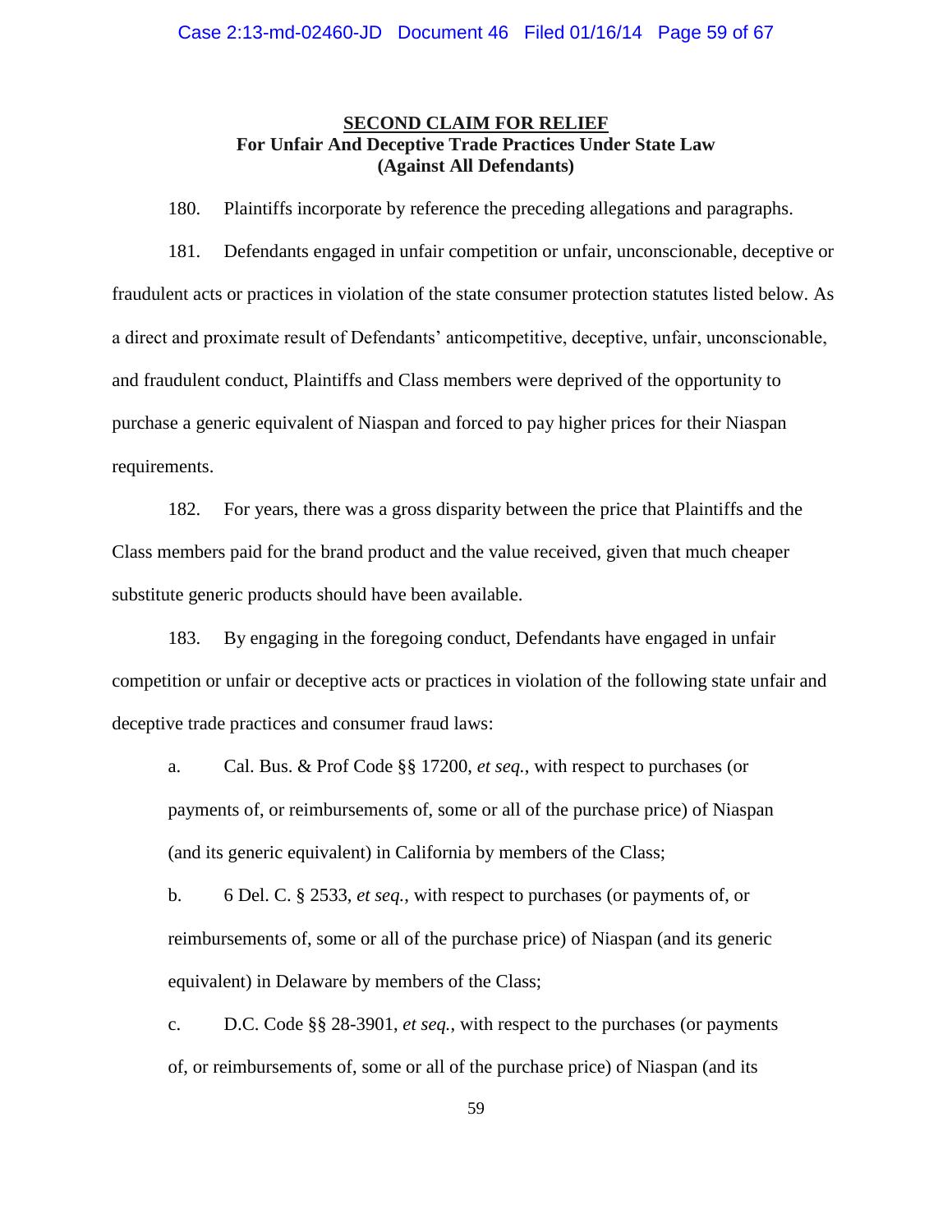## **SECOND CLAIM FOR RELIEF For Unfair And Deceptive Trade Practices Under State Law (Against All Defendants)**

180. Plaintiffs incorporate by reference the preceding allegations and paragraphs.

181. Defendants engaged in unfair competition or unfair, unconscionable, deceptive or fraudulent acts or practices in violation of the state consumer protection statutes listed below. As a direct and proximate result of Defendants' anticompetitive, deceptive, unfair, unconscionable, and fraudulent conduct, Plaintiffs and Class members were deprived of the opportunity to purchase a generic equivalent of Niaspan and forced to pay higher prices for their Niaspan requirements.

182. For years, there was a gross disparity between the price that Plaintiffs and the Class members paid for the brand product and the value received, given that much cheaper substitute generic products should have been available.

183. By engaging in the foregoing conduct, Defendants have engaged in unfair competition or unfair or deceptive acts or practices in violation of the following state unfair and deceptive trade practices and consumer fraud laws:

a. Cal. Bus. & Prof Code §§ 17200, *et seq.*, with respect to purchases (or payments of, or reimbursements of, some or all of the purchase price) of Niaspan (and its generic equivalent) in California by members of the Class;

b. 6 Del. C. § 2533, *et seq.*, with respect to purchases (or payments of, or reimbursements of, some or all of the purchase price) of Niaspan (and its generic equivalent) in Delaware by members of the Class;

c. D.C. Code §§ 28-3901, *et seq.*, with respect to the purchases (or payments of, or reimbursements of, some or all of the purchase price) of Niaspan (and its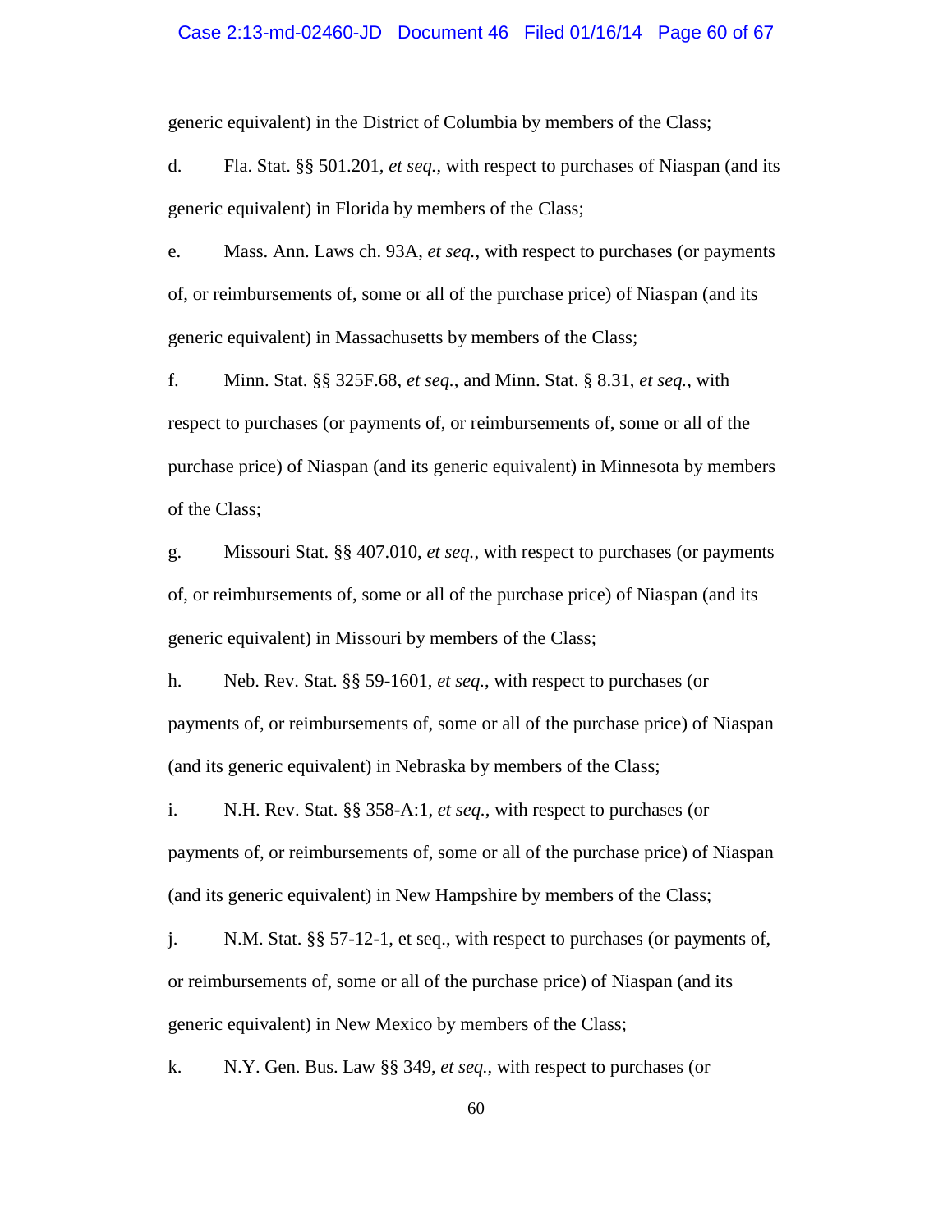#### Case 2:13-md-02460-JD Document 46 Filed 01/16/14 Page 60 of 67

generic equivalent) in the District of Columbia by members of the Class;

d. Fla. Stat. §§ 501.201, *et seq.*, with respect to purchases of Niaspan (and its generic equivalent) in Florida by members of the Class;

e. Mass. Ann. Laws ch. 93A, *et seq.*, with respect to purchases (or payments of, or reimbursements of, some or all of the purchase price) of Niaspan (and its generic equivalent) in Massachusetts by members of the Class;

f. Minn. Stat. §§ 325F.68, *et seq.*, and Minn. Stat. § 8.31, *et seq.*, with respect to purchases (or payments of, or reimbursements of, some or all of the purchase price) of Niaspan (and its generic equivalent) in Minnesota by members of the Class;

g. Missouri Stat. §§ 407.010, *et seq.*, with respect to purchases (or payments of, or reimbursements of, some or all of the purchase price) of Niaspan (and its generic equivalent) in Missouri by members of the Class;

h. Neb. Rev. Stat. §§ 59-1601, *et seq.*, with respect to purchases (or payments of, or reimbursements of, some or all of the purchase price) of Niaspan (and its generic equivalent) in Nebraska by members of the Class;

i. N.H. Rev. Stat. §§ 358-A:1, *et seq.*, with respect to purchases (or payments of, or reimbursements of, some or all of the purchase price) of Niaspan (and its generic equivalent) in New Hampshire by members of the Class;

j. N.M. Stat. §§ 57-12-1, et seq., with respect to purchases (or payments of, or reimbursements of, some or all of the purchase price) of Niaspan (and its generic equivalent) in New Mexico by members of the Class;

k. N.Y. Gen. Bus. Law §§ 349, *et seq.*, with respect to purchases (or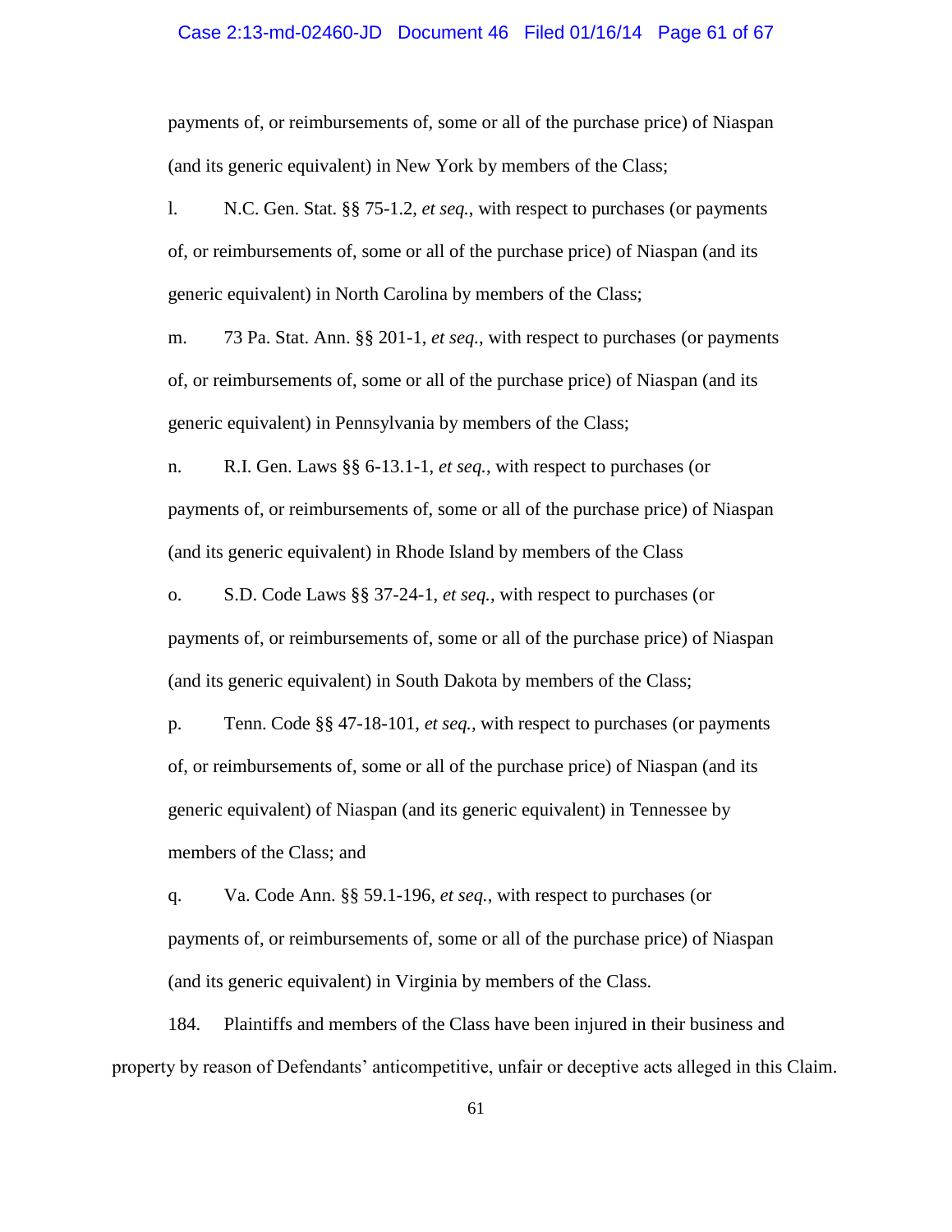#### Case 2:13-md-02460-JD Document 46 Filed 01/16/14 Page 61 of 67

payments of, or reimbursements of, some or all of the purchase price) of Niaspan (and its generic equivalent) in New York by members of the Class;

l. N.C. Gen. Stat. §§ 75-1.2, *et seq.*, with respect to purchases (or payments of, or reimbursements of, some or all of the purchase price) of Niaspan (and its generic equivalent) in North Carolina by members of the Class;

m. 73 Pa. Stat. Ann. §§ 201-1, *et seq.*, with respect to purchases (or payments of, or reimbursements of, some or all of the purchase price) of Niaspan (and its generic equivalent) in Pennsylvania by members of the Class;

n. R.I. Gen. Laws §§ 6-13.1-1, *et seq.*, with respect to purchases (or payments of, or reimbursements of, some or all of the purchase price) of Niaspan (and its generic equivalent) in Rhode Island by members of the Class

o. S.D. Code Laws §§ 37-24-1, *et seq.*, with respect to purchases (or payments of, or reimbursements of, some or all of the purchase price) of Niaspan (and its generic equivalent) in South Dakota by members of the Class;

p. Tenn. Code §§ 47-18-101, *et seq.,* with respect to purchases (or payments of, or reimbursements of, some or all of the purchase price) of Niaspan (and its generic equivalent) of Niaspan (and its generic equivalent) in Tennessee by members of the Class; and

q. Va. Code Ann. §§ 59.1-196, *et seq.*, with respect to purchases (or payments of, or reimbursements of, some or all of the purchase price) of Niaspan (and its generic equivalent) in Virginia by members of the Class.

184. Plaintiffs and members of the Class have been injured in their business and property by reason of Defendants' anticompetitive, unfair or deceptive acts alleged in this Claim.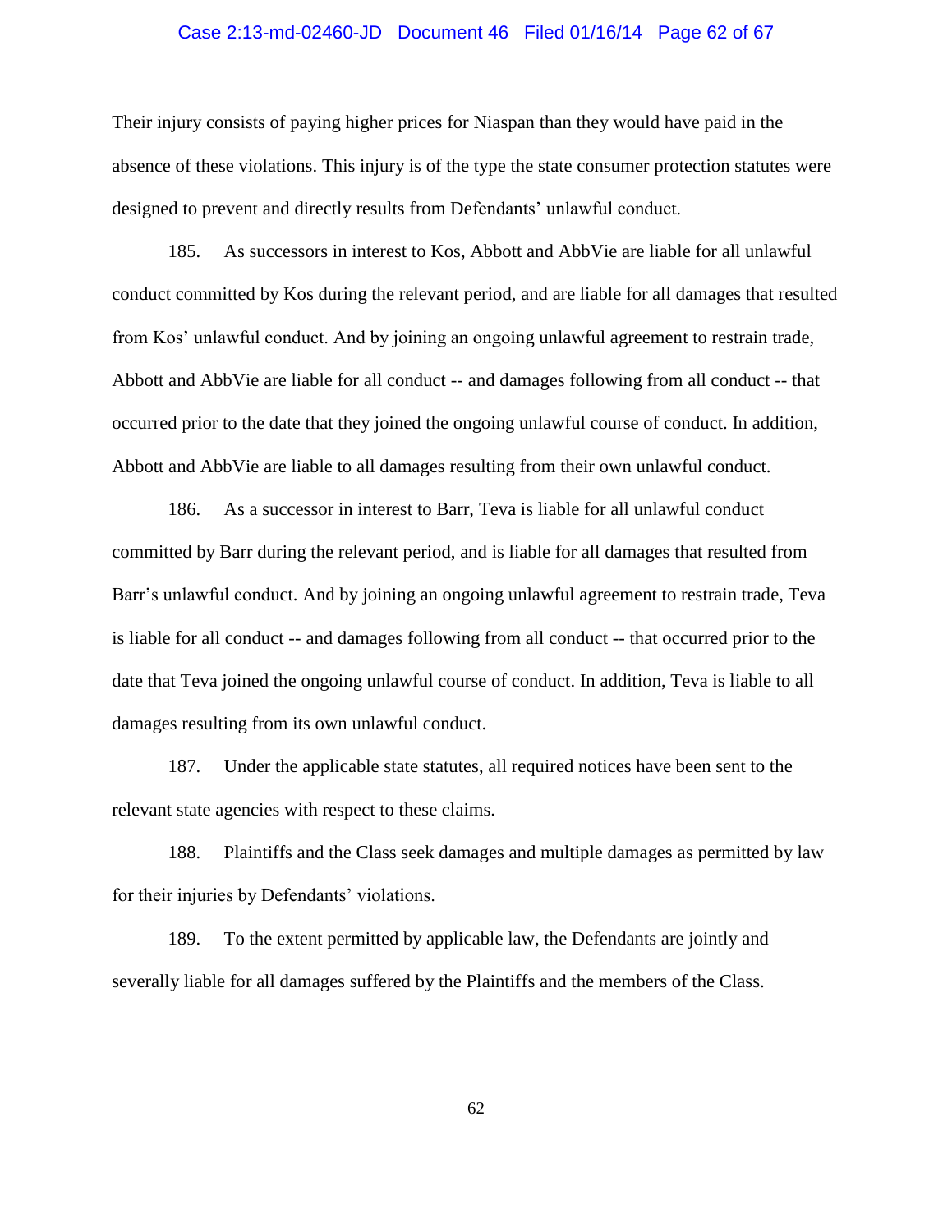#### Case 2:13-md-02460-JD Document 46 Filed 01/16/14 Page 62 of 67

Their injury consists of paying higher prices for Niaspan than they would have paid in the absence of these violations. This injury is of the type the state consumer protection statutes were designed to prevent and directly results from Defendants' unlawful conduct.

185. As successors in interest to Kos, Abbott and AbbVie are liable for all unlawful conduct committed by Kos during the relevant period, and are liable for all damages that resulted from Kos' unlawful conduct. And by joining an ongoing unlawful agreement to restrain trade, Abbott and AbbVie are liable for all conduct -- and damages following from all conduct -- that occurred prior to the date that they joined the ongoing unlawful course of conduct. In addition, Abbott and AbbVie are liable to all damages resulting from their own unlawful conduct.

186. As a successor in interest to Barr, Teva is liable for all unlawful conduct committed by Barr during the relevant period, and is liable for all damages that resulted from Barr's unlawful conduct. And by joining an ongoing unlawful agreement to restrain trade, Teva is liable for all conduct -- and damages following from all conduct -- that occurred prior to the date that Teva joined the ongoing unlawful course of conduct. In addition, Teva is liable to all damages resulting from its own unlawful conduct.

187. Under the applicable state statutes, all required notices have been sent to the relevant state agencies with respect to these claims.

188. Plaintiffs and the Class seek damages and multiple damages as permitted by law for their injuries by Defendants' violations.

189. To the extent permitted by applicable law, the Defendants are jointly and severally liable for all damages suffered by the Plaintiffs and the members of the Class.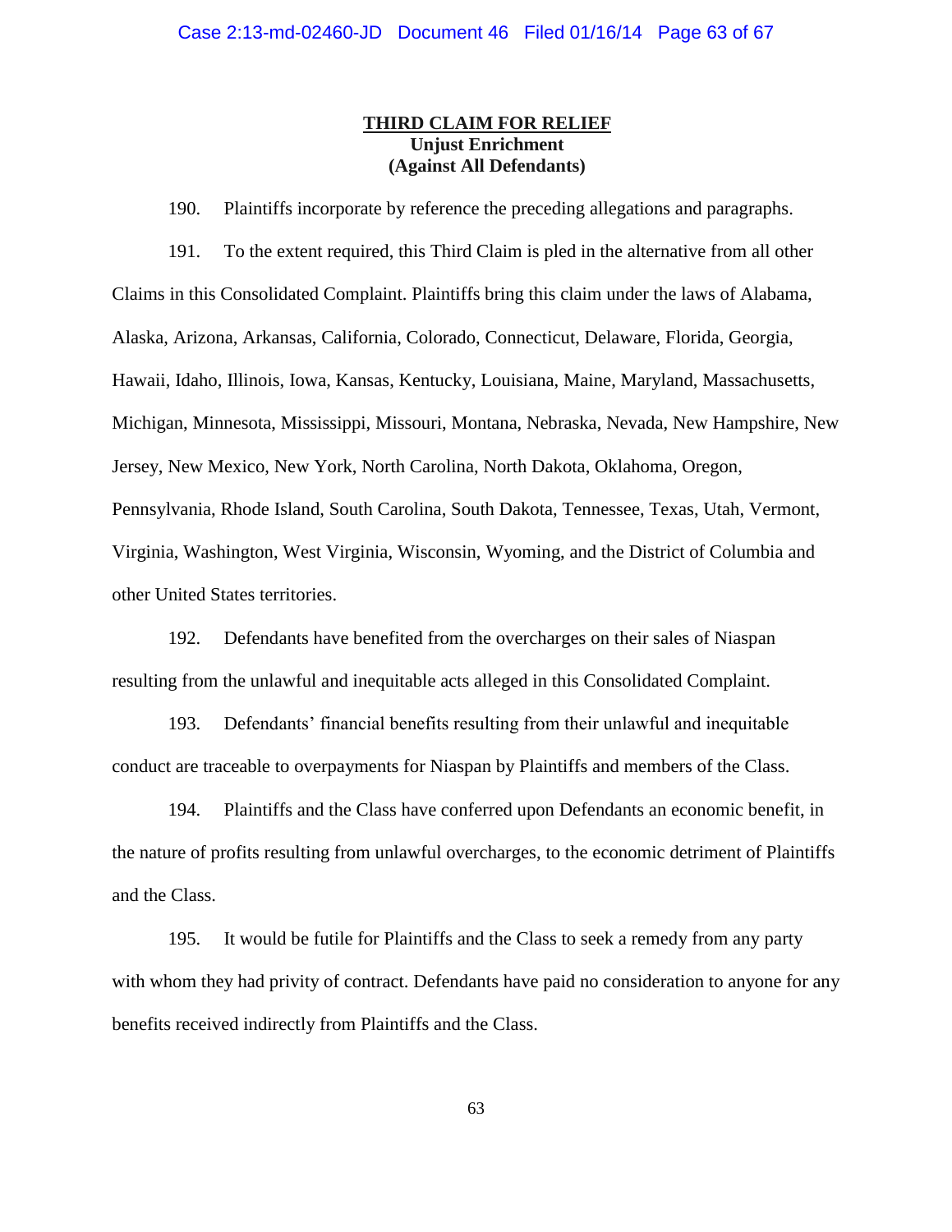# **THIRD CLAIM FOR RELIEF Unjust Enrichment (Against All Defendants)**

190. Plaintiffs incorporate by reference the preceding allegations and paragraphs.

191. To the extent required, this Third Claim is pled in the alternative from all other Claims in this Consolidated Complaint. Plaintiffs bring this claim under the laws of Alabama, Alaska, Arizona, Arkansas, California, Colorado, Connecticut, Delaware, Florida, Georgia, Hawaii, Idaho, Illinois, Iowa, Kansas, Kentucky, Louisiana, Maine, Maryland, Massachusetts, Michigan, Minnesota, Mississippi, Missouri, Montana, Nebraska, Nevada, New Hampshire, New Jersey, New Mexico, New York, North Carolina, North Dakota, Oklahoma, Oregon, Pennsylvania, Rhode Island, South Carolina, South Dakota, Tennessee, Texas, Utah, Vermont, Virginia, Washington, West Virginia, Wisconsin, Wyoming, and the District of Columbia and other United States territories.

192. Defendants have benefited from the overcharges on their sales of Niaspan resulting from the unlawful and inequitable acts alleged in this Consolidated Complaint.

193. Defendants' financial benefits resulting from their unlawful and inequitable conduct are traceable to overpayments for Niaspan by Plaintiffs and members of the Class.

194. Plaintiffs and the Class have conferred upon Defendants an economic benefit, in the nature of profits resulting from unlawful overcharges, to the economic detriment of Plaintiffs and the Class.

195. It would be futile for Plaintiffs and the Class to seek a remedy from any party with whom they had privity of contract. Defendants have paid no consideration to anyone for any benefits received indirectly from Plaintiffs and the Class.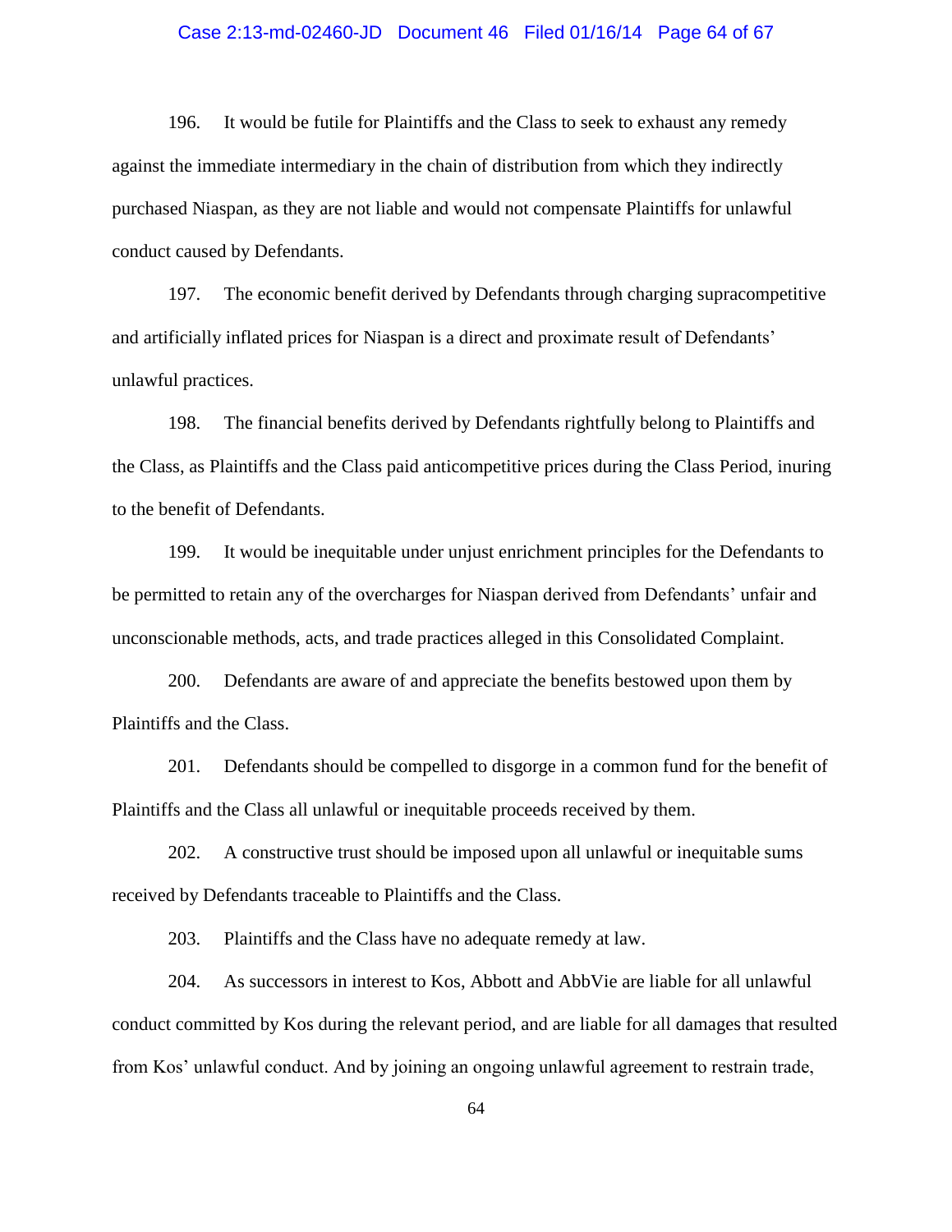#### Case 2:13-md-02460-JD Document 46 Filed 01/16/14 Page 64 of 67

196. It would be futile for Plaintiffs and the Class to seek to exhaust any remedy against the immediate intermediary in the chain of distribution from which they indirectly purchased Niaspan, as they are not liable and would not compensate Plaintiffs for unlawful conduct caused by Defendants.

197. The economic benefit derived by Defendants through charging supracompetitive and artificially inflated prices for Niaspan is a direct and proximate result of Defendants' unlawful practices.

198. The financial benefits derived by Defendants rightfully belong to Plaintiffs and the Class, as Plaintiffs and the Class paid anticompetitive prices during the Class Period, inuring to the benefit of Defendants.

199. It would be inequitable under unjust enrichment principles for the Defendants to be permitted to retain any of the overcharges for Niaspan derived from Defendants' unfair and unconscionable methods, acts, and trade practices alleged in this Consolidated Complaint.

200. Defendants are aware of and appreciate the benefits bestowed upon them by Plaintiffs and the Class.

201. Defendants should be compelled to disgorge in a common fund for the benefit of Plaintiffs and the Class all unlawful or inequitable proceeds received by them.

202. A constructive trust should be imposed upon all unlawful or inequitable sums received by Defendants traceable to Plaintiffs and the Class.

203. Plaintiffs and the Class have no adequate remedy at law.

204. As successors in interest to Kos, Abbott and AbbVie are liable for all unlawful conduct committed by Kos during the relevant period, and are liable for all damages that resulted from Kos' unlawful conduct. And by joining an ongoing unlawful agreement to restrain trade,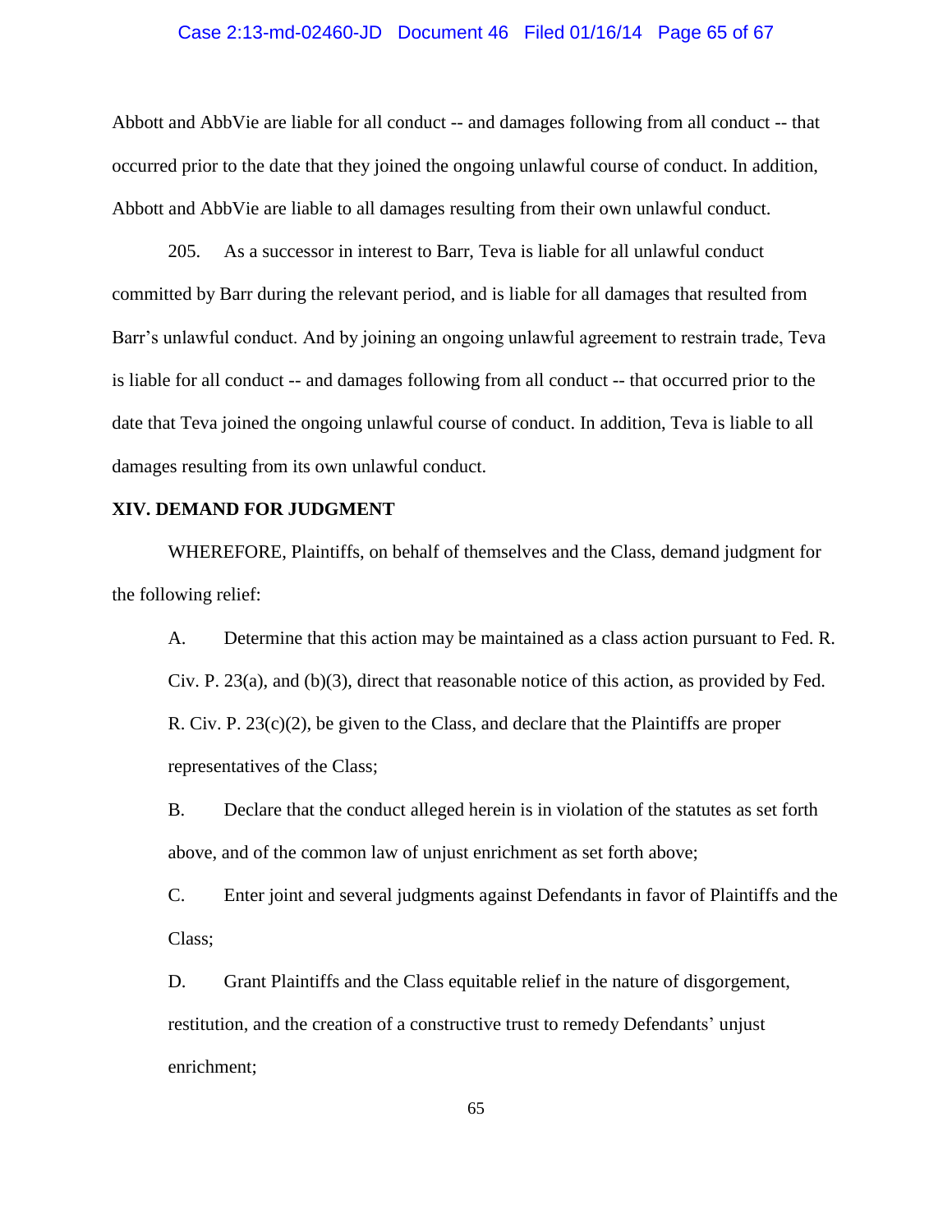#### Case 2:13-md-02460-JD Document 46 Filed 01/16/14 Page 65 of 67

Abbott and AbbVie are liable for all conduct -- and damages following from all conduct -- that occurred prior to the date that they joined the ongoing unlawful course of conduct. In addition, Abbott and AbbVie are liable to all damages resulting from their own unlawful conduct.

205. As a successor in interest to Barr, Teva is liable for all unlawful conduct committed by Barr during the relevant period, and is liable for all damages that resulted from Barr's unlawful conduct. And by joining an ongoing unlawful agreement to restrain trade, Teva is liable for all conduct -- and damages following from all conduct -- that occurred prior to the date that Teva joined the ongoing unlawful course of conduct. In addition, Teva is liable to all damages resulting from its own unlawful conduct.

## **XIV. DEMAND FOR JUDGMENT**

WHEREFORE, Plaintiffs, on behalf of themselves and the Class, demand judgment for the following relief:

A. Determine that this action may be maintained as a class action pursuant to Fed. R. Civ. P. 23(a), and (b)(3), direct that reasonable notice of this action, as provided by Fed. R. Civ. P. 23(c)(2), be given to the Class, and declare that the Plaintiffs are proper representatives of the Class;

B. Declare that the conduct alleged herein is in violation of the statutes as set forth above, and of the common law of unjust enrichment as set forth above;

C. Enter joint and several judgments against Defendants in favor of Plaintiffs and the Class;

D. Grant Plaintiffs and the Class equitable relief in the nature of disgorgement, restitution, and the creation of a constructive trust to remedy Defendants' unjust enrichment;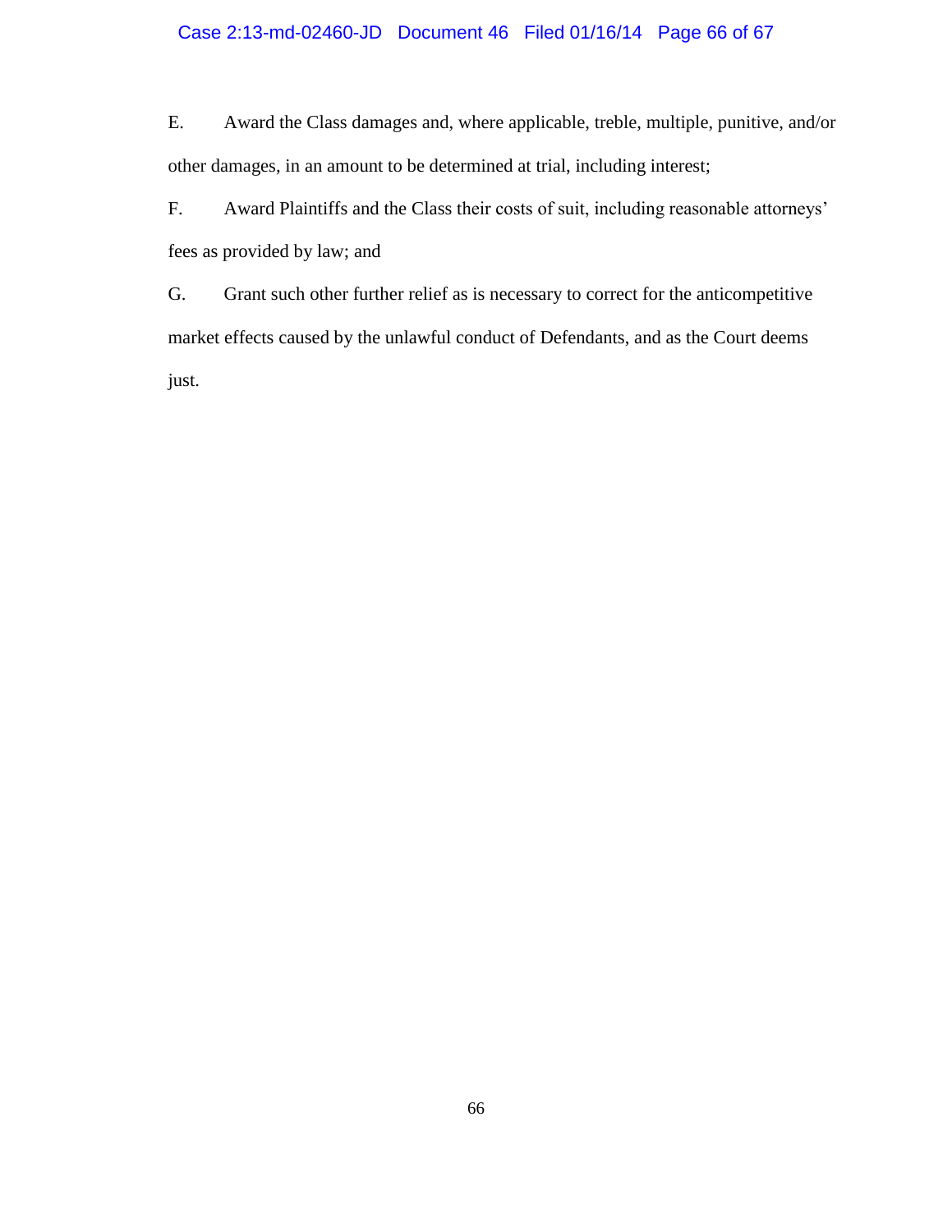## Case 2:13-md-02460-JD Document 46 Filed 01/16/14 Page 66 of 67

E. Award the Class damages and, where applicable, treble, multiple, punitive, and/or other damages, in an amount to be determined at trial, including interest;

F. Award Plaintiffs and the Class their costs of suit, including reasonable attorneys' fees as provided by law; and

G. Grant such other further relief as is necessary to correct for the anticompetitive market effects caused by the unlawful conduct of Defendants, and as the Court deems just.